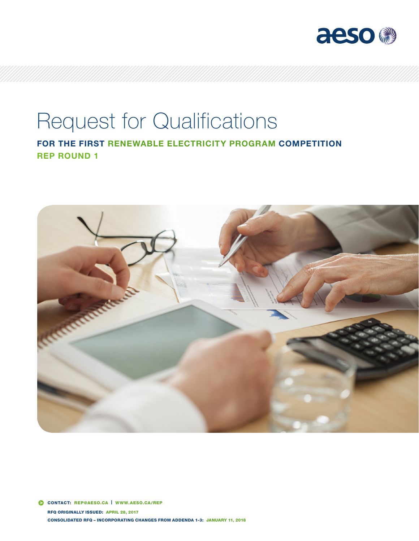

# Request for Qualifications

FOR THE FIRST RENEWABLE ELECTRICITY PROGRAM COMPETITION REP ROUND 1

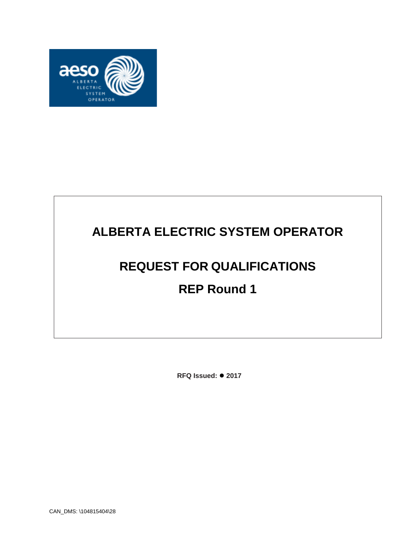

# **ALBERTA ELECTRIC SYSTEM OPERATOR**

# **REQUEST FOR QUALIFICATIONS**

# **REP Round 1**

**RFQ Issued: 2017**

CAN\_DMS: \104815404\28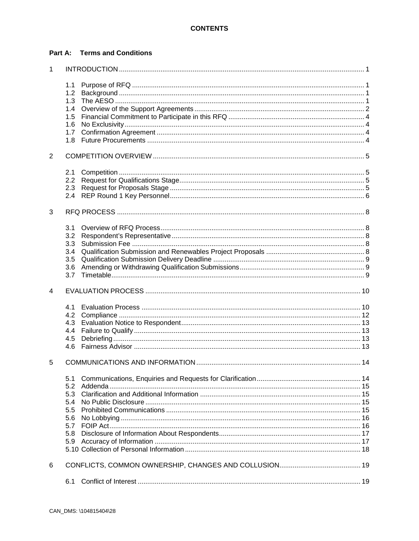#### **Part A: Terms and Conditions**

| 1 |     |  |  |  |  |  |
|---|-----|--|--|--|--|--|
|   | 1.1 |  |  |  |  |  |
|   | 1.2 |  |  |  |  |  |
|   | 1.3 |  |  |  |  |  |
|   | 1.4 |  |  |  |  |  |
|   | 1.5 |  |  |  |  |  |
|   | 1.6 |  |  |  |  |  |
|   | 1.7 |  |  |  |  |  |
|   | 1.8 |  |  |  |  |  |
|   |     |  |  |  |  |  |
| 2 |     |  |  |  |  |  |
|   | 2.1 |  |  |  |  |  |
|   | 2.2 |  |  |  |  |  |
|   |     |  |  |  |  |  |
|   | 2.3 |  |  |  |  |  |
|   | 2.4 |  |  |  |  |  |
| 3 |     |  |  |  |  |  |
|   | 3.1 |  |  |  |  |  |
|   | 3.2 |  |  |  |  |  |
|   | 3.3 |  |  |  |  |  |
|   |     |  |  |  |  |  |
|   | 3.4 |  |  |  |  |  |
|   | 3.5 |  |  |  |  |  |
|   | 3.6 |  |  |  |  |  |
|   | 3.7 |  |  |  |  |  |
| 4 |     |  |  |  |  |  |
|   | 4.1 |  |  |  |  |  |
|   | 4.2 |  |  |  |  |  |
|   | 4.3 |  |  |  |  |  |
|   | 4.4 |  |  |  |  |  |
|   | 4.5 |  |  |  |  |  |
|   | 4.6 |  |  |  |  |  |
|   |     |  |  |  |  |  |
| 5 |     |  |  |  |  |  |
|   | 5.1 |  |  |  |  |  |
|   | 5.2 |  |  |  |  |  |
|   | 5.3 |  |  |  |  |  |
|   | 5.4 |  |  |  |  |  |
|   | 5.5 |  |  |  |  |  |
|   | 5.6 |  |  |  |  |  |
|   | 5.7 |  |  |  |  |  |
|   | 5.8 |  |  |  |  |  |
|   | 5.9 |  |  |  |  |  |
|   |     |  |  |  |  |  |
|   |     |  |  |  |  |  |
| 6 |     |  |  |  |  |  |
|   | 6.1 |  |  |  |  |  |
|   |     |  |  |  |  |  |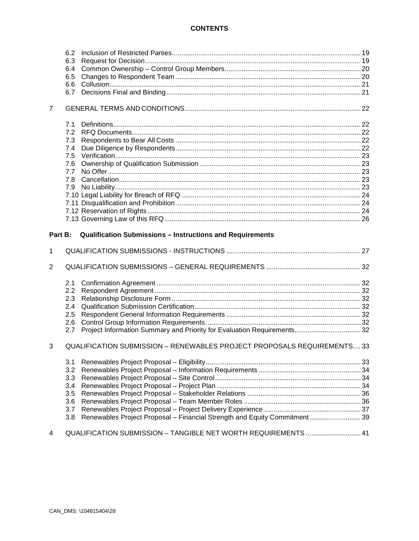#### **CONTENTS**

|                | 6.2                                                                     |                                                                           |  |
|----------------|-------------------------------------------------------------------------|---------------------------------------------------------------------------|--|
|                | 6.3                                                                     |                                                                           |  |
|                | 6.4                                                                     |                                                                           |  |
|                | 6.5                                                                     |                                                                           |  |
|                | 6.6                                                                     |                                                                           |  |
|                | 6.7                                                                     |                                                                           |  |
| $\overline{7}$ |                                                                         |                                                                           |  |
|                | 7.1                                                                     |                                                                           |  |
|                | 7.2                                                                     |                                                                           |  |
|                | 7.3                                                                     |                                                                           |  |
|                | 7.4                                                                     |                                                                           |  |
|                | 7.5                                                                     |                                                                           |  |
|                | 7.6                                                                     |                                                                           |  |
|                | 7.7                                                                     |                                                                           |  |
|                | 7.8                                                                     |                                                                           |  |
|                | 7.9                                                                     |                                                                           |  |
|                |                                                                         |                                                                           |  |
|                |                                                                         |                                                                           |  |
|                |                                                                         |                                                                           |  |
|                |                                                                         |                                                                           |  |
| Part B:        |                                                                         | <b>Qualification Submissions - Instructions and Requirements</b>          |  |
| 1              |                                                                         |                                                                           |  |
| $\overline{2}$ |                                                                         |                                                                           |  |
|                | 2.1                                                                     |                                                                           |  |
|                | $2.2\phantom{0}$                                                        |                                                                           |  |
|                | 2.3                                                                     |                                                                           |  |
|                | 2.4                                                                     |                                                                           |  |
|                | 2.5                                                                     |                                                                           |  |
|                | 2.6                                                                     |                                                                           |  |
|                | 2.7                                                                     | Project Information Summary and Priority for Evaluation Requirements 32   |  |
| 3              | QUALIFICATION SUBMISSION - RENEWABLES PROJECT PROPOSALS REQUIREMENTS 33 |                                                                           |  |
|                | 3.1                                                                     |                                                                           |  |
|                | 3.2                                                                     |                                                                           |  |
|                | 3.3                                                                     |                                                                           |  |
|                |                                                                         |                                                                           |  |
|                | 3.4                                                                     |                                                                           |  |
|                | 3.5                                                                     |                                                                           |  |
|                | 3.6                                                                     |                                                                           |  |
|                | 3.7                                                                     |                                                                           |  |
|                | 3.8                                                                     | Renewables Project Proposal - Financial Strength and Equity Commitment 39 |  |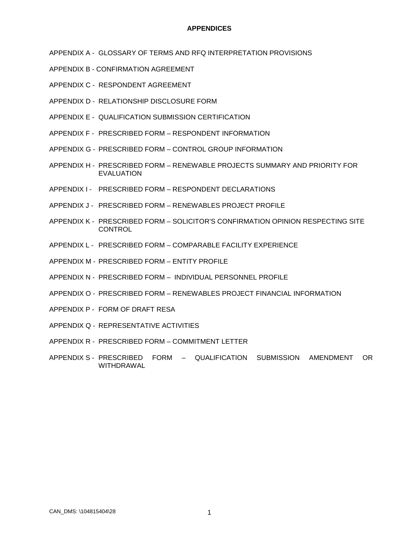#### **APPENDICES**

- APPENDIX A GLOSSARY OF TERMS AND RFQ INTERPRETATION PROVISIONS
- APPENDIX B CONFIRMATION AGREEMENT
- APPENDIX C RESPONDENT AGREEMENT
- APPENDIX D RELATIONSHIP DISCLOSURE FORM
- APPENDIX E QUALIFICATION SUBMISSION CERTIFICATION
- APPENDIX F PRESCRIBED FORM RESPONDENT INFORMATION
- APPENDIX G PRESCRIBED FORM CONTROL GROUP INFORMATION
- APPENDIX H PRESCRIBED FORM RENEWABLE PROJECTS SUMMARY AND PRIORITY FOR EVALUATION
- APPENDIX I PRESCRIBED FORM RESPONDENT DECLARATIONS
- APPENDIX J PRESCRIBED FORM RENEWABLES PROJECT PROFILE
- APPENDIX K PRESCRIBED FORM SOLICITOR'S CONFIRMATION OPINION RESPECTING SITE **CONTROL**
- APPENDIX L PRESCRIBED FORM COMPARABLE FACILITY EXPERIENCE
- APPENDIX M PRESCRIBED FORM ENTITY PROFILE
- APPENDIX N PRESCRIBED FORM INDIVIDUAL PERSONNEL PROFILE
- APPENDIX O PRESCRIBED FORM RENEWABLES PROJECT FINANCIAL INFORMATION
- APPENDIX P FORM OF DRAFT RESA
- APPENDIX Q REPRESENTATIVE ACTIVITIES
- APPENDIX R PRESCRIBED FORM COMMITMENT LETTER
- APPENDIX S PRESCRIBED FORM QUALIFICATION SUBMISSION AMENDMENT OR WITHDRAWAL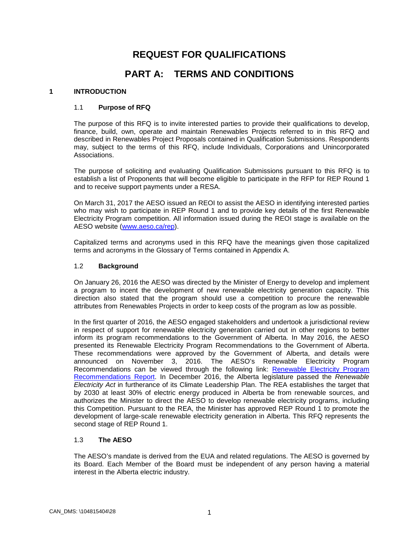## **REQUEST FOR QUALIFICATIONS**

### **PART A: TERMS AND CONDITIONS**

#### <span id="page-5-1"></span><span id="page-5-0"></span>**1 INTRODUCTION**

#### 1.1 **Purpose of RFQ**

The purpose of this RFQ is to invite interested parties to provide their qualifications to develop, finance, build, own, operate and maintain Renewables Projects referred to in this RFQ and described in Renewables Project Proposals contained in Qualification Submissions. Respondents may, subject to the terms of this RFQ, include Individuals, Corporations and Unincorporated Associations.

The purpose of soliciting and evaluating Qualification Submissions pursuant to this RFQ is to establish a list of Proponents that will become eligible to participate in the RFP for REP Round 1 and to receive support payments under a RESA.

On March 31, 2017 the AESO issued an REOI to assist the AESO in identifying interested parties who may wish to participate in REP Round 1 and to provide key details of the first Renewable Electricity Program competition. All information issued during the REOI stage is available on the AESO website [\(www.aeso.ca/rep\)](http://www.aeso.ca/rep/).

Capitalized terms and acronyms used in this RFQ have the meanings given those capitalized terms and acronyms in the Glossary of Terms contained in Appendix A.

#### <span id="page-5-2"></span>1.2 **Background**

On January 26, 2016 the AESO was directed by the Minister of Energy to develop and implement a program to incent the development of new renewable electricity generation capacity. This direction also stated that the program should use a competition to procure the renewable attributes from Renewables Projects in order to keep costs of the program as low as possible.

In the first quarter of 2016, the AESO engaged stakeholders and undertook a jurisdictional review in respect of support for renewable electricity generation carried out in other regions to better inform its program recommendations to the Government of Alberta. In May 2016, the AESO presented its Renewable Electricity Program Recommendations to the Government of Alberta. These recommendations were approved by the Government of Alberta, and details were announced on November 3, 2016. The AESO's Renewable Electricity Program Recommendations can be viewed through the following link: [Renewable Electricity Program](https://www.aeso.ca/assets/Uploads/AESO-RenewableElectricityProgramRecommendations-Report.pdf)  [Recommendations Report.](https://www.aeso.ca/assets/Uploads/AESO-RenewableElectricityProgramRecommendations-Report.pdf) In December 2016, the Alberta legislature passed the *Renewable Electricity Act* in furtherance of its Climate Leadership Plan. The REA establishes the target that by 2030 at least 30% of electric energy produced in Alberta be from renewable sources, and authorizes the Minister to direct the AESO to develop renewable electricity programs, including this Competition. Pursuant to the REA, the Minister has approved REP Round 1 to promote the development of large-scale renewable electricity generation in Alberta. This RFQ represents the second stage of REP Round 1.

#### <span id="page-5-3"></span>1.3 **The AESO**

The AESO's mandate is derived from the EUA and related regulations. The AESO is governed by its Board. Each Member of the Board must be independent of any person having a material interest in the Alberta electric industry.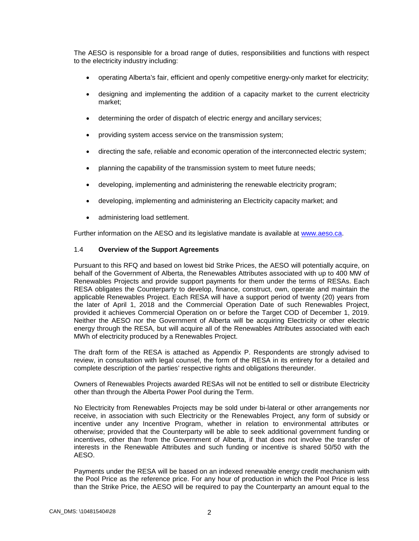The AESO is responsible for a broad range of duties, responsibilities and functions with respect to the electricity industry including:

- operating Alberta's fair, efficient and openly competitive energy-only market for electricity;
- designing and implementing the addition of a capacity market to the current electricity market;
- determining the order of dispatch of electric energy and ancillary services;
- providing system access service on the transmission system;
- directing the safe, reliable and economic operation of the interconnected electric system;
- planning the capability of the transmission system to meet future needs;
- developing, implementing and administering the renewable electricity program;
- developing, implementing and administering an Electricity capacity market; and
- administering load settlement.

Further information on the AESO and its legislative mandate is available at [www.aeso.ca.](http://www.aeso.ca/)

#### <span id="page-6-0"></span>1.4 **Overview of the Support Agreements**

Pursuant to this RFQ and based on lowest bid Strike Prices, the AESO will potentially acquire, on behalf of the Government of Alberta, the Renewables Attributes associated with up to 400 MW of Renewables Projects and provide support payments for them under the terms of RESAs. Each RESA obligates the Counterparty to develop, finance, construct, own, operate and maintain the applicable Renewables Project. Each RESA will have a support period of twenty (20) years from the later of April 1, 2018 and the Commercial Operation Date of such Renewables Project, provided it achieves Commercial Operation on or before the Target COD of December 1, 2019. Neither the AESO nor the Government of Alberta will be acquiring Electricity or other electric energy through the RESA, but will acquire all of the Renewables Attributes associated with each MWh of electricity produced by a Renewables Project.

The draft form of the RESA is attached as Appendix P. Respondents are strongly advised to review, in consultation with legal counsel, the form of the RESA in its entirety for a detailed and complete description of the parties' respective rights and obligations thereunder.

Owners of Renewables Projects awarded RESAs will not be entitled to sell or distribute Electricity other than through the Alberta Power Pool during the Term.

No Electricity from Renewables Projects may be sold under bi-lateral or other arrangements nor receive, in association with such Electricity or the Renewables Project, any form of subsidy or incentive under any Incentive Program, whether in relation to environmental attributes or otherwise; provided that the Counterparty will be able to seek additional government funding or incentives, other than from the Government of Alberta, if that does not involve the transfer of interests in the Renewable Attributes and such funding or incentive is shared 50/50 with the AESO.

Payments under the RESA will be based on an indexed renewable energy credit mechanism with the Pool Price as the reference price. For any hour of production in which the Pool Price is less than the Strike Price, the AESO will be required to pay the Counterparty an amount equal to the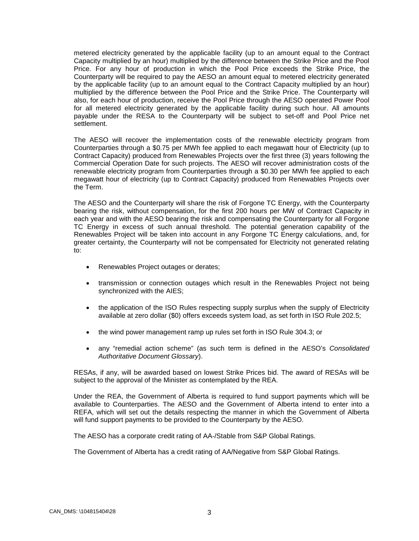metered electricity generated by the applicable facility (up to an amount equal to the Contract Capacity multiplied by an hour) multiplied by the difference between the Strike Price and the Pool Price. For any hour of production in which the Pool Price exceeds the Strike Price, the Counterparty will be required to pay the AESO an amount equal to metered electricity generated by the applicable facility (up to an amount equal to the Contract Capacity multiplied by an hour) multiplied by the difference between the Pool Price and the Strike Price. The Counterparty will also, for each hour of production, receive the Pool Price through the AESO operated Power Pool for all metered electricity generated by the applicable facility during such hour. All amounts payable under the RESA to the Counterparty will be subject to set-off and Pool Price net settlement.

The AESO will recover the implementation costs of the renewable electricity program from Counterparties through a \$0.75 per MWh fee applied to each megawatt hour of Electricity (up to Contract Capacity) produced from Renewables Projects over the first three (3) years following the Commercial Operation Date for such projects. The AESO will recover administration costs of the renewable electricity program from Counterparties through a \$0.30 per MWh fee applied to each megawatt hour of electricity (up to Contract Capacity) produced from Renewables Projects over the Term.

The AESO and the Counterparty will share the risk of Forgone TC Energy, with the Counterparty bearing the risk, without compensation, for the first 200 hours per MW of Contract Capacity in each year and with the AESO bearing the risk and compensating the Counterparty for all Forgone TC Energy in excess of such annual threshold. The potential generation capability of the Renewables Project will be taken into account in any Forgone TC Energy calculations, and, for greater certainty, the Counterparty will not be compensated for Electricity not generated relating to:

- Renewables Project outages or derates;
- transmission or connection outages which result in the Renewables Project not being synchronized with the AIES;
- the application of the ISO Rules respecting supply surplus when the supply of Electricity available at zero dollar (\$0) offers exceeds system load, as set forth in ISO Rule 202.5;
- the wind power management ramp up rules set forth in ISO Rule 304.3; or
- any "remedial action scheme" (as such term is defined in the AESO's *Consolidated Authoritative Document Glossary*).

RESAs, if any, will be awarded based on lowest Strike Prices bid. The award of RESAs will be subject to the approval of the Minister as contemplated by the REA.

Under the REA, the Government of Alberta is required to fund support payments which will be available to Counterparties. The AESO and the Government of Alberta intend to enter into a REFA, which will set out the details respecting the manner in which the Government of Alberta will fund support payments to be provided to the Counterparty by the AESO.

The AESO has a corporate credit rating of AA-/Stable from S&P Global Ratings.

The Government of Alberta has a credit rating of AA/Negative from S&P Global Ratings.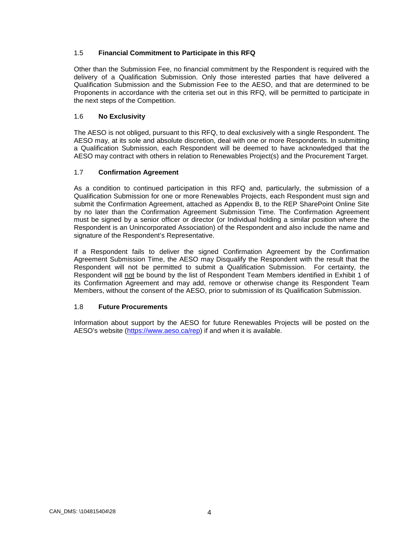#### <span id="page-8-0"></span>1.5 **Financial Commitment to Participate in this RFQ**

Other than the Submission Fee, no financial commitment by the Respondent is required with the delivery of a Qualification Submission. Only those interested parties that have delivered a Qualification Submission and the Submission Fee to the AESO, and that are determined to be Proponents in accordance with the criteria set out in this RFQ, will be permitted to participate in the next steps of the Competition.

#### <span id="page-8-1"></span>1.6 **No Exclusivity**

The AESO is not obliged, pursuant to this RFQ, to deal exclusively with a single Respondent. The AESO may, at its sole and absolute discretion, deal with one or more Respondents. In submitting a Qualification Submission, each Respondent will be deemed to have acknowledged that the AESO may contract with others in relation to Renewables Project(s) and the Procurement Target.

#### <span id="page-8-2"></span>1.7 **Confirmation Agreement**

As a condition to continued participation in this RFQ and, particularly, the submission of a Qualification Submission for one or more Renewables Projects, each Respondent must sign and submit the Confirmation Agreement, attached as Appendix B, to the REP SharePoint Online Site by no later than the Confirmation Agreement Submission Time. The Confirmation Agreement must be signed by a senior officer or director (or Individual holding a similar position where the Respondent is an Unincorporated Association) of the Respondent and also include the name and signature of the Respondent's Representative.

If a Respondent fails to deliver the signed Confirmation Agreement by the Confirmation Agreement Submission Time, the AESO may Disqualify the Respondent with the result that the Respondent will not be permitted to submit a Qualification Submission. For certainty, the Respondent will not be bound by the list of Respondent Team Members identified in Exhibit 1 of its Confirmation Agreement and may add, remove or otherwise change its Respondent Team Members, without the consent of the AESO, prior to submission of its Qualification Submission.

#### <span id="page-8-3"></span>1.8 **Future Procurements**

Information about support by the AESO for future Renewables Projects will be posted on the AESO's website [\(https://www.aeso.ca/rep\)](https://www.aeso.ca/rep) if and when it is available.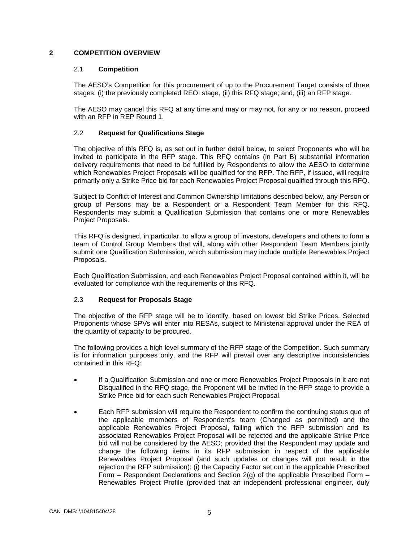#### <span id="page-9-1"></span><span id="page-9-0"></span>**2 COMPETITION OVERVIEW**

#### 2.1 **Competition**

The AESO's Competition for this procurement of up to the Procurement Target consists of three stages: (i) the previously completed REOI stage, (ii) this RFQ stage; and, (iii) an RFP stage.

The AESO may cancel this RFQ at any time and may or may not, for any or no reason, proceed with an RFP in REP Round 1.

#### <span id="page-9-2"></span>2.2 **Request for Qualifications Stage**

The objective of this RFQ is, as set out in further detail below, to select Proponents who will be invited to participate in the RFP stage. This RFQ contains (in Part B) substantial information delivery requirements that need to be fulfilled by Respondents to allow the AESO to determine which Renewables Project Proposals will be qualified for the RFP. The RFP, if issued, will require primarily only a Strike Price bid for each Renewables Project Proposal qualified through this RFQ.

Subject to Conflict of Interest and Common Ownership limitations described below, any Person or group of Persons may be a Respondent or a Respondent Team Member for this RFQ. Respondents may submit a Qualification Submission that contains one or more Renewables Project Proposals.

This RFQ is designed, in particular, to allow a group of investors, developers and others to form a team of Control Group Members that will, along with other Respondent Team Members jointly submit one Qualification Submission, which submission may include multiple Renewables Project Proposals.

Each Qualification Submission, and each Renewables Project Proposal contained within it, will be evaluated for compliance with the requirements of this RFQ.

#### <span id="page-9-3"></span>2.3 **Request for Proposals Stage**

The objective of the RFP stage will be to identify, based on lowest bid Strike Prices, Selected Proponents whose SPVs will enter into RESAs, subject to Ministerial approval under the REA of the quantity of capacity to be procured.

The following provides a high level summary of the RFP stage of the Competition. Such summary is for information purposes only, and the RFP will prevail over any descriptive inconsistencies contained in this RFQ:

- If a Qualification Submission and one or more Renewables Project Proposals in it are not Disqualified in the RFQ stage, the Proponent will be invited in the RFP stage to provide a Strike Price bid for each such Renewables Project Proposal.
- Each RFP submission will require the Respondent to confirm the continuing status quo of the applicable members of Respondent's team (Changed as permitted) and the applicable Renewables Project Proposal, failing which the RFP submission and its associated Renewables Project Proposal will be rejected and the applicable Strike Price bid will not be considered by the AESO; provided that the Respondent may update and change the following items in its RFP submission in respect of the applicable Renewables Project Proposal (and such updates or changes will not result in the rejection the RFP submission): (i) the Capacity Factor set out in the applicable Prescribed Form – Respondent Declarations and Section  $2(q)$  of the applicable Prescribed Form – Renewables Project Profile (provided that an independent professional engineer, duly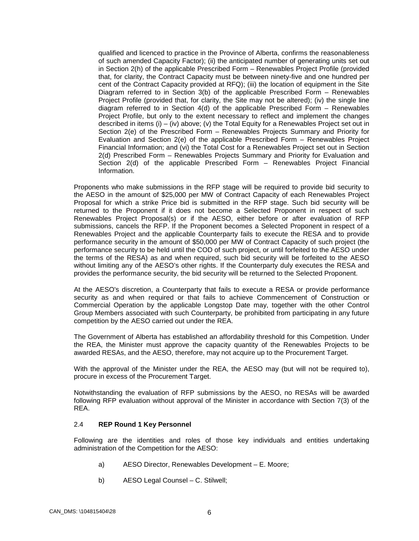qualified and licenced to practice in the Province of Alberta, confirms the reasonableness of such amended Capacity Factor); (ii) the anticipated number of generating units set out in Section 2(h) of the applicable Prescribed Form – Renewables Project Profile (provided that, for clarity, the Contract Capacity must be between ninety-five and one hundred per cent of the Contract Capacity provided at RFQ); (iii) the location of equipment in the Site Diagram referred to in Section 3(b) of the applicable Prescribed Form – Renewables Project Profile (provided that, for clarity, the Site may not be altered); (iv) the single line diagram referred to in Section 4(d) of the applicable Prescribed Form – Renewables Project Profile, but only to the extent necessary to reflect and implement the changes described in items (i) – (iv) above; (v) the Total Equity for a Renewables Project set out in Section 2(e) of the Prescribed Form – Renewables Projects Summary and Priority for Evaluation and Section 2(e) of the applicable Prescribed Form – Renewables Project Financial Information; and (vi) the Total Cost for a Renewables Project set out in Section 2(d) Prescribed Form – Renewables Projects Summary and Priority for Evaluation and Section 2(d) of the applicable Prescribed Form – Renewables Project Financial Information.

Proponents who make submissions in the RFP stage will be required to provide bid security to the AESO in the amount of \$25,000 per MW of Contract Capacity of each Renewables Project Proposal for which a strike Price bid is submitted in the RFP stage. Such bid security will be returned to the Proponent if it does not become a Selected Proponent in respect of such Renewables Project Proposal(s) or if the AESO, either before or after evaluation of RFP submissions, cancels the RFP. If the Proponent becomes a Selected Proponent in respect of a Renewables Project and the applicable Counterparty fails to execute the RESA and to provide performance security in the amount of \$50,000 per MW of Contract Capacity of such project (the performance security to be held until the COD of such project, or until forfeited to the AESO under the terms of the RESA) as and when required, such bid security will be forfeited to the AESO without limiting any of the AESO's other rights. If the Counterparty duly executes the RESA and provides the performance security, the bid security will be returned to the Selected Proponent.

At the AESO's discretion, a Counterparty that fails to execute a RESA or provide performance security as and when required or that fails to achieve Commencement of Construction or Commercial Operation by the applicable Longstop Date may, together with the other Control Group Members associated with such Counterparty, be prohibited from participating in any future competition by the AESO carried out under the REA.

The Government of Alberta has established an affordability threshold for this Competition. Under the REA, the Minister must approve the capacity quantity of the Renewables Projects to be awarded RESAs, and the AESO, therefore, may not acquire up to the Procurement Target.

With the approval of the Minister under the REA, the AESO may (but will not be required to), procure in excess of the Procurement Target.

Notwithstanding the evaluation of RFP submissions by the AESO, no RESAs will be awarded following RFP evaluation without approval of the Minister in accordance with Section 7(3) of the REA.

#### <span id="page-10-0"></span>2.4 **REP Round 1 Key Personnel**

Following are the identities and roles of those key individuals and entities undertaking administration of the Competition for the AESO:

- a) AESO Director, Renewables Development E. Moore;
- b) AESO Legal Counsel C. Stilwell;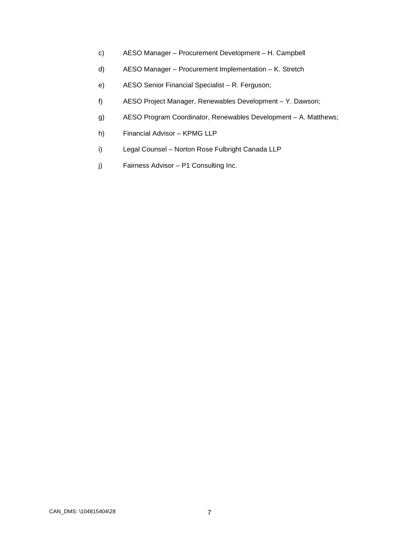- c) AESO Manager Procurement Development H. Campbell
- d) AESO Manager Procurement Implementation K. Stretch
- e) AESO Senior Financial Specialist R. Ferguson;
- f) AESO Project Manager, Renewables Development Y. Dawson;
- g) AESO Program Coordinator, Renewables Development A. Matthews;
- h) Financial Advisor KPMG LLP
- i) Legal Counsel Norton Rose Fulbright Canada LLP
- j) Fairness Advisor P1 Consulting Inc.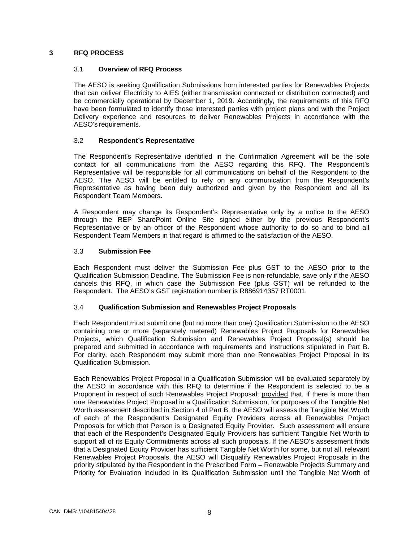#### <span id="page-12-1"></span><span id="page-12-0"></span>**3 RFQ PROCESS**

#### 3.1 **Overview of RFQ Process**

The AESO is seeking Qualification Submissions from interested parties for Renewables Projects that can deliver Electricity to AIES (either transmission connected or distribution connected) and be commercially operational by December 1, 2019. Accordingly, the requirements of this RFQ have been formulated to identify those interested parties with project plans and with the Project Delivery experience and resources to deliver Renewables Projects in accordance with the AESO's requirements.

#### <span id="page-12-2"></span>3.2 **Respondent's Representative**

The Respondent's Representative identified in the Confirmation Agreement will be the sole contact for all communications from the AESO regarding this RFQ. The Respondent's Representative will be responsible for all communications on behalf of the Respondent to the AESO. The AESO will be entitled to rely on any communication from the Respondent's Representative as having been duly authorized and given by the Respondent and all its Respondent Team Members.

A Respondent may change its Respondent's Representative only by a notice to the AESO through the REP SharePoint Online Site signed either by the previous Respondent's Representative or by an officer of the Respondent whose authority to do so and to bind all Respondent Team Members in that regard is affirmed to the satisfaction of the AESO.

#### <span id="page-12-3"></span>3.3 **Submission Fee**

Each Respondent must deliver the Submission Fee plus GST to the AESO prior to the Qualification Submission Deadline. The Submission Fee is non-refundable, save only if the AESO cancels this RFQ, in which case the Submission Fee (plus GST) will be refunded to the Respondent. The AESO's GST registration number is R886914357 RT0001.

#### <span id="page-12-4"></span>3.4 **Qualification Submission and Renewables Project Proposals**

Each Respondent must submit one (but no more than one) Qualification Submission to the AESO containing one or more (separately metered) Renewables Project Proposals for Renewables Projects, which Qualification Submission and Renewables Project Proposal(s) should be prepared and submitted in accordance with requirements and instructions stipulated in Part B. For clarity, each Respondent may submit more than one Renewables Project Proposal in its Qualification Submission.

Each Renewables Project Proposal in a Qualification Submission will be evaluated separately by the AESO in accordance with this RFQ to determine if the Respondent is selected to be a Proponent in respect of such Renewables Project Proposal; provided that, if there is more than one Renewables Project Proposal in a Qualification Submission, for purposes of the Tangible Net Worth assessment described in Section 4 of Part B, the AESO will assess the Tangible Net Worth of each of the Respondent's Designated Equity Providers across all Renewables Project Proposals for which that Person is a Designated Equity Provider. Such assessment will ensure that each of the Respondent's Designated Equity Providers has sufficient Tangible Net Worth to support all of its Equity Commitments across all such proposals. If the AESO's assessment finds that a Designated Equity Provider has sufficient Tangible Net Worth for some, but not all, relevant Renewables Project Proposals, the AESO will Disqualify Renewables Project Proposals in the priority stipulated by the Respondent in the Prescribed Form – Renewable Projects Summary and Priority for Evaluation included in its Qualification Submission until the Tangible Net Worth of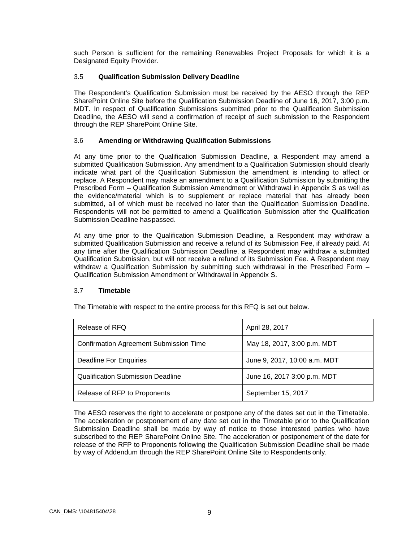such Person is sufficient for the remaining Renewables Project Proposals for which it is a Designated Equity Provider.

#### <span id="page-13-0"></span>3.5 **Qualification Submission Delivery Deadline**

The Respondent's Qualification Submission must be received by the AESO through the REP SharePoint Online Site before the Qualification Submission Deadline of June 16, 2017, 3:00 p.m. MDT. In respect of Qualification Submissions submitted prior to the Qualification Submission Deadline, the AESO will send a confirmation of receipt of such submission to the Respondent through the REP SharePoint Online Site.

#### <span id="page-13-1"></span>3.6 **Amending or Withdrawing Qualification Submissions**

At any time prior to the Qualification Submission Deadline, a Respondent may amend a submitted Qualification Submission. Any amendment to a Qualification Submission should clearly indicate what part of the Qualification Submission the amendment is intending to affect or replace. A Respondent may make an amendment to a Qualification Submission by submitting the Prescribed Form – Qualification Submission Amendment or Withdrawal in Appendix S as well as the evidence/material which is to supplement or replace material that has already been submitted, all of which must be received no later than the Qualification Submission Deadline. Respondents will not be permitted to amend a Qualification Submission after the Qualification Submission Deadline haspassed.

At any time prior to the Qualification Submission Deadline, a Respondent may withdraw a submitted Qualification Submission and receive a refund of its Submission Fee, if already paid. At any time after the Qualification Submission Deadline, a Respondent may withdraw a submitted Qualification Submission, but will not receive a refund of its Submission Fee. A Respondent may withdraw a Qualification Submission by submitting such withdrawal in the Prescribed Form – Qualification Submission Amendment or Withdrawal in Appendix S.

#### <span id="page-13-2"></span>3.7 **Timetable**

| Release of RFQ                                | April 28, 2017               |
|-----------------------------------------------|------------------------------|
| <b>Confirmation Agreement Submission Time</b> | May 18, 2017, 3:00 p.m. MDT  |
| Deadline For Enquiries                        | June 9, 2017, 10:00 a.m. MDT |
| <b>Qualification Submission Deadline</b>      | June 16, 2017 3:00 p.m. MDT  |
| Release of RFP to Proponents                  | September 15, 2017           |

The Timetable with respect to the entire process for this RFQ is set out below.

The AESO reserves the right to accelerate or postpone any of the dates set out in the Timetable. The acceleration or postponement of any date set out in the Timetable prior to the Qualification Submission Deadline shall be made by way of notice to those interested parties who have subscribed to the REP SharePoint Online Site. The acceleration or postponement of the date for release of the RFP to Proponents following the Qualification Submission Deadline shall be made by way of Addendum through the REP SharePoint Online Site to Respondents only.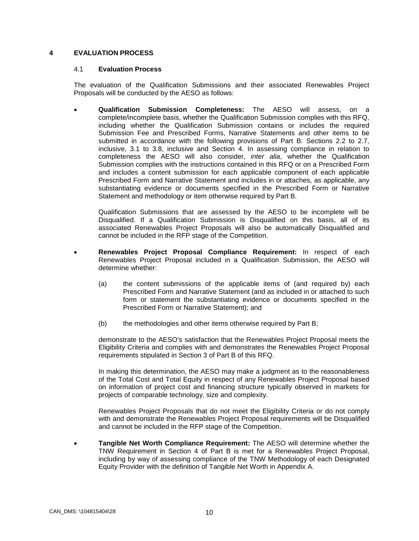#### <span id="page-14-1"></span><span id="page-14-0"></span>**4 EVALUATION PROCESS**

#### 4.1 **Evaluation Process**

The evaluation of the Qualification Submissions and their associated Renewables Project Proposals will be conducted by the AESO as follows:

• **Qualification Submission Completeness:** The AESO will assess, on a complete/incomplete basis, whether the Qualification Submission complies with this RFQ, including whether the Qualification Submission contains or includes the required Submission Fee and Prescribed Forms, Narrative Statements and other items to be submitted in accordance with the following provisions of Part B: Sections 2.2 to 2.7, inclusive, 3.1 to 3.8, inclusive and Section 4. In assessing compliance in relation to completeness the AESO will also consider, *inter alia*, whether the Qualification Submission complies with the instructions contained in this RFQ or on a Prescribed Form and includes a content submission for each applicable component of each applicable Prescribed Form and Narrative Statement and includes in or attaches, as applicable, any substantiating evidence or documents specified in the Prescribed Form or Narrative Statement and methodology or item otherwise required by Part B.

Qualification Submissions that are assessed by the AESO to be incomplete will be Disqualified. If a Qualification Submission is Disqualified on this basis, all of its associated Renewables Project Proposals will also be automatically Disqualified and cannot be included in the RFP stage of the Competition.

- **Renewables Project Proposal Compliance Requirement:** In respect of each Renewables Project Proposal included in a Qualification Submission, the AESO will determine whether:
	- (a) the content submissions of the applicable items of (and required by) each Prescribed Form and Narrative Statement (and as included in or attached to such form or statement the substantiating evidence or documents specified in the Prescribed Form or Narrative Statement); and
	- (b) the methodologies and other items otherwise required by Part B;

demonstrate to the AESO's satisfaction that the Renewables Project Proposal meets the Eligibility Criteria and complies with and demonstrates the Renewables Project Proposal requirements stipulated in Section 3 of Part B of this RFQ.

In making this determination, the AESO may make a judgment as to the reasonableness of the Total Cost and Total Equity in respect of any Renewables Project Proposal based on information of project cost and financing structure typically observed in markets for projects of comparable technology, size and complexity.

Renewables Project Proposals that do not meet the Eligibility Criteria or do not comply with and demonstrate the Renewables Project Proposal requirements will be Disqualified and cannot be included in the RFP stage of the Competition.

• **Tangible Net Worth Compliance Requirement:** The AESO will determine whether the TNW Requirement in Section 4 of Part B is met for a Renewables Project Proposal, including by way of assessing compliance of the TNW Methodology of each Designated Equity Provider with the definition of Tangible Net Worth in Appendix A.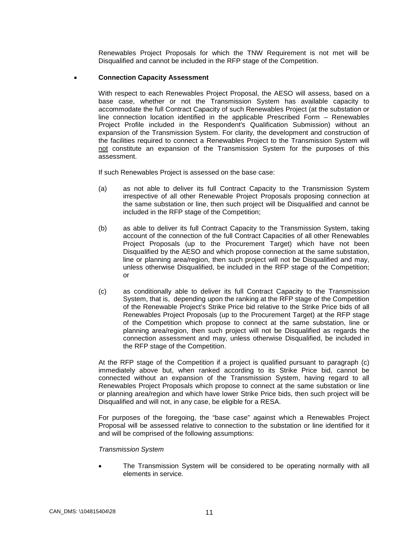Renewables Project Proposals for which the TNW Requirement is not met will be Disqualified and cannot be included in the RFP stage of the Competition.

#### • **Connection Capacity Assessment**

With respect to each Renewables Project Proposal, the AESO will assess, based on a base case, whether or not the Transmission System has available capacity to accommodate the full Contract Capacity of such Renewables Project (at the substation or line connection location identified in the applicable Prescribed Form – Renewables Project Profile included in the Respondent's Qualification Submission) without an expansion of the Transmission System. For clarity, the development and construction of the facilities required to connect a Renewables Project to the Transmission System will not constitute an expansion of the Transmission System for the purposes of this assessment.

If such Renewables Project is assessed on the base case:

- (a) as not able to deliver its full Contract Capacity to the Transmission System irrespective of all other Renewable Project Proposals proposing connection at the same substation or line, then such project will be Disqualified and cannot be included in the RFP stage of the Competition;
- (b) as able to deliver its full Contract Capacity to the Transmission System, taking account of the connection of the full Contract Capacities of all other Renewables Project Proposals (up to the Procurement Target) which have not been Disqualified by the AESO and which propose connection at the same substation, line or planning area/region, then such project will not be Disqualified and may, unless otherwise Disqualified, be included in the RFP stage of the Competition; or
- (c) as conditionally able to deliver its full Contract Capacity to the Transmission System, that is, depending upon the ranking at the RFP stage of the Competition of the Renewable Project's Strike Price bid relative to the Strike Price bids of all Renewables Project Proposals (up to the Procurement Target) at the RFP stage of the Competition which propose to connect at the same substation, line or planning area/region, then such project will not be Disqualified as regards the connection assessment and may, unless otherwise Disqualified, be included in the RFP stage of the Competition.

At the RFP stage of the Competition if a project is qualified pursuant to paragraph (c) immediately above but, when ranked according to its Strike Price bid, cannot be connected without an expansion of the Transmission System, having regard to all Renewables Project Proposals which propose to connect at the same substation or line or planning area/region and which have lower Strike Price bids, then such project will be Disqualified and will not, in any case, be eligible for a RESA.

For purposes of the foregoing, the "base case" against which a Renewables Project Proposal will be assessed relative to connection to the substation or line identified for it and will be comprised of the following assumptions:

#### *Transmission System*

The Transmission System will be considered to be operating normally with all elements in service.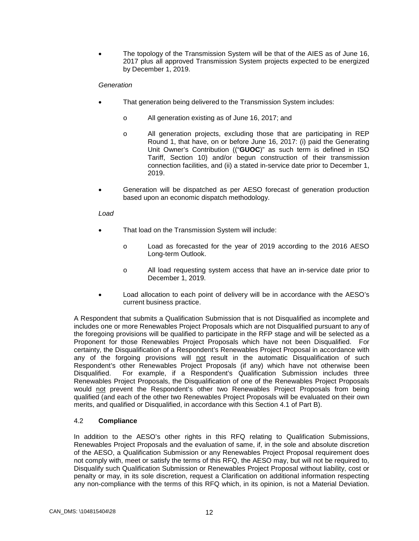• The topology of the Transmission System will be that of the AIES as of June 16, 2017 plus all approved Transmission System projects expected to be energized by December 1, 2019.

#### *Generation*

- That generation being delivered to the Transmission System includes:
	- o All generation existing as of June 16, 2017; and
	- o All generation projects, excluding those that are participating in REP Round 1, that have, on or before June 16, 2017: (i) paid the Generating Unit Owner's Contribution (("**GUOC**)" as such term is defined in ISO Tariff, Section 10) and/or begun construction of their transmission connection facilities, and (ii) a stated in-service date prior to December 1, 2019.
- Generation will be dispatched as per AESO forecast of generation production based upon an economic dispatch methodology.

#### *Load*

- That load on the Transmission System will include:
	- o Load as forecasted for the year of 2019 according to the 2016 AESO Long-term Outlook.
	- o All load requesting system access that have an in-service date prior to December 1, 2019.
- Load allocation to each point of delivery will be in accordance with the AESO's current business practice.

A Respondent that submits a Qualification Submission that is not Disqualified as incomplete and includes one or more Renewables Project Proposals which are not Disqualified pursuant to any of the foregoing provisions will be qualified to participate in the RFP stage and will be selected as a Proponent for those Renewables Project Proposals which have not been Disqualified. For certainty, the Disqualification of a Respondent's Renewables Project Proposal in accordance with any of the forgoing provisions will not result in the automatic Disqualification of such Respondent's other Renewables Project Proposals (if any) which have not otherwise been Disqualified. For example, if a Respondent's Qualification Submission includes three Renewables Project Proposals, the Disqualification of one of the Renewables Project Proposals would not prevent the Respondent's other two Renewables Project Proposals from being qualified (and each of the other two Renewables Project Proposals will be evaluated on their own merits, and qualified or Disqualified, in accordance with this Section 4.1 of Part B).

#### <span id="page-16-0"></span>4.2 **Compliance**

In addition to the AESO's other rights in this RFQ relating to Qualification Submissions, Renewables Project Proposals and the evaluation of same, if, in the sole and absolute discretion of the AESO, a Qualification Submission or any Renewables Project Proposal requirement does not comply with, meet or satisfy the terms of this RFQ, the AESO may, but will not be required to, Disqualify such Qualification Submission or Renewables Project Proposal without liability, cost or penalty or may, in its sole discretion, request a Clarification on additional information respecting any non-compliance with the terms of this RFQ which, in its opinion, is not a Material Deviation.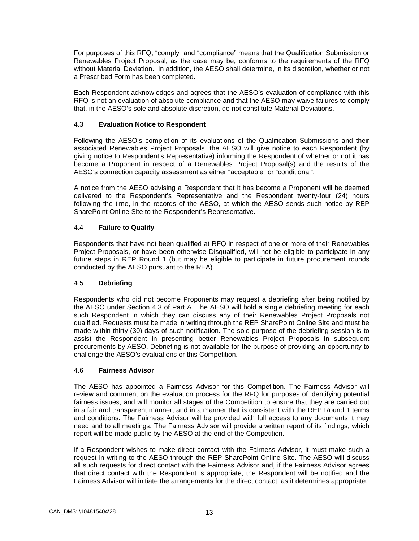For purposes of this RFQ, "comply" and "compliance" means that the Qualification Submission or Renewables Project Proposal, as the case may be, conforms to the requirements of the RFQ without Material Deviation. In addition, the AESO shall determine, in its discretion, whether or not a Prescribed Form has been completed.

Each Respondent acknowledges and agrees that the AESO's evaluation of compliance with this RFQ is not an evaluation of absolute compliance and that the AESO may waive failures to comply that, in the AESO's sole and absolute discretion, do not constitute Material Deviations.

#### <span id="page-17-0"></span>4.3 **Evaluation Notice to Respondent**

Following the AESO's completion of its evaluations of the Qualification Submissions and their associated Renewables Project Proposals, the AESO will give notice to each Respondent (by giving notice to Respondent's Representative) informing the Respondent of whether or not it has become a Proponent in respect of a Renewables Project Proposal(s) and the results of the AESO's connection capacity assessment as either "acceptable" or "conditional".

A notice from the AESO advising a Respondent that it has become a Proponent will be deemed delivered to the Respondent's Representative and the Respondent twenty-four (24) hours following the time, in the records of the AESO, at which the AESO sends such notice by REP SharePoint Online Site to the Respondent's Representative.

#### <span id="page-17-1"></span>4.4 **Failure to Qualify**

Respondents that have not been qualified at RFQ in respect of one or more of their Renewables Project Proposals, or have been otherwise Disqualified, will not be eligible to participate in any future steps in REP Round 1 (but may be eligible to participate in future procurement rounds conducted by the AESO pursuant to the REA).

#### <span id="page-17-2"></span>4.5 **Debriefing**

Respondents who did not become Proponents may request a debriefing after being notified by the AESO under Section 4.3 of Part A. The AESO will hold a single debriefing meeting for each such Respondent in which they can discuss any of their Renewables Project Proposals not qualified. Requests must be made in writing through the REP SharePoint Online Site and must be made within thirty (30) days of such notification. The sole purpose of the debriefing session is to assist the Respondent in presenting better Renewables Project Proposals in subsequent procurements by AESO. Debriefing is not available for the purpose of providing an opportunity to challenge the AESO's evaluations or this Competition.

#### <span id="page-17-3"></span>4.6 **Fairness Advisor**

The AESO has appointed a Fairness Advisor for this Competition. The Fairness Advisor will review and comment on the evaluation process for the RFQ for purposes of identifying potential fairness issues, and will monitor all stages of the Competition to ensure that they are carried out in a fair and transparent manner, and in a manner that is consistent with the REP Round 1 terms and conditions. The Fairness Advisor will be provided with full access to any documents it may need and to all meetings. The Fairness Advisor will provide a written report of its findings, which report will be made public by the AESO at the end of the Competition.

If a Respondent wishes to make direct contact with the Fairness Advisor, it must make such a request in writing to the AESO through the REP SharePoint Online Site. The AESO will discuss all such requests for direct contact with the Fairness Advisor and, if the Fairness Advisor agrees that direct contact with the Respondent is appropriate, the Respondent will be notified and the Fairness Advisor will initiate the arrangements for the direct contact, as it determines appropriate.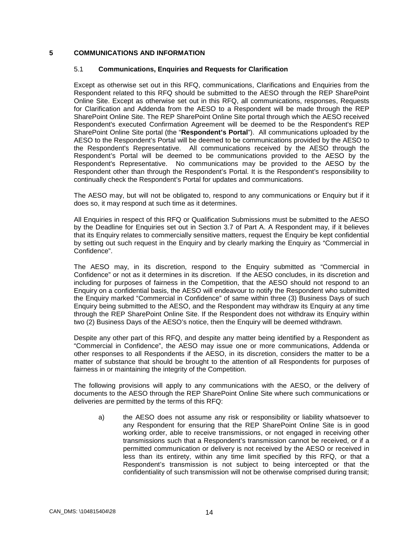#### <span id="page-18-1"></span><span id="page-18-0"></span>**5 COMMUNICATIONS AND INFORMATION**

#### 5.1 **Communications, Enquiries and Requests for Clarification**

Except as otherwise set out in this RFQ, communications, Clarifications and Enquiries from the Respondent related to this RFQ should be submitted to the AESO through the REP SharePoint Online Site. Except as otherwise set out in this RFQ, all communications, responses, Requests for Clarification and Addenda from the AESO to a Respondent will be made through the REP SharePoint Online Site. The REP SharePoint Online Site portal through which the AESO received Respondent's executed Confirmation Agreement will be deemed to be the Respondent's REP SharePoint Online Site portal (the "**Respondent's Portal**"). All communications uploaded by the AESO to the Respondent's Portal will be deemed to be communications provided by the AESO to the Respondent's Representative. All communications received by the AESO through the Respondent's Portal will be deemed to be communications provided to the AESO by the Respondent's Representative. No communications may be provided to the AESO by the Respondent other than through the Respondent's Portal. It is the Respondent's responsibility to continually check the Respondent's Portal for updates and communications.

The AESO may, but will not be obligated to, respond to any communications or Enquiry but if it does so, it may respond at such time as it determines.

All Enquiries in respect of this RFQ or Qualification Submissions must be submitted to the AESO by the Deadline for Enquiries set out in Section 3.7 of Part A. A Respondent may, if it believes that its Enquiry relates to commercially sensitive matters, request the Enquiry be kept confidential by setting out such request in the Enquiry and by clearly marking the Enquiry as "Commercial in Confidence".

The AESO may, in its discretion, respond to the Enquiry submitted as "Commercial in Confidence" or not as it determines in its discretion. If the AESO concludes, in its discretion and including for purposes of fairness in the Competition, that the AESO should not respond to an Enquiry on a confidential basis, the AESO will endeavour to notify the Respondent who submitted the Enquiry marked "Commercial in Confidence" of same within three (3) Business Days of such Enquiry being submitted to the AESO, and the Respondent may withdraw its Enquiry at any time through the REP SharePoint Online Site. If the Respondent does not withdraw its Enquiry within two (2) Business Days of the AESO's notice, then the Enquiry will be deemed withdrawn.

Despite any other part of this RFQ, and despite any matter being identified by a Respondent as "Commercial in Confidence", the AESO may issue one or more communications, Addenda or other responses to all Respondents if the AESO, in its discretion, considers the matter to be a matter of substance that should be brought to the attention of all Respondents for purposes of fairness in or maintaining the integrity of the Competition.

The following provisions will apply to any communications with the AESO, or the delivery of documents to the AESO through the REP SharePoint Online Site where such communications or deliveries are permitted by the terms of this RFQ:

a) the AESO does not assume any risk or responsibility or liability whatsoever to any Respondent for ensuring that the REP SharePoint Online Site is in good working order, able to receive transmissions, or not engaged in receiving other transmissions such that a Respondent's transmission cannot be received, or if a permitted communication or delivery is not received by the AESO or received in less than its entirety, within any time limit specified by this RFQ, or that a Respondent's transmission is not subject to being intercepted or that the confidentiality of such transmission will not be otherwise comprised during transit;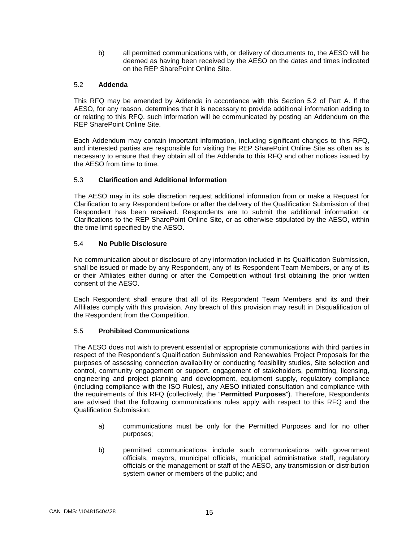b) all permitted communications with, or delivery of documents to, the AESO will be deemed as having been received by the AESO on the dates and times indicated on the REP SharePoint Online Site.

#### <span id="page-19-0"></span>5.2 **Addenda**

This RFQ may be amended by Addenda in accordance with this Section 5.2 of Part A. If the AESO, for any reason, determines that it is necessary to provide additional information adding to or relating to this RFQ, such information will be communicated by posting an Addendum on the REP SharePoint Online Site.

Each Addendum may contain important information, including significant changes to this RFQ, and interested parties are responsible for visiting the REP SharePoint Online Site as often as is necessary to ensure that they obtain all of the Addenda to this RFQ and other notices issued by the AESO from time to time.

#### <span id="page-19-1"></span>5.3 **Clarification and Additional Information**

The AESO may in its sole discretion request additional information from or make a Request for Clarification to any Respondent before or after the delivery of the Qualification Submission of that Respondent has been received. Respondents are to submit the additional information or Clarifications to the REP SharePoint Online Site, or as otherwise stipulated by the AESO, within the time limit specified by the AESO.

#### <span id="page-19-2"></span>5.4 **No Public Disclosure**

No communication about or disclosure of any information included in its Qualification Submission, shall be issued or made by any Respondent, any of its Respondent Team Members, or any of its or their Affiliates either during or after the Competition without first obtaining the prior written consent of the AESO.

Each Respondent shall ensure that all of its Respondent Team Members and its and their Affiliates comply with this provision. Any breach of this provision may result in Disqualification of the Respondent from the Competition.

#### <span id="page-19-3"></span>5.5 **Prohibited Communications**

The AESO does not wish to prevent essential or appropriate communications with third parties in respect of the Respondent's Qualification Submission and Renewables Project Proposals for the purposes of assessing connection availability or conducting feasibility studies, Site selection and control, community engagement or support, engagement of stakeholders, permitting, licensing, engineering and project planning and development, equipment supply, regulatory compliance (including compliance with the ISO Rules), any AESO initiated consultation and compliance with the requirements of this RFQ (collectively, the "**Permitted Purposes**"). Therefore, Respondents are advised that the following communications rules apply with respect to this RFQ and the Qualification Submission:

- a) communications must be only for the Permitted Purposes and for no other purposes;
- b) permitted communications include such communications with government officials, mayors, municipal officials, municipal administrative staff, regulatory officials or the management or staff of the AESO, any transmission or distribution system owner or members of the public; and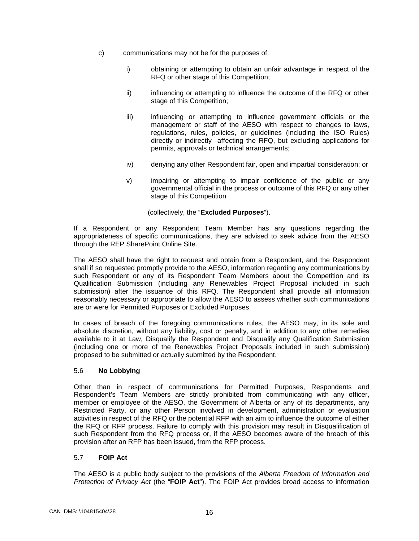- c) communications may not be for the purposes of:
	- i) obtaining or attempting to obtain an unfair advantage in respect of the RFQ or other stage of this Competition;
	- ii) influencing or attempting to influence the outcome of the RFQ or other stage of this Competition;
	- iii) influencing or attempting to influence government officials or the management or staff of the AESO with respect to changes to laws, regulations, rules, policies, or guidelines (including the ISO Rules) directly or indirectly affecting the RFQ, but excluding applications for permits, approvals or technical arrangements;
	- iv) denying any other Respondent fair, open and impartial consideration; or
	- v) impairing or attempting to impair confidence of the public or any governmental official in the process or outcome of this RFQ or any other stage of this Competition

(collectively, the "**Excluded Purposes**").

If a Respondent or any Respondent Team Member has any questions regarding the appropriateness of specific communications, they are advised to seek advice from the AESO through the REP SharePoint Online Site.

The AESO shall have the right to request and obtain from a Respondent, and the Respondent shall if so requested promptly provide to the AESO, information regarding any communications by such Respondent or any of its Respondent Team Members about the Competition and its Qualification Submission (including any Renewables Project Proposal included in such submission) after the issuance of this RFQ. The Respondent shall provide all information reasonably necessary or appropriate to allow the AESO to assess whether such communications are or were for Permitted Purposes or Excluded Purposes.

In cases of breach of the foregoing communications rules, the AESO may, in its sole and absolute discretion, without any liability, cost or penalty, and in addition to any other remedies available to it at Law, Disqualify the Respondent and Disqualify any Qualification Submission (including one or more of the Renewables Project Proposals included in such submission) proposed to be submitted or actually submitted by the Respondent.

#### <span id="page-20-0"></span>5.6 **No Lobbying**

Other than in respect of communications for Permitted Purposes, Respondents and Respondent's Team Members are strictly prohibited from communicating with any officer, member or employee of the AESO, the Government of Alberta or any of its departments, any Restricted Party, or any other Person involved in development, administration or evaluation activities in respect of the RFQ or the potential RFP with an aim to influence the outcome of either the RFQ or RFP process. Failure to comply with this provision may result in Disqualification of such Respondent from the RFQ process or, if the AESO becomes aware of the breach of this provision after an RFP has been issued, from the RFP process.

#### <span id="page-20-1"></span>5.7 **FOIP Act**

The AESO is a public body subject to the provisions of the *Alberta Freedom of Information and Protection of Privacy Act* (the "**FOIP Act**"). The FOIP Act provides broad access to information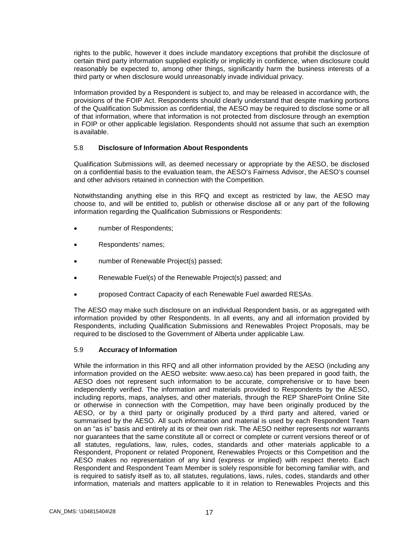rights to the public, however it does include mandatory exceptions that prohibit the disclosure of certain third party information supplied explicitly or implicitly in confidence, when disclosure could reasonably be expected to, among other things, significantly harm the business interests of a third party or when disclosure would unreasonably invade individual privacy.

Information provided by a Respondent is subject to, and may be released in accordance with, the provisions of the FOIP Act. Respondents should clearly understand that despite marking portions of the Qualification Submission as confidential, the AESO may be required to disclose some or all of that information, where that information is not protected from disclosure through an exemption in FOIP or other applicable legislation. Respondents should not assume that such an exemption is available.

#### <span id="page-21-0"></span>5.8 **Disclosure of Information About Respondents**

Qualification Submissions will, as deemed necessary or appropriate by the AESO, be disclosed on a confidential basis to the evaluation team, the AESO's Fairness Advisor, the AESO's counsel and other advisors retained in connection with the Competition.

Notwithstanding anything else in this RFQ and except as restricted by law, the AESO may choose to, and will be entitled to, publish or otherwise disclose all or any part of the following information regarding the Qualification Submissions or Respondents:

- number of Respondents;
- Respondents' names;
- number of Renewable Project(s) passed;
- Renewable Fuel(s) of the Renewable Project(s) passed; and
- proposed Contract Capacity of each Renewable Fuel awarded RESAs.

The AESO may make such disclosure on an individual Respondent basis, or as aggregated with information provided by other Respondents. In all events, any and all information provided by Respondents, including Qualification Submissions and Renewables Project Proposals, may be required to be disclosed to the Government of Alberta under applicable Law.

#### <span id="page-21-1"></span>5.9 **Accuracy of Information**

While the information in this RFQ and all other information provided by the AESO (including any information provided on the AESO website: www.aeso.ca) has been prepared in good faith, the AESO does not represent such information to be accurate, comprehensive or to have been independently verified. The information and materials provided to Respondents by the AESO, including reports, maps, analyses, and other materials, through the REP SharePoint Online Site or otherwise in connection with the Competition, may have been originally produced by the AESO, or by a third party or originally produced by a third party and altered, varied or summarised by the AESO. All such information and material is used by each Respondent Team on an "as is" basis and entirely at its or their own risk. The AESO neither represents nor warrants nor guarantees that the same constitute all or correct or complete or current versions thereof or of all statutes, regulations, law, rules, codes, standards and other materials applicable to a Respondent, Proponent or related Proponent, Renewables Projects or this Competition and the AESO makes no representation of any kind (express or implied) with respect thereto. Each Respondent and Respondent Team Member is solely responsible for becoming familiar with, and is required to satisfy itself as to, all statutes, regulations, laws, rules, codes, standards and other information, materials and matters applicable to it in relation to Renewables Projects and this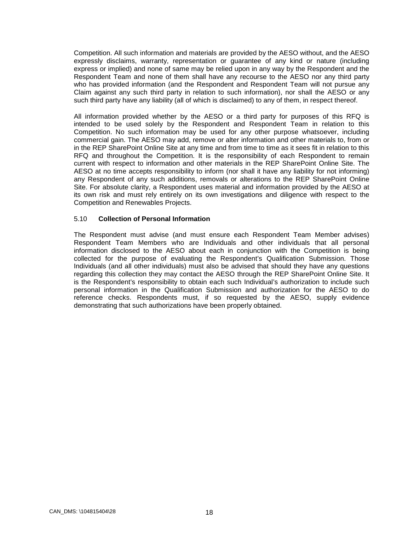Competition. All such information and materials are provided by the AESO without, and the AESO expressly disclaims, warranty, representation or guarantee of any kind or nature (including express or implied) and none of same may be relied upon in any way by the Respondent and the Respondent Team and none of them shall have any recourse to the AESO nor any third party who has provided information (and the Respondent and Respondent Team will not pursue any Claim against any such third party in relation to such information), nor shall the AESO or any such third party have any liability (all of which is disclaimed) to any of them, in respect thereof.

All information provided whether by the AESO or a third party for purposes of this RFQ is intended to be used solely by the Respondent and Respondent Team in relation to this Competition. No such information may be used for any other purpose whatsoever, including commercial gain. The AESO may add, remove or alter information and other materials to, from or in the REP SharePoint Online Site at any time and from time to time as it sees fit in relation to this RFQ and throughout the Competition. It is the responsibility of each Respondent to remain current with respect to information and other materials in the REP SharePoint Online Site. The AESO at no time accepts responsibility to inform (nor shall it have any liability for not informing) any Respondent of any such additions, removals or alterations to the REP SharePoint Online Site. For absolute clarity, a Respondent uses material and information provided by the AESO at its own risk and must rely entirely on its own investigations and diligence with respect to the Competition and Renewables Projects.

#### <span id="page-22-0"></span>5.10 **Collection of Personal Information**

The Respondent must advise (and must ensure each Respondent Team Member advises) Respondent Team Members who are Individuals and other individuals that all personal information disclosed to the AESO about each in conjunction with the Competition is being collected for the purpose of evaluating the Respondent's Qualification Submission. Those Individuals (and all other individuals) must also be advised that should they have any questions regarding this collection they may contact the AESO through the REP SharePoint Online Site. It is the Respondent's responsibility to obtain each such Individual's authorization to include such personal information in the Qualification Submission and authorization for the AESO to do reference checks. Respondents must, if so requested by the AESO, supply evidence demonstrating that such authorizations have been properly obtained.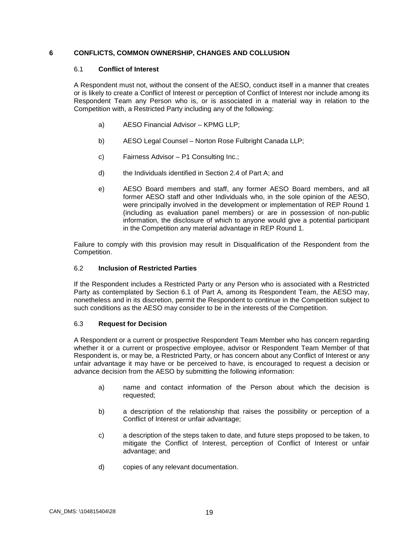#### <span id="page-23-1"></span><span id="page-23-0"></span>**6 CONFLICTS, COMMON OWNERSHIP, CHANGES AND COLLUSION**

#### 6.1 **Conflict of Interest**

A Respondent must not, without the consent of the AESO, conduct itself in a manner that creates or is likely to create a Conflict of Interest or perception of Conflict of Interest nor include among its Respondent Team any Person who is, or is associated in a material way in relation to the Competition with, a Restricted Party including any of the following:

- a) AESO Financial Advisor KPMG LLP;
- b) AESO Legal Counsel Norton Rose Fulbright Canada LLP;
- c) Fairness Advisor P1 Consulting Inc.;
- d) the Individuals identified in Section 2.4 of Part A; and
- e) AESO Board members and staff, any former AESO Board members, and all former AESO staff and other Individuals who, in the sole opinion of the AESO, were principally involved in the development or implementation of REP Round 1 (including as evaluation panel members) or are in possession of non-public information, the disclosure of which to anyone would give a potential participant in the Competition any material advantage in REP Round 1.

Failure to comply with this provision may result in Disqualification of the Respondent from the Competition.

#### <span id="page-23-2"></span>6.2 **Inclusion of Restricted Parties**

If the Respondent includes a Restricted Party or any Person who is associated with a Restricted Party as contemplated by Section 6.1 of Part A, among its Respondent Team, the AESO may, nonetheless and in its discretion, permit the Respondent to continue in the Competition subject to such conditions as the AESO may consider to be in the interests of the Competition.

#### <span id="page-23-3"></span>6.3 **Request for Decision**

A Respondent or a current or prospective Respondent Team Member who has concern regarding whether it or a current or prospective employee, advisor or Respondent Team Member of that Respondent is, or may be, a Restricted Party, or has concern about any Conflict of Interest or any unfair advantage it may have or be perceived to have, is encouraged to request a decision or advance decision from the AESO by submitting the following information:

- a) name and contact information of the Person about which the decision is requested;
- b) a description of the relationship that raises the possibility or perception of a Conflict of Interest or unfair advantage;
- c) a description of the steps taken to date, and future steps proposed to be taken, to mitigate the Conflict of Interest, perception of Conflict of Interest or unfair advantage; and
- d) copies of any relevant documentation.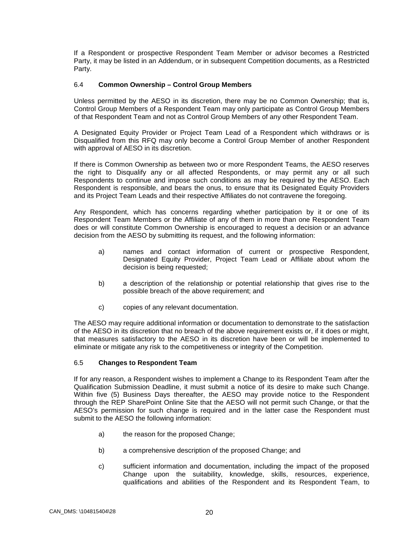If a Respondent or prospective Respondent Team Member or advisor becomes a Restricted Party, it may be listed in an Addendum, or in subsequent Competition documents, as a Restricted Party.

#### <span id="page-24-0"></span>6.4 **Common Ownership – Control Group Members**

Unless permitted by the AESO in its discretion, there may be no Common Ownership; that is, Control Group Members of a Respondent Team may only participate as Control Group Members of that Respondent Team and not as Control Group Members of any other Respondent Team.

A Designated Equity Provider or Project Team Lead of a Respondent which withdraws or is Disqualified from this RFQ may only become a Control Group Member of another Respondent with approval of AESO in its discretion.

If there is Common Ownership as between two or more Respondent Teams, the AESO reserves the right to Disqualify any or all affected Respondents, or may permit any or all such Respondents to continue and impose such conditions as may be required by the AESO. Each Respondent is responsible, and bears the onus, to ensure that its Designated Equity Providers and its Project Team Leads and their respective Affiliates do not contravene the foregoing.

Any Respondent, which has concerns regarding whether participation by it or one of its Respondent Team Members or the Affiliate of any of them in more than one Respondent Team does or will constitute Common Ownership is encouraged to request a decision or an advance decision from the AESO by submitting its request, and the following information:

- a) names and contact information of current or prospective Respondent, Designated Equity Provider, Project Team Lead or Affiliate about whom the decision is being requested;
- b) a description of the relationship or potential relationship that gives rise to the possible breach of the above requirement; and
- c) copies of any relevant documentation.

The AESO may require additional information or documentation to demonstrate to the satisfaction of the AESO in its discretion that no breach of the above requirement exists or, if it does or might, that measures satisfactory to the AESO in its discretion have been or will be implemented to eliminate or mitigate any risk to the competitiveness or integrity of the Competition.

#### <span id="page-24-1"></span>6.5 **Changes to Respondent Team**

If for any reason, a Respondent wishes to implement a Change to its Respondent Team after the Qualification Submission Deadline, it must submit a notice of its desire to make such Change. Within five (5) Business Days thereafter, the AESO may provide notice to the Respondent through the REP SharePoint Online Site that the AESO will not permit such Change, or that the AESO's permission for such change is required and in the latter case the Respondent must submit to the AESO the following information:

- a) the reason for the proposed Change;
- b) a comprehensive description of the proposed Change; and
- c) sufficient information and documentation, including the impact of the proposed Change upon the suitability, knowledge, skills, resources, experience, qualifications and abilities of the Respondent and its Respondent Team, to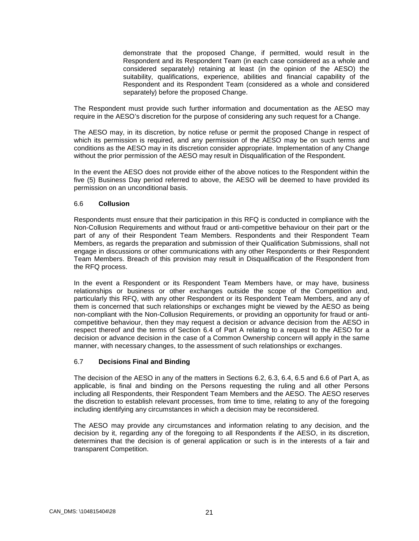demonstrate that the proposed Change, if permitted, would result in the Respondent and its Respondent Team (in each case considered as a whole and considered separately) retaining at least (in the opinion of the AESO) the suitability, qualifications, experience, abilities and financial capability of the Respondent and its Respondent Team (considered as a whole and considered separately) before the proposed Change.

The Respondent must provide such further information and documentation as the AESO may require in the AESO's discretion for the purpose of considering any such request for a Change.

The AESO may, in its discretion, by notice refuse or permit the proposed Change in respect of which its permission is required, and any permission of the AESO may be on such terms and conditions as the AESO may in its discretion consider appropriate. Implementation of any Change without the prior permission of the AESO may result in Disqualification of the Respondent.

In the event the AESO does not provide either of the above notices to the Respondent within the five (5) Business Day period referred to above, the AESO will be deemed to have provided its permission on an unconditional basis.

#### <span id="page-25-0"></span>6.6 **Collusion**

Respondents must ensure that their participation in this RFQ is conducted in compliance with the Non-Collusion Requirements and without fraud or anti-competitive behaviour on their part or the part of any of their Respondent Team Members. Respondents and their Respondent Team Members, as regards the preparation and submission of their Qualification Submissions, shall not engage in discussions or other communications with any other Respondents or their Respondent Team Members. Breach of this provision may result in Disqualification of the Respondent from the RFQ process.

In the event a Respondent or its Respondent Team Members have, or may have, business relationships or business or other exchanges outside the scope of the Competition and, particularly this RFQ, with any other Respondent or its Respondent Team Members, and any of them is concerned that such relationships or exchanges might be viewed by the AESO as being non-compliant with the Non-Collusion Requirements, or providing an opportunity for fraud or anticompetitive behaviour, then they may request a decision or advance decision from the AESO in respect thereof and the terms of Section 6.4 of Part A relating to a request to the AESO for a decision or advance decision in the case of a Common Ownership concern will apply in the same manner, with necessary changes, to the assessment of such relationships or exchanges.

#### <span id="page-25-1"></span>6.7 **Decisions Final and Binding**

The decision of the AESO in any of the matters in Sections 6.2, 6.3, 6.4, 6.5 and 6.6 of Part A, as applicable, is final and binding on the Persons requesting the ruling and all other Persons including all Respondents, their Respondent Team Members and the AESO. The AESO reserves the discretion to establish relevant processes, from time to time, relating to any of the foregoing including identifying any circumstances in which a decision may be reconsidered.

The AESO may provide any circumstances and information relating to any decision, and the decision by it, regarding any of the foregoing to all Respondents if the AESO, in its discretion, determines that the decision is of general application or such is in the interests of a fair and transparent Competition.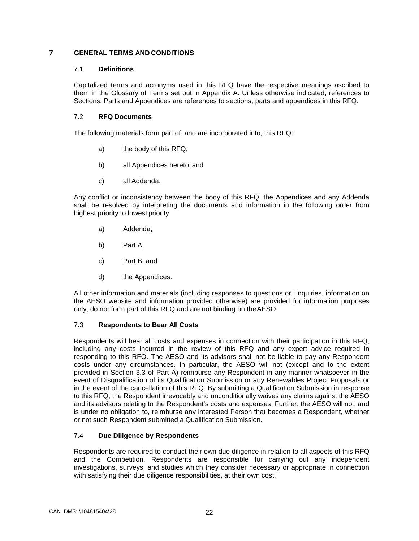#### <span id="page-26-1"></span><span id="page-26-0"></span>**7 GENERAL TERMS AND CONDITIONS**

#### 7.1 **Definitions**

Capitalized terms and acronyms used in this RFQ have the respective meanings ascribed to them in the Glossary of Terms set out in Appendix A. Unless otherwise indicated, references to Sections, Parts and Appendices are references to sections, parts and appendices in this RFQ.

#### <span id="page-26-2"></span>7.2 **RFQ Documents**

The following materials form part of, and are incorporated into, this RFQ:

- a) the body of this RFQ;
- b) all Appendices hereto; and
- c) all Addenda.

Any conflict or inconsistency between the body of this RFQ, the Appendices and any Addenda shall be resolved by interpreting the documents and information in the following order from highest priority to lowest priority:

- a) Addenda;
- b) Part A;
- c) Part B; and
- d) the Appendices.

All other information and materials (including responses to questions or Enquiries, information on the AESO website and information provided otherwise) are provided for information purposes only, do not form part of this RFQ and are not binding on theAESO.

#### <span id="page-26-3"></span>7.3 **Respondents to Bear All Costs**

Respondents will bear all costs and expenses in connection with their participation in this RFQ, including any costs incurred in the review of this RFQ and any expert advice required in responding to this RFQ. The AESO and its advisors shall not be liable to pay any Respondent costs under any circumstances. In particular, the AESO will not (except and to the extent provided in Section 3.3 of Part A) reimburse any Respondent in any manner whatsoever in the event of Disqualification of its Qualification Submission or any Renewables Project Proposals or in the event of the cancellation of this RFQ. By submitting a Qualification Submission in response to this RFQ, the Respondent irrevocably and unconditionally waives any claims against the AESO and its advisors relating to the Respondent's costs and expenses. Further, the AESO will not, and is under no obligation to, reimburse any interested Person that becomes a Respondent, whether or not such Respondent submitted a Qualification Submission.

#### <span id="page-26-4"></span>7.4 **Due Diligence by Respondents**

Respondents are required to conduct their own due diligence in relation to all aspects of this RFQ and the Competition. Respondents are responsible for carrying out any independent investigations, surveys, and studies which they consider necessary or appropriate in connection with satisfying their due diligence responsibilities, at their own cost.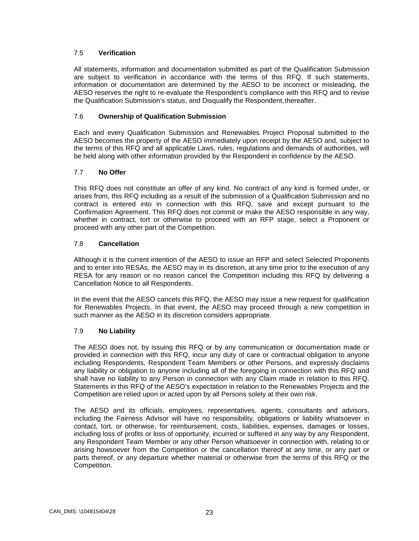#### <span id="page-27-0"></span>7.5 **Verification**

All statements, information and documentation submitted as part of the Qualification Submission are subject to verification in accordance with the terms of this RFQ. If such statements, information or documentation are determined by the AESO to be incorrect or misleading, the AESO reserves the right to re-evaluate the Respondent's compliance with this RFQ and to revise the Qualification Submission's status, and Disqualify the Respondent, thereafter.

#### <span id="page-27-1"></span>7.6 **Ownership of Qualification Submission**

Each and every Qualification Submission and Renewables Project Proposal submitted to the AESO becomes the property of the AESO immediately upon receipt by the AESO and, subject to the terms of this RFQ and all applicable Laws, rules, regulations and demands of authorities, will be held along with other information provided by the Respondent in confidence by the AESO.

#### <span id="page-27-2"></span>7.7 **No Offer**

This RFQ does not constitute an offer of any kind. No contract of any kind is formed under, or arises from, this RFQ including as a result of the submission of a Qualification Submission and no contract is entered into in connection with this RFQ, save and except pursuant to the Confirmation Agreement. This RFQ does not commit or make the AESO responsible in any way, whether in contract, tort or otherwise to proceed with an RFP stage, select a Proponent or proceed with any other part of the Competition.

#### <span id="page-27-3"></span>7.8 **Cancellation**

Although it is the current intention of the AESO to issue an RFP and select Selected Proponents and to enter into RESAs, the AESO may in its discretion, at any time prior to the execution of any RESA for any reason or no reason cancel the Competition including this RFQ by delivering a Cancellation Notice to all Respondents.

In the event that the AESO cancels this RFQ, the AESO may issue a new request for qualification for Renewables Projects. In that event, the AESO may proceed through a new competition in such manner as the AESO in its discretion considers appropriate.

#### <span id="page-27-4"></span>7.9 **No Liability**

The AESO does not, by issuing this RFQ or by any communication or documentation made or provided in connection with this RFQ, incur any duty of care or contractual obligation to anyone including Respondents, Respondent Team Members or other Persons, and expressly disclaims any liability or obligation to anyone including all of the foregoing in connection with this RFQ and shall have no liability to any Person in connection with any Claim made in relation to this RFQ. Statements in this RFQ of the AESO's expectation in relation to the Renewables Projects and the Competition are relied upon or acted upon by all Persons solely at their own risk.

The AESO and its officials, employees, representatives, agents, consultants and advisors, including the Fairness Advisor will have no responsibility, obligations or liability whatsoever in contact, tort, or otherwise, for reimbursement, costs, liabilities, expenses, damages or losses, including loss of profits or loss of opportunity, incurred or suffered in any way by any Respondent, any Respondent Team Member or any other Person whatsoever in connection with, relating to or arising howsoever from the Competition or the cancellation thereof at any time, or any part or parts thereof, or any departure whether material or otherwise from the terms of this RFQ or the Competition.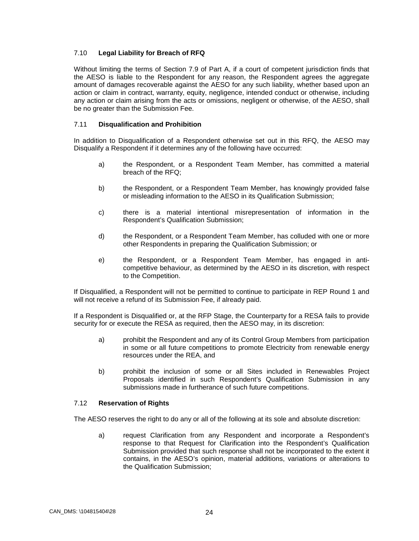#### <span id="page-28-0"></span>7.10 **Legal Liability for Breach of RFQ**

Without limiting the terms of Section 7.9 of Part A, if a court of competent jurisdiction finds that the AESO is liable to the Respondent for any reason, the Respondent agrees the aggregate amount of damages recoverable against the AESO for any such liability, whether based upon an action or claim in contract, warranty, equity, negligence, intended conduct or otherwise, including any action or claim arising from the acts or omissions, negligent or otherwise, of the AESO, shall be no greater than the Submission Fee.

#### <span id="page-28-1"></span>7.11 **Disqualification and Prohibition**

In addition to Disqualification of a Respondent otherwise set out in this RFQ, the AESO may Disqualify a Respondent if it determines any of the following have occurred:

- a) the Respondent, or a Respondent Team Member, has committed a material breach of the RFQ;
- b) the Respondent, or a Respondent Team Member, has knowingly provided false or misleading information to the AESO in its Qualification Submission;
- c) there is a material intentional misrepresentation of information in the Respondent's Qualification Submission;
- d) the Respondent, or a Respondent Team Member, has colluded with one or more other Respondents in preparing the Qualification Submission; or
- e) the Respondent, or a Respondent Team Member, has engaged in anticompetitive behaviour, as determined by the AESO in its discretion, with respect to the Competition.

If Disqualified, a Respondent will not be permitted to continue to participate in REP Round 1 and will not receive a refund of its Submission Fee, if already paid.

If a Respondent is Disqualified or, at the RFP Stage, the Counterparty for a RESA fails to provide security for or execute the RESA as required, then the AESO may, in its discretion:

- a) prohibit the Respondent and any of its Control Group Members from participation in some or all future competitions to promote Electricity from renewable energy resources under the REA, and
- b) prohibit the inclusion of some or all Sites included in Renewables Project Proposals identified in such Respondent's Qualification Submission in any submissions made in furtherance of such future competitions.

#### <span id="page-28-2"></span>7.12 **Reservation of Rights**

The AESO reserves the right to do any or all of the following at its sole and absolute discretion:

a) request Clarification from any Respondent and incorporate a Respondent's response to that Request for Clarification into the Respondent's Qualification Submission provided that such response shall not be incorporated to the extent it contains, in the AESO's opinion, material additions, variations or alterations to the Qualification Submission;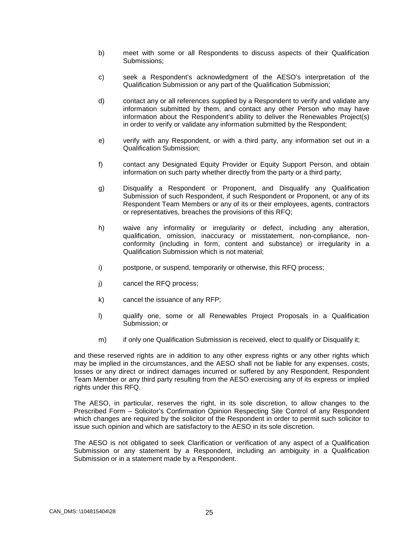- b) meet with some or all Respondents to discuss aspects of their Qualification Submissions;
- c) seek a Respondent's acknowledgment of the AESO's interpretation of the Qualification Submission or any part of the Qualification Submission;
- d) contact any or all references supplied by a Respondent to verify and validate any information submitted by them, and contact any other Person who may have information about the Respondent's ability to deliver the Renewables Project(s) in order to verify or validate any information submitted by the Respondent;
- e) verify with any Respondent, or with a third party, any information set out in a Qualification Submission;
- f) contact any Designated Equity Provider or Equity Support Person, and obtain information on such party whether directly from the party or a third party;
- g) Disqualify a Respondent or Proponent, and Disqualify any Qualification Submission of such Respondent, if such Respondent or Proponent, or any of its Respondent Team Members or any of its or their employees, agents, contractors or representatives, breaches the provisions of this RFQ;
- h) waive any informality or irregularity or defect, including any alteration, qualification, omission, inaccuracy or misstatement, non-compliance, nonconformity (including in form, content and substance) or irregularity in a Qualification Submission which is not material;
- i) postpone, or suspend, temporarily or otherwise, this RFQ process;
- j) cancel the RFQ process;
- k) cancel the issuance of any RFP;
- l) qualify one, some or all Renewables Project Proposals in a Qualification Submission; or
- m) if only one Qualification Submission is received, elect to qualify or Disqualify it;

and these reserved rights are in addition to any other express rights or any other rights which may be implied in the circumstances, and the AESO shall not be liable for any expenses, costs, losses or any direct or indirect damages incurred or suffered by any Respondent, Respondent Team Member or any third party resulting from the AESO exercising any of its express or implied rights under this RFQ.

The AESO, in particular, reserves the right, in its sole discretion, to allow changes to the Prescribed Form – Solicitor's Confirmation Opinion Respecting Site Control of any Respondent which changes are required by the solicitor of the Respondent in order to permit such solicitor to issue such opinion and which are satisfactory to the AESO in its sole discretion.

The AESO is not obligated to seek Clarification or verification of any aspect of a Qualification Submission or any statement by a Respondent, including an ambiguity in a Qualification Submission or in a statement made by a Respondent.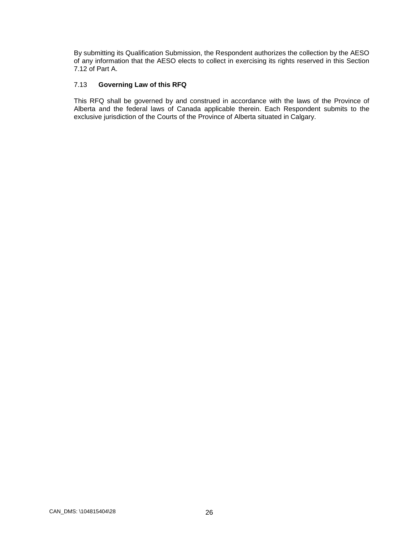By submitting its Qualification Submission, the Respondent authorizes the collection by the AESO of any information that the AESO elects to collect in exercising its rights reserved in this Section 7.12 of Part A.

#### <span id="page-30-0"></span>7.13 **Governing Law of this RFQ**

This RFQ shall be governed by and construed in accordance with the laws of the Province of Alberta and the federal laws of Canada applicable therein. Each Respondent submits to the exclusive jurisdiction of the Courts of the Province of Alberta situated in Calgary.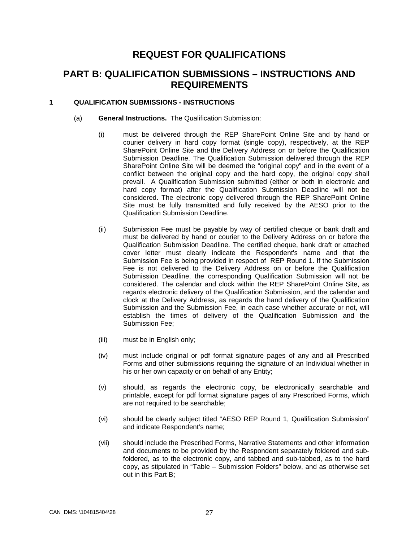### **REQUEST FOR QUALIFICATIONS**

### **PART B: QUALIFICATION SUBMISSIONS – INSTRUCTIONS AND REQUIREMENTS**

#### <span id="page-31-0"></span>**1 QUALIFICATION SUBMISSIONS - INSTRUCTIONS**

- (a) **General Instructions.** The Qualification Submission:
	- (i) must be delivered through the REP SharePoint Online Site and by hand or courier delivery in hard copy format (single copy), respectively, at the REP SharePoint Online Site and the Delivery Address on or before the Qualification Submission Deadline. The Qualification Submission delivered through the REP SharePoint Online Site will be deemed the "original copy" and in the event of a conflict between the original copy and the hard copy, the original copy shall prevail. A Qualification Submission submitted (either or both in electronic and hard copy format) after the Qualification Submission Deadline will not be considered. The electronic copy delivered through the REP SharePoint Online Site must be fully transmitted and fully received by the AESO prior to the Qualification Submission Deadline.
	- (ii) Submission Fee must be payable by way of certified cheque or bank draft and must be delivered by hand or courier to the Delivery Address on or before the Qualification Submission Deadline. The certified cheque, bank draft or attached cover letter must clearly indicate the Respondent's name and that the Submission Fee is being provided in respect of REP Round 1. If the Submission Fee is not delivered to the Delivery Address on or before the Qualification Submission Deadline, the corresponding Qualification Submission will not be considered. The calendar and clock within the REP SharePoint Online Site, as regards electronic delivery of the Qualification Submission, and the calendar and clock at the Delivery Address, as regards the hand delivery of the Qualification Submission and the Submission Fee, in each case whether accurate or not, will establish the times of delivery of the Qualification Submission and the Submission Fee;
	- (iii) must be in English only;
	- (iv) must include original or pdf format signature pages of any and all Prescribed Forms and other submissions requiring the signature of an Individual whether in his or her own capacity or on behalf of any Entity;
	- (v) should, as regards the electronic copy, be electronically searchable and printable, except for pdf format signature pages of any Prescribed Forms, which are not required to be searchable;
	- (vi) should be clearly subject titled "AESO REP Round 1, Qualification Submission" and indicate Respondent's name;
	- (vii) should include the Prescribed Forms, Narrative Statements and other information and documents to be provided by the Respondent separately foldered and subfoldered, as to the electronic copy, and tabbed and sub-tabbed, as to the hard copy, as stipulated in "Table – Submission Folders" below, and as otherwise set out in this Part B;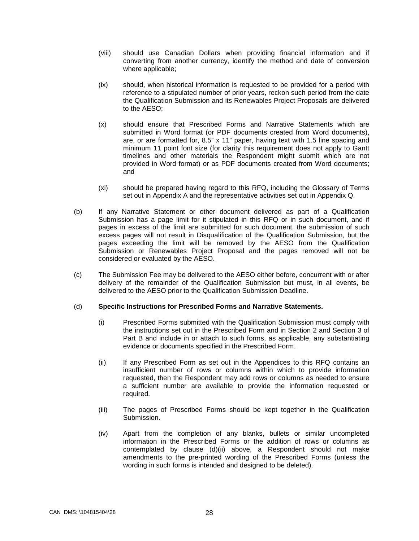- (viii) should use Canadian Dollars when providing financial information and if converting from another currency, identify the method and date of conversion where applicable;
- (ix) should, when historical information is requested to be provided for a period with reference to a stipulated number of prior years, reckon such period from the date the Qualification Submission and its Renewables Project Proposals are delivered to the AESO;
- (x) should ensure that Prescribed Forms and Narrative Statements which are submitted in Word format (or PDF documents created from Word documents), are, or are formatted for, 8.5" x 11" paper, having text with 1.5 line spacing and minimum 11 point font size (for clarity this requirement does not apply to Gantt timelines and other materials the Respondent might submit which are not provided in Word format) or as PDF documents created from Word documents; and
- (xi) should be prepared having regard to this RFQ, including the Glossary of Terms set out in Appendix A and the representative activities set out in Appendix Q.
- (b) If any Narrative Statement or other document delivered as part of a Qualification Submission has a page limit for it stipulated in this RFQ or in such document, and if pages in excess of the limit are submitted for such document, the submission of such excess pages will not result in Disqualification of the Qualification Submission, but the pages exceeding the limit will be removed by the AESO from the Qualification Submission or Renewables Project Proposal and the pages removed will not be considered or evaluated by the AESO.
- (c) The Submission Fee may be delivered to the AESO either before, concurrent with or after delivery of the remainder of the Qualification Submission but must, in all events, be delivered to the AESO prior to the Qualification Submission Deadline.

#### (d) **Specific Instructions for Prescribed Forms and Narrative Statements.**

- (i) Prescribed Forms submitted with the Qualification Submission must comply with the instructions set out in the Prescribed Form and in Section 2 and Section 3 of Part B and include in or attach to such forms, as applicable, any substantiating evidence or documents specified in the Prescribed Form.
- (ii) If any Prescribed Form as set out in the Appendices to this RFQ contains an insufficient number of rows or columns within which to provide information requested, then the Respondent may add rows or columns as needed to ensure a sufficient number are available to provide the information requested or required.
- (iii) The pages of Prescribed Forms should be kept together in the Qualification Submission.
- (iv) Apart from the completion of any blanks, bullets or similar uncompleted information in the Prescribed Forms or the addition of rows or columns as contemplated by clause (d)(ii) above, a Respondent should not make amendments to the pre-printed wording of the Prescribed Forms (unless the wording in such forms is intended and designed to be deleted).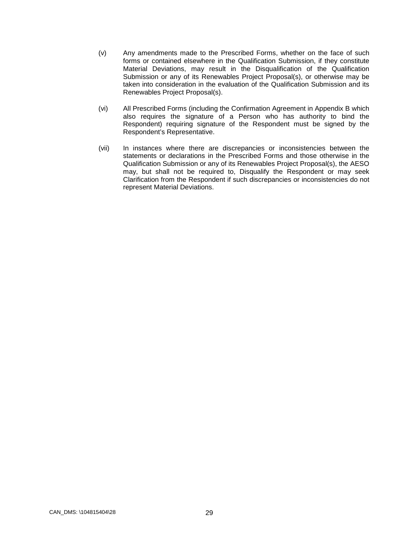- (v) Any amendments made to the Prescribed Forms, whether on the face of such forms or contained elsewhere in the Qualification Submission, if they constitute Material Deviations, may result in the Disqualification of the Qualification Submission or any of its Renewables Project Proposal(s), or otherwise may be taken into consideration in the evaluation of the Qualification Submission and its Renewables Project Proposal(s).
- (vi) All Prescribed Forms (including the Confirmation Agreement in Appendix B which also requires the signature of a Person who has authority to bind the Respondent) requiring signature of the Respondent must be signed by the Respondent's Representative.
- (vii) In instances where there are discrepancies or inconsistencies between the statements or declarations in the Prescribed Forms and those otherwise in the Qualification Submission or any of its Renewables Project Proposal(s), the AESO may, but shall not be required to, Disqualify the Respondent or may seek Clarification from the Respondent if such discrepancies or inconsistencies do not represent Material Deviations.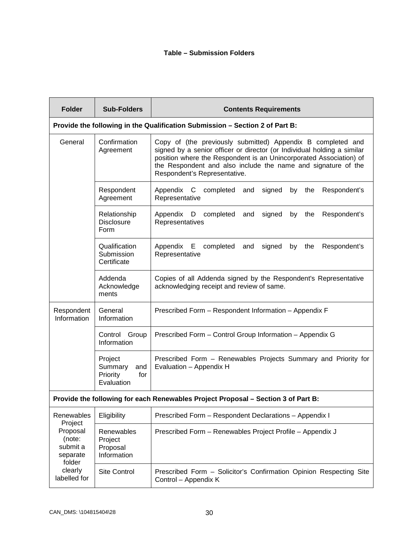#### **Table – Submission Folders**

| <b>Folder</b>                                                                | <b>Sub-Folders</b>                                         | <b>Contents Requirements</b>                                                                                                                                                                                                                                                                                  |  |  |  |  |
|------------------------------------------------------------------------------|------------------------------------------------------------|---------------------------------------------------------------------------------------------------------------------------------------------------------------------------------------------------------------------------------------------------------------------------------------------------------------|--|--|--|--|
| Provide the following in the Qualification Submission - Section 2 of Part B: |                                                            |                                                                                                                                                                                                                                                                                                               |  |  |  |  |
| General                                                                      | Confirmation<br>Agreement                                  | Copy of (the previously submitted) Appendix B completed and<br>signed by a senior officer or director (or Individual holding a similar<br>position where the Respondent is an Unincorporated Association) of<br>the Respondent and also include the name and signature of the<br>Respondent's Representative. |  |  |  |  |
|                                                                              | Respondent<br>Agreement                                    | completed<br>Appendix C<br>signed<br>by the<br>Respondent's<br>and<br>Representative                                                                                                                                                                                                                          |  |  |  |  |
|                                                                              | Relationship<br><b>Disclosure</b><br>Form                  | Appendix D completed<br>signed<br>the<br>and<br>by<br>Respondent's<br>Representatives                                                                                                                                                                                                                         |  |  |  |  |
|                                                                              | Qualification<br>Submission<br>Certificate                 | completed<br>Appendix E<br>and<br>signed<br>by<br>the<br>Respondent's<br>Representative                                                                                                                                                                                                                       |  |  |  |  |
|                                                                              | Addenda<br>Acknowledge<br>ments                            | Copies of all Addenda signed by the Respondent's Representative<br>acknowledging receipt and review of same.                                                                                                                                                                                                  |  |  |  |  |
| Respondent<br>Information                                                    | General<br>Information                                     | Prescribed Form - Respondent Information - Appendix F                                                                                                                                                                                                                                                         |  |  |  |  |
|                                                                              | Control Group<br>Information                               | Prescribed Form - Control Group Information - Appendix G                                                                                                                                                                                                                                                      |  |  |  |  |
|                                                                              | Project<br>Summary<br>and<br>Priority<br>for<br>Evaluation | Prescribed Form - Renewables Projects Summary and Priority for<br>Evaluation - Appendix H                                                                                                                                                                                                                     |  |  |  |  |
|                                                                              |                                                            | Provide the following for each Renewables Project Proposal - Section 3 of Part B:                                                                                                                                                                                                                             |  |  |  |  |
| Renewables<br>Project                                                        | Eligibility                                                | Prescribed Form - Respondent Declarations - Appendix I                                                                                                                                                                                                                                                        |  |  |  |  |
| Proposal<br>(note:<br>submit a<br>separate<br>folder                         | Renewables<br>Project<br>Proposal<br>Information           | Prescribed Form - Renewables Project Profile - Appendix J                                                                                                                                                                                                                                                     |  |  |  |  |
| clearly<br>labelled for                                                      | <b>Site Control</b>                                        | Prescribed Form - Solicitor's Confirmation Opinion Respecting Site<br>Control - Appendix K                                                                                                                                                                                                                    |  |  |  |  |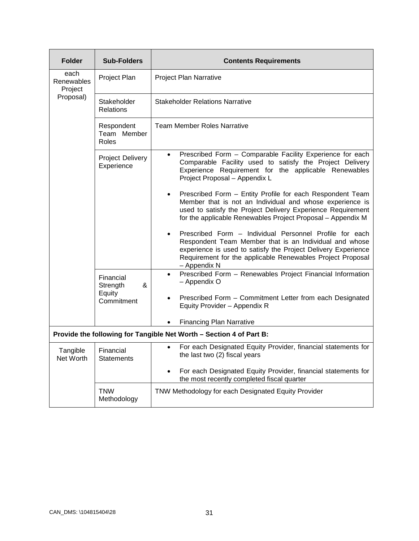| <b>Folder</b>                 | <b>Sub-Folders</b>                    | <b>Contents Requirements</b>                                                                                                                                                                                                                                     |
|-------------------------------|---------------------------------------|------------------------------------------------------------------------------------------------------------------------------------------------------------------------------------------------------------------------------------------------------------------|
| each<br>Renewables<br>Project | Project Plan                          | <b>Project Plan Narrative</b>                                                                                                                                                                                                                                    |
| Proposal)                     | Stakeholder<br><b>Relations</b>       | <b>Stakeholder Relations Narrative</b>                                                                                                                                                                                                                           |
|                               | Respondent<br>Team Member<br>Roles    | <b>Team Member Roles Narrative</b>                                                                                                                                                                                                                               |
|                               | <b>Project Delivery</b><br>Experience | Prescribed Form - Comparable Facility Experience for each<br>$\bullet$<br>Comparable Facility used to satisfy the Project Delivery<br>Experience Requirement for the applicable Renewables<br>Project Proposal - Appendix L                                      |
|                               |                                       | Prescribed Form - Entity Profile for each Respondent Team<br>$\bullet$<br>Member that is not an Individual and whose experience is<br>used to satisfy the Project Delivery Experience Requirement<br>for the applicable Renewables Project Proposal - Appendix M |
|                               |                                       | Prescribed Form - Individual Personnel Profile for each<br>Respondent Team Member that is an Individual and whose<br>experience is used to satisfy the Project Delivery Experience<br>Requirement for the applicable Renewables Project Proposal<br>- Appendix N |
|                               | Financial<br>&<br>Strength            | Prescribed Form - Renewables Project Financial Information<br>$\bullet$<br>- Appendix O                                                                                                                                                                          |
|                               | Equity<br>Commitment                  | Prescribed Form - Commitment Letter from each Designated<br>Equity Provider - Appendix R                                                                                                                                                                         |
|                               |                                       | <b>Financing Plan Narrative</b>                                                                                                                                                                                                                                  |
|                               |                                       | Provide the following for Tangible Net Worth - Section 4 of Part B:                                                                                                                                                                                              |
| Tangible<br>Net Worth         | Financial<br><b>Statements</b>        | For each Designated Equity Provider, financial statements for<br>$\bullet$<br>the last two (2) fiscal years                                                                                                                                                      |
|                               |                                       | For each Designated Equity Provider, financial statements for<br>$\bullet$<br>the most recently completed fiscal quarter                                                                                                                                         |
|                               | <b>TNW</b><br>Methodology             | TNW Methodology for each Designated Equity Provider                                                                                                                                                                                                              |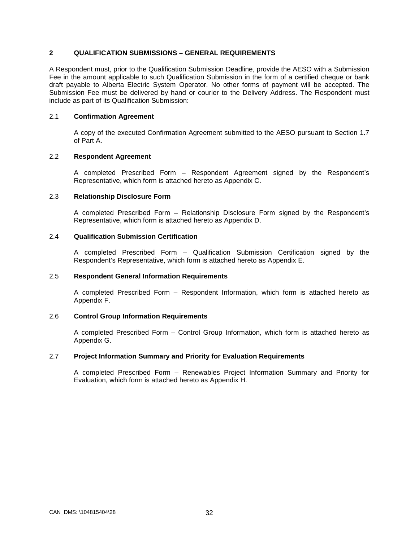### **2 QUALIFICATION SUBMISSIONS – GENERAL REQUIREMENTS**

A Respondent must, prior to the Qualification Submission Deadline, provide the AESO with a Submission Fee in the amount applicable to such Qualification Submission in the form of a certified cheque or bank draft payable to Alberta Electric System Operator. No other forms of payment will be accepted. The Submission Fee must be delivered by hand or courier to the Delivery Address. The Respondent must include as part of its Qualification Submission:

### 2.1 **Confirmation Agreement**

A copy of the executed Confirmation Agreement submitted to the AESO pursuant to Section 1.7 of Part A.

### 2.2 **Respondent Agreement**

A completed Prescribed Form – Respondent Agreement signed by the Respondent's Representative, which form is attached hereto as Appendix C.

### 2.3 **Relationship Disclosure Form**

A completed Prescribed Form – Relationship Disclosure Form signed by the Respondent's Representative, which form is attached hereto as Appendix D.

### 2.4 **Qualification Submission Certification**

A completed Prescribed Form – Qualification Submission Certification signed by the Respondent's Representative, which form is attached hereto as Appendix E.

#### 2.5 **Respondent General Information Requirements**

A completed Prescribed Form – Respondent Information, which form is attached hereto as Appendix F.

#### 2.6 **Control Group Information Requirements**

A completed Prescribed Form – Control Group Information, which form is attached hereto as Appendix G.

#### 2.7 **Project Information Summary and Priority for Evaluation Requirements**

A completed Prescribed Form – Renewables Project Information Summary and Priority for Evaluation, which form is attached hereto as Appendix H.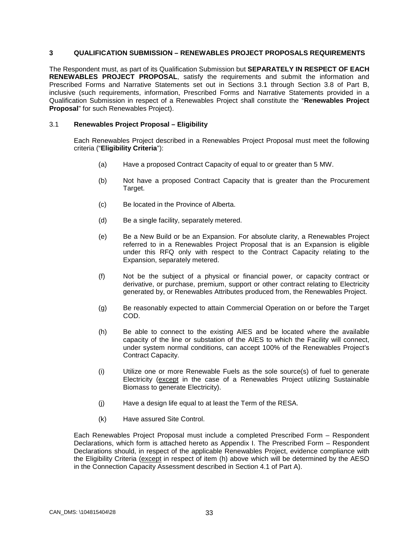### **3 QUALIFICATION SUBMISSION – RENEWABLES PROJECT PROPOSALS REQUIREMENTS**

The Respondent must, as part of its Qualification Submission but **SEPARATELY IN RESPECT OF EACH RENEWABLES PROJECT PROPOSAL**, satisfy the requirements and submit the information and Prescribed Forms and Narrative Statements set out in Sections 3.1 through Section 3.8 of Part B, inclusive (such requirements, information, Prescribed Forms and Narrative Statements provided in a Qualification Submission in respect of a Renewables Project shall constitute the "**Renewables Project Proposal**" for such Renewables Project).

#### 3.1 **Renewables Project Proposal – Eligibility**

Each Renewables Project described in a Renewables Project Proposal must meet the following criteria ("**Eligibility Criteria**"):

- (a) Have a proposed Contract Capacity of equal to or greater than 5 MW.
- (b) Not have a proposed Contract Capacity that is greater than the Procurement Target.
- (c) Be located in the Province of Alberta.
- (d) Be a single facility, separately metered.
- (e) Be a New Build or be an Expansion. For absolute clarity, a Renewables Project referred to in a Renewables Project Proposal that is an Expansion is eligible under this RFQ only with respect to the Contract Capacity relating to the Expansion, separately metered.
- (f) Not be the subject of a physical or financial power, or capacity contract or derivative, or purchase, premium, support or other contract relating to Electricity generated by, or Renewables Attributes produced from, the Renewables Project.
- (g) Be reasonably expected to attain Commercial Operation on or before the Target COD.
- (h) Be able to connect to the existing AIES and be located where the available capacity of the line or substation of the AIES to which the Facility will connect, under system normal conditions, can accept 100% of the Renewables Project's Contract Capacity.
- (i) Utilize one or more Renewable Fuels as the sole source(s) of fuel to generate Electricity (except in the case of a Renewables Project utilizing Sustainable Biomass to generate Electricity).
- (j) Have a design life equal to at least the Term of the RESA.
- (k) Have assured Site Control.

Each Renewables Project Proposal must include a completed Prescribed Form – Respondent Declarations, which form is attached hereto as Appendix I. The Prescribed Form – Respondent Declarations should, in respect of the applicable Renewables Project, evidence compliance with the Eligibility Criteria (except in respect of item (h) above which will be determined by the AESO in the Connection Capacity Assessment described in Section 4.1 of Part A).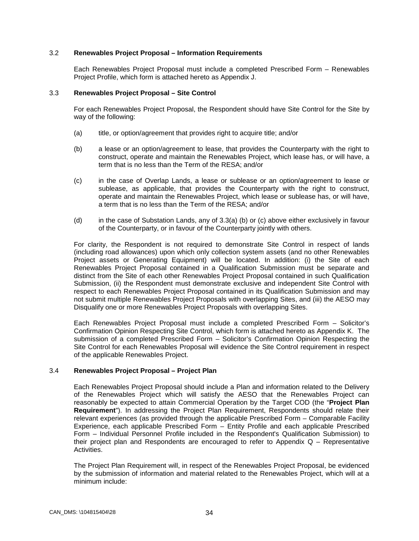### 3.2 **Renewables Project Proposal – Information Requirements**

Each Renewables Project Proposal must include a completed Prescribed Form – Renewables Project Profile, which form is attached hereto as Appendix J.

#### 3.3 **Renewables Project Proposal – Site Control**

For each Renewables Project Proposal, the Respondent should have Site Control for the Site by way of the following:

- (a) title, or option/agreement that provides right to acquire title; and/or
- (b) a lease or an option/agreement to lease, that provides the Counterparty with the right to construct, operate and maintain the Renewables Project, which lease has, or will have, a term that is no less than the Term of the RESA; and/or
- (c) in the case of Overlap Lands, a lease or sublease or an option/agreement to lease or sublease, as applicable, that provides the Counterparty with the right to construct, operate and maintain the Renewables Project, which lease or sublease has, or will have, a term that is no less than the Term of the RESA; and/or
- (d) in the case of Substation Lands, any of 3.3(a) (b) or (c) above either exclusively in favour of the Counterparty, or in favour of the Counterparty jointly with others.

For clarity, the Respondent is not required to demonstrate Site Control in respect of lands (including road allowances) upon which only collection system assets (and no other Renewables Project assets or Generating Equipment) will be located. In addition: (i) the Site of each Renewables Project Proposal contained in a Qualification Submission must be separate and distinct from the Site of each other Renewables Project Proposal contained in such Qualification Submission, (ii) the Respondent must demonstrate exclusive and independent Site Control with respect to each Renewables Project Proposal contained in its Qualification Submission and may not submit multiple Renewables Project Proposals with overlapping Sites, and (iii) the AESO may Disqualify one or more Renewables Project Proposals with overlapping Sites.

Each Renewables Project Proposal must include a completed Prescribed Form – Solicitor's Confirmation Opinion Respecting Site Control, which form is attached hereto as Appendix K. The submission of a completed Prescribed Form – Solicitor's Confirmation Opinion Respecting the Site Control for each Renewables Proposal will evidence the Site Control requirement in respect of the applicable Renewables Project.

#### 3.4 **Renewables Project Proposal – Project Plan**

Each Renewables Project Proposal should include a Plan and information related to the Delivery of the Renewables Project which will satisfy the AESO that the Renewables Project can reasonably be expected to attain Commercial Operation by the Target COD (the "**Project Plan Requirement**"). In addressing the Project Plan Requirement, Respondents should relate their relevant experiences (as provided through the applicable Prescribed Form – Comparable Facility Experience, each applicable Prescribed Form – Entity Profile and each applicable Prescribed Form – Individual Personnel Profile included in the Respondent's Qualification Submission) to their project plan and Respondents are encouraged to refer to Appendix Q – Representative **Activities** 

The Project Plan Requirement will, in respect of the Renewables Project Proposal, be evidenced by the submission of information and material related to the Renewables Project, which will at a minimum include: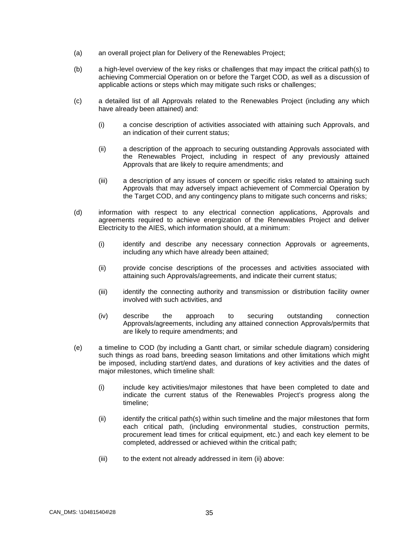- (a) an overall project plan for Delivery of the Renewables Project;
- (b) a high-level overview of the key risks or challenges that may impact the critical path(s) to achieving Commercial Operation on or before the Target COD, as well as a discussion of applicable actions or steps which may mitigate such risks or challenges;
- (c) a detailed list of all Approvals related to the Renewables Project (including any which have already been attained) and:
	- (i) a concise description of activities associated with attaining such Approvals, and an indication of their current status;
	- (ii) a description of the approach to securing outstanding Approvals associated with the Renewables Project, including in respect of any previously attained Approvals that are likely to require amendments; and
	- (iii) a description of any issues of concern or specific risks related to attaining such Approvals that may adversely impact achievement of Commercial Operation by the Target COD, and any contingency plans to mitigate such concerns and risks;
- (d) information with respect to any electrical connection applications, Approvals and agreements required to achieve energization of the Renewables Project and deliver Electricity to the AIES, which information should, at a minimum:
	- (i) identify and describe any necessary connection Approvals or agreements, including any which have already been attained;
	- (ii) provide concise descriptions of the processes and activities associated with attaining such Approvals/agreements, and indicate their current status;
	- (iii) identify the connecting authority and transmission or distribution facility owner involved with such activities, and
	- (iv) describe the approach to securing outstanding connection Approvals/agreements, including any attained connection Approvals/permits that are likely to require amendments; and
- (e) a timeline to COD (by including a Gantt chart, or similar schedule diagram) considering such things as road bans, breeding season limitations and other limitations which might be imposed, including start/end dates, and durations of key activities and the dates of major milestones, which timeline shall:
	- (i) include key activities/major milestones that have been completed to date and indicate the current status of the Renewables Project's progress along the timeline;
	- (ii) identify the critical path(s) within such timeline and the major milestones that form each critical path, (including environmental studies, construction permits, procurement lead times for critical equipment, etc.) and each key element to be completed, addressed or achieved within the critical path;
	- (iii) to the extent not already addressed in item (ii) above: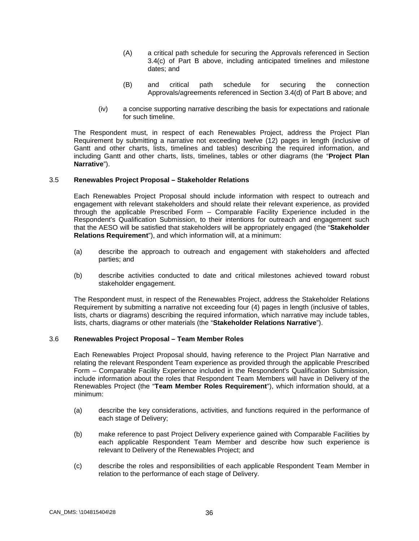- (A) a critical path schedule for securing the Approvals referenced in Section 3.4(c) of Part B above, including anticipated timelines and milestone dates; and
- (B) and critical path schedule for securing the connection Approvals/agreements referenced in Section 3.4(d) of Part B above; and
- (iv) a concise supporting narrative describing the basis for expectations and rationale for such timeline.

The Respondent must, in respect of each Renewables Project, address the Project Plan Requirement by submitting a narrative not exceeding twelve (12) pages in length (inclusive of Gantt and other charts, lists, timelines and tables) describing the required information, and including Gantt and other charts, lists, timelines, tables or other diagrams (the "**Project Plan Narrative**").

#### 3.5 **Renewables Project Proposal – Stakeholder Relations**

Each Renewables Project Proposal should include information with respect to outreach and engagement with relevant stakeholders and should relate their relevant experience, as provided through the applicable Prescribed Form – Comparable Facility Experience included in the Respondent's Qualification Submission, to their intentions for outreach and engagement such that the AESO will be satisfied that stakeholders will be appropriately engaged (the "**Stakeholder Relations Requirement**"), and which information will, at a minimum:

- (a) describe the approach to outreach and engagement with stakeholders and affected parties; and
- (b) describe activities conducted to date and critical milestones achieved toward robust stakeholder engagement.

The Respondent must, in respect of the Renewables Project, address the Stakeholder Relations Requirement by submitting a narrative not exceeding four (4) pages in length (inclusive of tables, lists, charts or diagrams) describing the required information, which narrative may include tables, lists, charts, diagrams or other materials (the "**Stakeholder Relations Narrative**").

#### 3.6 **Renewables Project Proposal – Team Member Roles**

Each Renewables Project Proposal should, having reference to the Project Plan Narrative and relating the relevant Respondent Team experience as provided through the applicable Prescribed Form – Comparable Facility Experience included in the Respondent's Qualification Submission, include information about the roles that Respondent Team Members will have in Delivery of the Renewables Project (the "**Team Member Roles Requirement**"), which information should, at a minimum:

- (a) describe the key considerations, activities, and functions required in the performance of each stage of Delivery;
- (b) make reference to past Project Delivery experience gained with Comparable Facilities by each applicable Respondent Team Member and describe how such experience is relevant to Delivery of the Renewables Project; and
- (c) describe the roles and responsibilities of each applicable Respondent Team Member in relation to the performance of each stage of Delivery.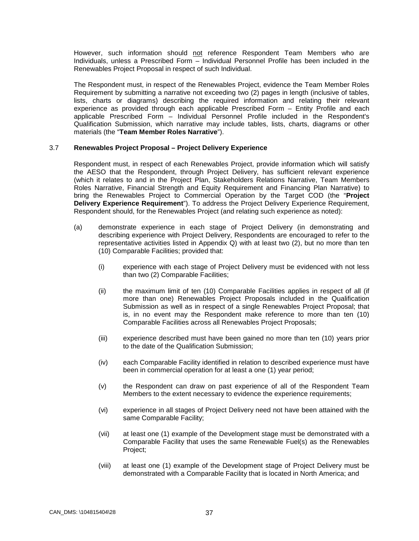However, such information should not reference Respondent Team Members who are Individuals, unless a Prescribed Form – Individual Personnel Profile has been included in the Renewables Project Proposal in respect of such Individual.

The Respondent must, in respect of the Renewables Project, evidence the Team Member Roles Requirement by submitting a narrative not exceeding two (2) pages in length (inclusive of tables, lists, charts or diagrams) describing the required information and relating their relevant experience as provided through each applicable Prescribed Form – Entity Profile and each applicable Prescribed Form – Individual Personnel Profile included in the Respondent's Qualification Submission, which narrative may include tables, lists, charts, diagrams or other materials (the "**Team Member Roles Narrative**").

#### 3.7 **Renewables Project Proposal – Project Delivery Experience**

Respondent must, in respect of each Renewables Project, provide information which will satisfy the AESO that the Respondent, through Project Delivery, has sufficient relevant experience (which it relates to and in the Project Plan, Stakeholders Relations Narrative, Team Members Roles Narrative, Financial Strength and Equity Requirement and Financing Plan Narrative) to bring the Renewables Project to Commercial Operation by the Target COD (the "**Project Delivery Experience Requirement**"). To address the Project Delivery Experience Requirement, Respondent should, for the Renewables Project (and relating such experience as noted):

- (a) demonstrate experience in each stage of Project Delivery (in demonstrating and describing experience with Project Delivery, Respondents are encouraged to refer to the representative activities listed in Appendix Q) with at least two (2), but no more than ten (10) Comparable Facilities; provided that:
	- (i) experience with each stage of Project Delivery must be evidenced with not less than two (2) Comparable Facilities;
	- (ii) the maximum limit of ten (10) Comparable Facilities applies in respect of all (if more than one) Renewables Project Proposals included in the Qualification Submission as well as in respect of a single Renewables Project Proposal; that is, in no event may the Respondent make reference to more than ten (10) Comparable Facilities across all Renewables Project Proposals;
	- (iii) experience described must have been gained no more than ten (10) years prior to the date of the Qualification Submission;
	- (iv) each Comparable Facility identified in relation to described experience must have been in commercial operation for at least a one (1) year period;
	- (v) the Respondent can draw on past experience of all of the Respondent Team Members to the extent necessary to evidence the experience requirements;
	- (vi) experience in all stages of Project Delivery need not have been attained with the same Comparable Facility;
	- (vii) at least one (1) example of the Development stage must be demonstrated with a Comparable Facility that uses the same Renewable Fuel(s) as the Renewables Project;
	- (viii) at least one (1) example of the Development stage of Project Delivery must be demonstrated with a Comparable Facility that is located in North America; and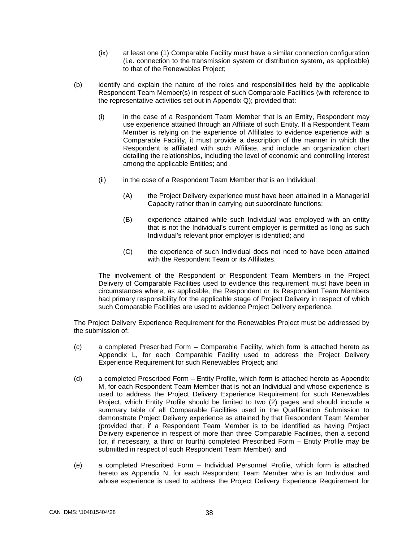- (ix) at least one (1) Comparable Facility must have a similar connection configuration (i.e. connection to the transmission system or distribution system, as applicable) to that of the Renewables Project;
- (b) identify and explain the nature of the roles and responsibilities held by the applicable Respondent Team Member(s) in respect of such Comparable Facilities (with reference to the representative activities set out in Appendix Q); provided that:
	- (i) in the case of a Respondent Team Member that is an Entity, Respondent may use experience attained through an Affiliate of such Entity. If a Respondent Team Member is relying on the experience of Affiliates to evidence experience with a Comparable Facility, it must provide a description of the manner in which the Respondent is affiliated with such Affiliate, and include an organization chart detailing the relationships, including the level of economic and controlling interest among the applicable Entities; and
	- (ii) in the case of a Respondent Team Member that is an Individual:
		- (A) the Project Delivery experience must have been attained in a Managerial Capacity rather than in carrying out subordinate functions;
		- (B) experience attained while such Individual was employed with an entity that is not the Individual's current employer is permitted as long as such Individual's relevant prior employer is identified; and
		- (C) the experience of such Individual does not need to have been attained with the Respondent Team or its Affiliates.

The involvement of the Respondent or Respondent Team Members in the Project Delivery of Comparable Facilities used to evidence this requirement must have been in circumstances where, as applicable, the Respondent or its Respondent Team Members had primary responsibility for the applicable stage of Project Delivery in respect of which such Comparable Facilities are used to evidence Project Delivery experience.

The Project Delivery Experience Requirement for the Renewables Project must be addressed by the submission of:

- (c) a completed Prescribed Form Comparable Facility, which form is attached hereto as Appendix L, for each Comparable Facility used to address the Project Delivery Experience Requirement for such Renewables Project; and
- (d) a completed Prescribed Form Entity Profile, which form is attached hereto as Appendix M, for each Respondent Team Member that is not an Individual and whose experience is used to address the Project Delivery Experience Requirement for such Renewables Project, which Entity Profile should be limited to two (2) pages and should include a summary table of all Comparable Facilities used in the Qualification Submission to demonstrate Project Delivery experience as attained by that Respondent Team Member (provided that, if a Respondent Team Member is to be identified as having Project Delivery experience in respect of more than three Comparable Facilities, then a second (or, if necessary, a third or fourth) completed Prescribed Form – Entity Profile may be submitted in respect of such Respondent Team Member); and
- (e) a completed Prescribed Form Individual Personnel Profile, which form is attached hereto as Appendix N, for each Respondent Team Member who is an Individual and whose experience is used to address the Project Delivery Experience Requirement for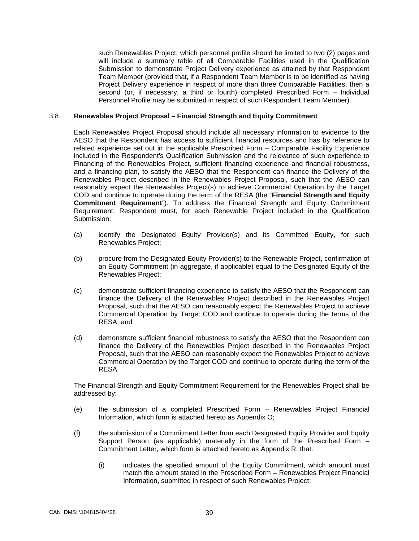such Renewables Project; which personnel profile should be limited to two (2) pages and will include a summary table of all Comparable Facilities used in the Qualification Submission to demonstrate Project Delivery experience as attained by that Respondent Team Member (provided that, if a Respondent Team Member is to be identified as having Project Delivery experience in respect of more than three Comparable Facilities, then a second (or, if necessary, a third or fourth) completed Prescribed Form – Individual Personnel Profile may be submitted in respect of such Respondent Team Member).

### 3.8 **Renewables Project Proposal – Financial Strength and Equity Commitment**

Each Renewables Project Proposal should include all necessary information to evidence to the AESO that the Respondent has access to sufficient financial resources and has by reference to related experience set out in the applicable Prescribed Form – Comparable Facility Experience included in the Respondent's Qualification Submission and the relevance of such experience to Financing of the Renewables Project, sufficient financing experience and financial robustness, and a financing plan, to satisfy the AESO that the Respondent can finance the Delivery of the Renewables Project described in the Renewables Project Proposal, such that the AESO can reasonably expect the Renewables Project(s) to achieve Commercial Operation by the Target COD and continue to operate during the term of the RESA (the "**Financial Strength and Equity Commitment Requirement**"). To address the Financial Strength and Equity Commitment Requirement, Respondent must, for each Renewable Project included in the Qualification Submission:

- (a) identify the Designated Equity Provider(s) and its Committed Equity, for such Renewables Project;
- (b) procure from the Designated Equity Provider(s) to the Renewable Project, confirmation of an Equity Commitment (in aggregate, if applicable) equal to the Designated Equity of the Renewables Project;
- (c) demonstrate sufficient financing experience to satisfy the AESO that the Respondent can finance the Delivery of the Renewables Project described in the Renewables Project Proposal, such that the AESO can reasonably expect the Renewables Project to achieve Commercial Operation by Target COD and continue to operate during the terms of the RESA; and
- (d) demonstrate sufficient financial robustness to satisfy the AESO that the Respondent can finance the Delivery of the Renewables Project described in the Renewables Project Proposal, such that the AESO can reasonably expect the Renewables Project to achieve Commercial Operation by the Target COD and continue to operate during the term of the RESA.

The Financial Strength and Equity Commitment Requirement for the Renewables Project shall be addressed by:

- (e) the submission of a completed Prescribed Form Renewables Project Financial Information, which form is attached hereto as Appendix O;
- (f) the submission of a Commitment Letter from each Designated Equity Provider and Equity Support Person (as applicable) materially in the form of the Prescribed Form – Commitment Letter, which form is attached hereto as Appendix R, that:
	- (i) indicates the specified amount of the Equity Commitment, which amount must match the amount stated in the Prescribed Form – Renewables Project Financial Information, submitted in respect of such Renewables Project;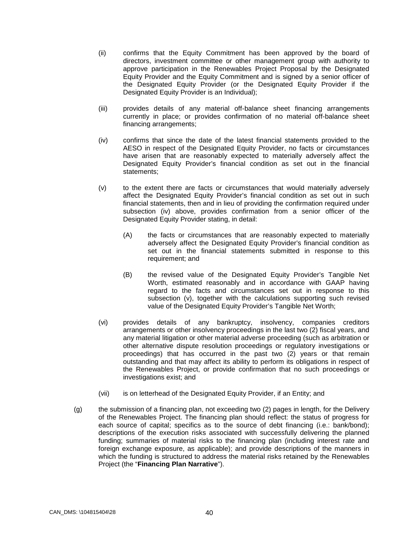- (ii) confirms that the Equity Commitment has been approved by the board of directors, investment committee or other management group with authority to approve participation in the Renewables Project Proposal by the Designated Equity Provider and the Equity Commitment and is signed by a senior officer of the Designated Equity Provider (or the Designated Equity Provider if the Designated Equity Provider is an Individual);
- (iii) provides details of any material off-balance sheet financing arrangements currently in place; or provides confirmation of no material off-balance sheet financing arrangements;
- (iv) confirms that since the date of the latest financial statements provided to the AESO in respect of the Designated Equity Provider, no facts or circumstances have arisen that are reasonably expected to materially adversely affect the Designated Equity Provider's financial condition as set out in the financial statements;
- (v) to the extent there are facts or circumstances that would materially adversely affect the Designated Equity Provider's financial condition as set out in such financial statements, then and in lieu of providing the confirmation required under subsection (iv) above, provides confirmation from a senior officer of the Designated Equity Provider stating, in detail:
	- (A) the facts or circumstances that are reasonably expected to materially adversely affect the Designated Equity Provider's financial condition as set out in the financial statements submitted in response to this requirement; and
	- (B) the revised value of the Designated Equity Provider's Tangible Net Worth, estimated reasonably and in accordance with GAAP having regard to the facts and circumstances set out in response to this subsection (v), together with the calculations supporting such revised value of the Designated Equity Provider's Tangible Net Worth;
- (vi) provides details of any bankruptcy, insolvency, companies creditors arrangements or other insolvency proceedings in the last two (2) fiscal years, and any material litigation or other material adverse proceeding (such as arbitration or other alternative dispute resolution proceedings or regulatory investigations or proceedings) that has occurred in the past two (2) years or that remain outstanding and that may affect its ability to perform its obligations in respect of the Renewables Project, or provide confirmation that no such proceedings or investigations exist; and
- (vii) is on letterhead of the Designated Equity Provider, if an Entity; and
- (g) the submission of a financing plan, not exceeding two (2) pages in length, for the Delivery of the Renewables Project. The financing plan should reflect: the status of progress for each source of capital; specifics as to the source of debt financing (i.e.: bank/bond); descriptions of the execution risks associated with successfully delivering the planned funding; summaries of material risks to the financing plan (including interest rate and foreign exchange exposure, as applicable); and provide descriptions of the manners in which the funding is structured to address the material risks retained by the Renewables Project (the "**Financing Plan Narrative**").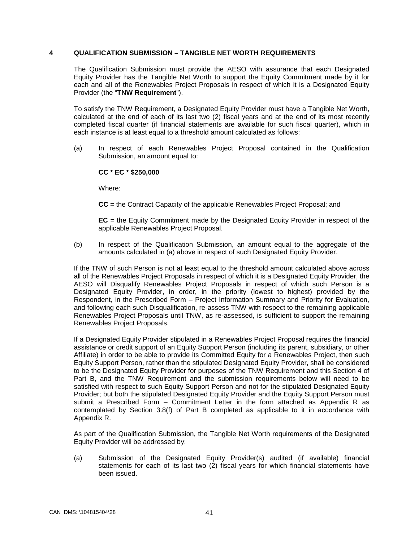### **4 QUALIFICATION SUBMISSION – TANGIBLE NET WORTH REQUIREMENTS**

The Qualification Submission must provide the AESO with assurance that each Designated Equity Provider has the Tangible Net Worth to support the Equity Commitment made by it for each and all of the Renewables Project Proposals in respect of which it is a Designated Equity Provider (the "**TNW Requirement**").

To satisfy the TNW Requirement, a Designated Equity Provider must have a Tangible Net Worth, calculated at the end of each of its last two (2) fiscal years and at the end of its most recently completed fiscal quarter (if financial statements are available for such fiscal quarter), which in each instance is at least equal to a threshold amount calculated as follows:

(a) In respect of each Renewables Project Proposal contained in the Qualification Submission, an amount equal to:

**CC \* EC \* \$250,000**

Where:

**CC** = the Contract Capacity of the applicable Renewables Project Proposal; and

**EC** = the Equity Commitment made by the Designated Equity Provider in respect of the applicable Renewables Project Proposal.

(b) In respect of the Qualification Submission, an amount equal to the aggregate of the amounts calculated in (a) above in respect of such Designated Equity Provider.

If the TNW of such Person is not at least equal to the threshold amount calculated above across all of the Renewables Project Proposals in respect of which it is a Designated Equity Provider, the AESO will Disqualify Renewables Project Proposals in respect of which such Person is a Designated Equity Provider, in order, in the priority (lowest to highest) provided by the Respondent, in the Prescribed Form – Project Information Summary and Priority for Evaluation, and following each such Disqualification, re-assess TNW with respect to the remaining applicable Renewables Project Proposals until TNW, as re-assessed, is sufficient to support the remaining Renewables Project Proposals.

If a Designated Equity Provider stipulated in a Renewables Project Proposal requires the financial assistance or credit support of an Equity Support Person (including its parent, subsidiary, or other Affiliate) in order to be able to provide its Committed Equity for a Renewables Project, then such Equity Support Person, rather than the stipulated Designated Equity Provider, shall be considered to be the Designated Equity Provider for purposes of the TNW Requirement and this Section 4 of Part B, and the TNW Requirement and the submission requirements below will need to be satisfied with respect to such Equity Support Person and not for the stipulated Designated Equity Provider; but both the stipulated Designated Equity Provider and the Equity Support Person must submit a Prescribed Form – Commitment Letter in the form attached as Appendix R as contemplated by Section 3.8(f) of Part B completed as applicable to it in accordance with Appendix R.

As part of the Qualification Submission, the Tangible Net Worth requirements of the Designated Equity Provider will be addressed by:

(a) Submission of the Designated Equity Provider(s) audited (if available) financial statements for each of its last two (2) fiscal years for which financial statements have been issued.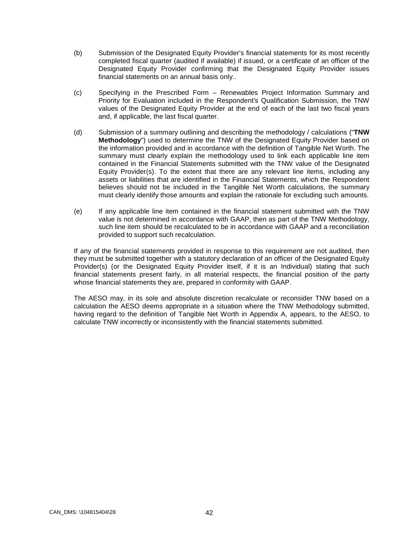- (b) Submission of the Designated Equity Provider's financial statements for its most recently completed fiscal quarter (audited if available) if issued, or a certificate of an officer of the Designated Equity Provider confirming that the Designated Equity Provider issues financial statements on an annual basis only..
- (c) Specifying in the Prescribed Form Renewables Project Information Summary and Priority for Evaluation included in the Respondent's Qualification Submission, the TNW values of the Designated Equity Provider at the end of each of the last two fiscal years and, if applicable, the last fiscal quarter.
- (d) Submission of a summary outlining and describing the methodology / calculations ("**TNW Methodology**") used to determine the TNW of the Designated Equity Provider based on the information provided and in accordance with the definition of Tangible Net Worth. The summary must clearly explain the methodology used to link each applicable line item contained in the Financial Statements submitted with the TNW value of the Designated Equity Provider(s). To the extent that there are any relevant line items, including any assets or liabilities that are identified in the Financial Statements, which the Respondent believes should not be included in the Tangible Net Worth calculations, the summary must clearly identify those amounts and explain the rationale for excluding such amounts.
- (e) If any applicable line item contained in the financial statement submitted with the TNW value is not determined in accordance with GAAP, then as part of the TNW Methodology, such line item should be recalculated to be in accordance with GAAP and a reconciliation provided to support such recalculation.

If any of the financial statements provided in response to this requirement are not audited, then they must be submitted together with a statutory declaration of an officer of the Designated Equity Provider(s) (or the Designated Equity Provider itself, if it is an Individual) stating that such financial statements present fairly, in all material respects, the financial position of the party whose financial statements they are, prepared in conformity with GAAP.

The AESO may, in its sole and absolute discretion recalculate or reconsider TNW based on a calculation the AESO deems appropriate in a situation where the TNW Methodology submitted, having regard to the definition of Tangible Net Worth in Appendix A, appears, to the AESO, to calculate TNW incorrectly or inconsistently with the financial statements submitted.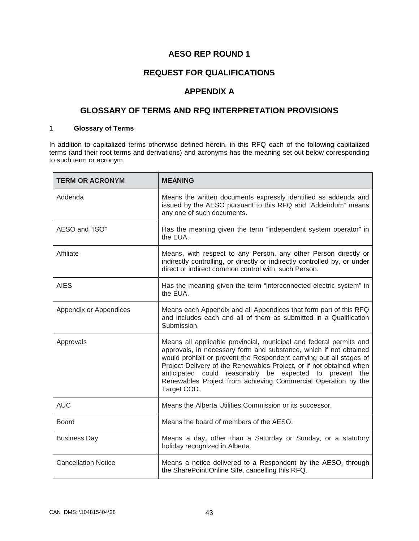# **AESO REP ROUND 1**

# **REQUEST FOR QUALIFICATIONS**

### **APPENDIX A**

# **GLOSSARY OF TERMS AND RFQ INTERPRETATION PROVISIONS**

#### 1 **Glossary of Terms**

In addition to capitalized terms otherwise defined herein, in this RFQ each of the following capitalized terms (and their root terms and derivations) and acronyms has the meaning set out below corresponding to such term or acronym.

| <b>TERM OR ACRONYM</b>     | <b>MEANING</b>                                                                                                                                                                                                                                                                                                                                                                                                                   |
|----------------------------|----------------------------------------------------------------------------------------------------------------------------------------------------------------------------------------------------------------------------------------------------------------------------------------------------------------------------------------------------------------------------------------------------------------------------------|
| Addenda                    | Means the written documents expressly identified as addenda and<br>issued by the AESO pursuant to this RFQ and "Addendum" means<br>any one of such documents.                                                                                                                                                                                                                                                                    |
| AESO and "ISO"             | Has the meaning given the term "independent system operator" in<br>the EUA.                                                                                                                                                                                                                                                                                                                                                      |
| Affiliate                  | Means, with respect to any Person, any other Person directly or<br>indirectly controlling, or directly or indirectly controlled by, or under<br>direct or indirect common control with, such Person.                                                                                                                                                                                                                             |
| <b>AIES</b>                | Has the meaning given the term "interconnected electric system" in<br>the EUA.                                                                                                                                                                                                                                                                                                                                                   |
| Appendix or Appendices     | Means each Appendix and all Appendices that form part of this RFQ<br>and includes each and all of them as submitted in a Qualification<br>Submission.                                                                                                                                                                                                                                                                            |
| Approvals                  | Means all applicable provincial, municipal and federal permits and<br>approvals, in necessary form and substance, which if not obtained<br>would prohibit or prevent the Respondent carrying out all stages of<br>Project Delivery of the Renewables Project, or if not obtained when<br>anticipated could reasonably be expected to prevent the<br>Renewables Project from achieving Commercial Operation by the<br>Target COD. |
| <b>AUC</b>                 | Means the Alberta Utilities Commission or its successor.                                                                                                                                                                                                                                                                                                                                                                         |
| <b>Board</b>               | Means the board of members of the AESO.                                                                                                                                                                                                                                                                                                                                                                                          |
| <b>Business Day</b>        | Means a day, other than a Saturday or Sunday, or a statutory<br>holiday recognized in Alberta.                                                                                                                                                                                                                                                                                                                                   |
| <b>Cancellation Notice</b> | Means a notice delivered to a Respondent by the AESO, through<br>the SharePoint Online Site, cancelling this RFQ.                                                                                                                                                                                                                                                                                                                |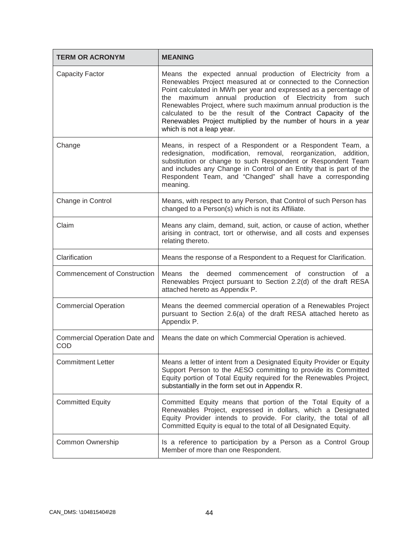| <b>TERM OR ACRONYM</b>               | <b>MEANING</b>                                                                                                                                                                                                                                                                                                                                                                                                                                                                                 |
|--------------------------------------|------------------------------------------------------------------------------------------------------------------------------------------------------------------------------------------------------------------------------------------------------------------------------------------------------------------------------------------------------------------------------------------------------------------------------------------------------------------------------------------------|
| <b>Capacity Factor</b>               | Means the expected annual production of Electricity from a<br>Renewables Project measured at or connected to the Connection<br>Point calculated in MWh per year and expressed as a percentage of<br>maximum annual production of Electricity from such<br>the<br>Renewables Project, where such maximum annual production is the<br>calculated to be the result of the Contract Capacity of the<br>Renewables Project multiplied by the number of hours in a year<br>which is not a leap year. |
| Change                               | Means, in respect of a Respondent or a Respondent Team, a<br>redesignation, modification, removal, reorganization, addition,<br>substitution or change to such Respondent or Respondent Team<br>and includes any Change in Control of an Entity that is part of the<br>Respondent Team, and "Changed" shall have a corresponding<br>meaning.                                                                                                                                                   |
| Change in Control                    | Means, with respect to any Person, that Control of such Person has<br>changed to a Person(s) which is not its Affiliate.                                                                                                                                                                                                                                                                                                                                                                       |
| Claim                                | Means any claim, demand, suit, action, or cause of action, whether<br>arising in contract, tort or otherwise, and all costs and expenses<br>relating thereto.                                                                                                                                                                                                                                                                                                                                  |
| Clarification                        | Means the response of a Respondent to a Request for Clarification.                                                                                                                                                                                                                                                                                                                                                                                                                             |
| <b>Commencement of Construction</b>  | Means the deemed commencement of construction of a<br>Renewables Project pursuant to Section 2.2(d) of the draft RESA<br>attached hereto as Appendix P.                                                                                                                                                                                                                                                                                                                                        |
| <b>Commercial Operation</b>          | Means the deemed commercial operation of a Renewables Project<br>pursuant to Section 2.6(a) of the draft RESA attached hereto as<br>Appendix P.                                                                                                                                                                                                                                                                                                                                                |
| Commercial Operation Date and<br>COD | Means the date on which Commercial Operation is achieved.                                                                                                                                                                                                                                                                                                                                                                                                                                      |
| <b>Commitment Letter</b>             | Means a letter of intent from a Designated Equity Provider or Equity<br>Support Person to the AESO committing to provide its Committed<br>Equity portion of Total Equity required for the Renewables Project,<br>substantially in the form set out in Appendix R.                                                                                                                                                                                                                              |
| <b>Committed Equity</b>              | Committed Equity means that portion of the Total Equity of a<br>Renewables Project, expressed in dollars, which a Designated<br>Equity Provider intends to provide. For clarity, the total of all<br>Committed Equity is equal to the total of all Designated Equity.                                                                                                                                                                                                                          |
| <b>Common Ownership</b>              | Is a reference to participation by a Person as a Control Group<br>Member of more than one Respondent.                                                                                                                                                                                                                                                                                                                                                                                          |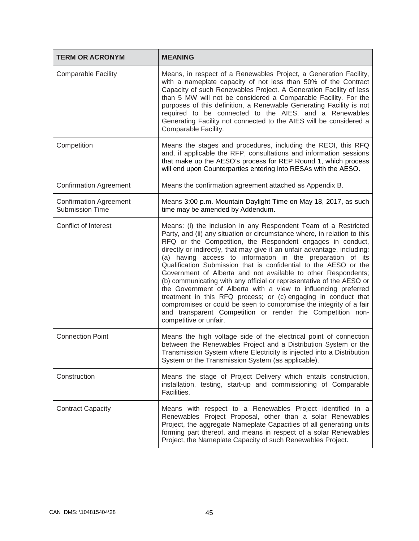| <b>TERM OR ACRONYM</b>                                  | <b>MEANING</b>                                                                                                                                                                                                                                                                                                                                                                                                                                                                                                                                                                                                                                                                                                                                                                                                                                                     |
|---------------------------------------------------------|--------------------------------------------------------------------------------------------------------------------------------------------------------------------------------------------------------------------------------------------------------------------------------------------------------------------------------------------------------------------------------------------------------------------------------------------------------------------------------------------------------------------------------------------------------------------------------------------------------------------------------------------------------------------------------------------------------------------------------------------------------------------------------------------------------------------------------------------------------------------|
| <b>Comparable Facility</b>                              | Means, in respect of a Renewables Project, a Generation Facility,<br>with a nameplate capacity of not less than 50% of the Contract<br>Capacity of such Renewables Project. A Generation Facility of less<br>than 5 MW will not be considered a Comparable Facility. For the<br>purposes of this definition, a Renewable Generating Facility is not<br>required to be connected to the AIES, and a Renewables<br>Generating Facility not connected to the AIES will be considered a<br>Comparable Facility.                                                                                                                                                                                                                                                                                                                                                        |
| Competition                                             | Means the stages and procedures, including the REOI, this RFQ<br>and, if applicable the RFP, consultations and information sessions<br>that make up the AESO's process for REP Round 1, which process<br>will end upon Counterparties entering into RESAs with the AESO.                                                                                                                                                                                                                                                                                                                                                                                                                                                                                                                                                                                           |
| <b>Confirmation Agreement</b>                           | Means the confirmation agreement attached as Appendix B.                                                                                                                                                                                                                                                                                                                                                                                                                                                                                                                                                                                                                                                                                                                                                                                                           |
| <b>Confirmation Agreement</b><br><b>Submission Time</b> | Means 3:00 p.m. Mountain Daylight Time on May 18, 2017, as such<br>time may be amended by Addendum.                                                                                                                                                                                                                                                                                                                                                                                                                                                                                                                                                                                                                                                                                                                                                                |
| Conflict of Interest                                    | Means: (i) the inclusion in any Respondent Team of a Restricted<br>Party, and (ii) any situation or circumstance where, in relation to this<br>RFQ or the Competition, the Respondent engages in conduct,<br>directly or indirectly, that may give it an unfair advantage, including:<br>(a) having access to information in the preparation of its<br>Qualification Submission that is confidential to the AESO or the<br>Government of Alberta and not available to other Respondents;<br>(b) communicating with any official or representative of the AESO or<br>the Government of Alberta with a view to influencing preferred<br>treatment in this RFQ process; or (c) engaging in conduct that<br>compromises or could be seen to compromise the integrity of a fair<br>and transparent Competition or render the Competition non-<br>competitive or unfair. |
| <b>Connection Point</b>                                 | Means the high voltage side of the electrical point of connection<br>between the Renewables Project and a Distribution System or the<br>Transmission System where Electricity is injected into a Distribution<br>System or the Transmission System (as applicable).                                                                                                                                                                                                                                                                                                                                                                                                                                                                                                                                                                                                |
| Construction                                            | Means the stage of Project Delivery which entails construction,<br>installation, testing, start-up and commissioning of Comparable<br>Facilities.                                                                                                                                                                                                                                                                                                                                                                                                                                                                                                                                                                                                                                                                                                                  |
| <b>Contract Capacity</b>                                | Means with respect to a Renewables Project identified in a<br>Renewables Project Proposal, other than a solar Renewables<br>Project, the aggregate Nameplate Capacities of all generating units<br>forming part thereof, and means in respect of a solar Renewables<br>Project, the Nameplate Capacity of such Renewables Project.                                                                                                                                                                                                                                                                                                                                                                                                                                                                                                                                 |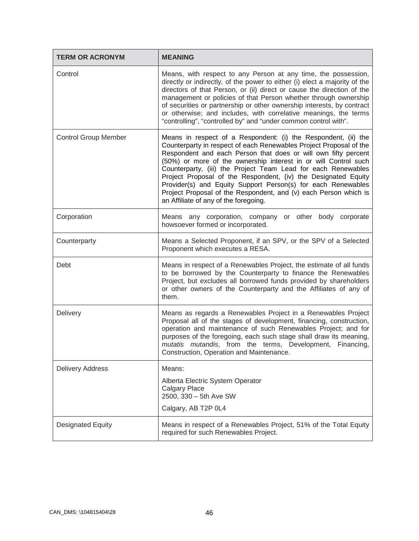| <b>TERM OR ACRONYM</b>      | <b>MEANING</b>                                                                                                                                                                                                                                                                                                                                                                                                                                                                                                                                                                            |
|-----------------------------|-------------------------------------------------------------------------------------------------------------------------------------------------------------------------------------------------------------------------------------------------------------------------------------------------------------------------------------------------------------------------------------------------------------------------------------------------------------------------------------------------------------------------------------------------------------------------------------------|
| Control                     | Means, with respect to any Person at any time, the possession,<br>directly or indirectly, of the power to either (i) elect a majority of the<br>directors of that Person, or (ii) direct or cause the direction of the<br>management or policies of that Person whether through ownership<br>of securities or partnership or other ownership interests, by contract<br>or otherwise; and includes, with correlative meanings, the terms<br>"controlling", "controlled by" and "under common control with".                                                                                |
| <b>Control Group Member</b> | Means in respect of a Respondent: (i) the Respondent, (ii) the<br>Counterparty in respect of each Renewables Project Proposal of the<br>Respondent and each Person that does or will own fifty percent<br>(50%) or more of the ownership interest in or will Control such<br>Counterparty, (iii) the Project Team Lead for each Renewables<br>Project Proposal of the Respondent, (iv) the Designated Equity<br>Provider(s) and Equity Support Person(s) for each Renewables<br>Project Proposal of the Respondent, and (v) each Person which is<br>an Affiliate of any of the foregoing. |
| Corporation                 | Means any corporation, company or other body corporate<br>howsoever formed or incorporated.                                                                                                                                                                                                                                                                                                                                                                                                                                                                                               |
| Counterparty                | Means a Selected Proponent, if an SPV, or the SPV of a Selected<br>Proponent which executes a RESA.                                                                                                                                                                                                                                                                                                                                                                                                                                                                                       |
| Debt                        | Means in respect of a Renewables Project, the estimate of all funds<br>to be borrowed by the Counterparty to finance the Renewables<br>Project, but excludes all borrowed funds provided by shareholders<br>or other owners of the Counterparty and the Affiliates of any of<br>them.                                                                                                                                                                                                                                                                                                     |
| Delivery                    | Means as regards a Renewables Project in a Renewables Project<br>Proposal all of the stages of development, financing, construction,<br>operation and maintenance of such Renewables Project; and for<br>purposes of the foregoing, each such stage shall draw its meaning,<br>mutatis mutandis, from the terms, Development, Financing,<br>Construction, Operation and Maintenance.                                                                                                                                                                                                      |
| <b>Delivery Address</b>     | Means:                                                                                                                                                                                                                                                                                                                                                                                                                                                                                                                                                                                    |
|                             | Alberta Electric System Operator<br><b>Calgary Place</b><br>2500, 330 - 5th Ave SW                                                                                                                                                                                                                                                                                                                                                                                                                                                                                                        |
|                             | Calgary, AB T2P 0L4                                                                                                                                                                                                                                                                                                                                                                                                                                                                                                                                                                       |
| <b>Designated Equity</b>    | Means in respect of a Renewables Project, 51% of the Total Equity<br>required for such Renewables Project.                                                                                                                                                                                                                                                                                                                                                                                                                                                                                |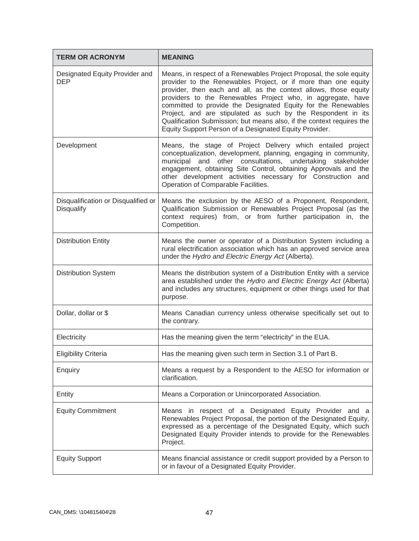| <b>TERM OR ACRONYM</b>                            | <b>MEANING</b>                                                                                                                                                                                                                                                                                                                                                                                                                                                                                                                               |
|---------------------------------------------------|----------------------------------------------------------------------------------------------------------------------------------------------------------------------------------------------------------------------------------------------------------------------------------------------------------------------------------------------------------------------------------------------------------------------------------------------------------------------------------------------------------------------------------------------|
| Designated Equity Provider and<br><b>DEP</b>      | Means, in respect of a Renewables Project Proposal, the sole equity<br>provider to the Renewables Project, or if more than one equity<br>provider, then each and all, as the context allows, those equity<br>providers to the Renewables Project who, in aggregate, have<br>committed to provide the Designated Equity for the Renewables<br>Project, and are stipulated as such by the Respondent in its<br>Qualification Submission; but means also, if the context requires the<br>Equity Support Person of a Designated Equity Provider. |
| Development                                       | Means, the stage of Project Delivery which entailed project<br>conceptualization, development, planning, engaging in community,<br>municipal and other consultations, undertaking<br>stakeholder<br>engagement, obtaining Site Control, obtaining Approvals and the<br>other development activities necessary for Construction and<br>Operation of Comparable Facilities.                                                                                                                                                                    |
| Disqualification or Disqualified or<br>Disqualify | Means the exclusion by the AESO of a Proponent, Respondent,<br>Qualification Submission or Renewables Project Proposal (as the<br>context requires) from, or from further participation in, the<br>Competition.                                                                                                                                                                                                                                                                                                                              |
| <b>Distribution Entity</b>                        | Means the owner or operator of a Distribution System including a<br>rural electrification association which has an approved service area<br>under the Hydro and Electric Energy Act (Alberta).                                                                                                                                                                                                                                                                                                                                               |
| <b>Distribution System</b>                        | Means the distribution system of a Distribution Entity with a service<br>area established under the Hydro and Electric Energy Act (Alberta)<br>and includes any structures, equipment or other things used for that<br>purpose.                                                                                                                                                                                                                                                                                                              |
| Dollar, dollar or \$                              | Means Canadian currency unless otherwise specifically set out to<br>the contrary.                                                                                                                                                                                                                                                                                                                                                                                                                                                            |
| Electricity                                       | Has the meaning given the term "electricity" in the EUA.                                                                                                                                                                                                                                                                                                                                                                                                                                                                                     |
| <b>Eligibility Criteria</b>                       | Has the meaning given such term in Section 3.1 of Part B.                                                                                                                                                                                                                                                                                                                                                                                                                                                                                    |
| Enquiry                                           | Means a request by a Respondent to the AESO for information or<br>clarification.                                                                                                                                                                                                                                                                                                                                                                                                                                                             |
| Entity                                            | Means a Corporation or Unincorporated Association.                                                                                                                                                                                                                                                                                                                                                                                                                                                                                           |
| <b>Equity Commitment</b>                          | Means in respect of a Designated Equity Provider and a<br>Renewables Project Proposal, the portion of the Designated Equity,<br>expressed as a percentage of the Designated Equity, which such<br>Designated Equity Provider intends to provide for the Renewables<br>Project.                                                                                                                                                                                                                                                               |
| <b>Equity Support</b>                             | Means financial assistance or credit support provided by a Person to<br>or in favour of a Designated Equity Provider.                                                                                                                                                                                                                                                                                                                                                                                                                        |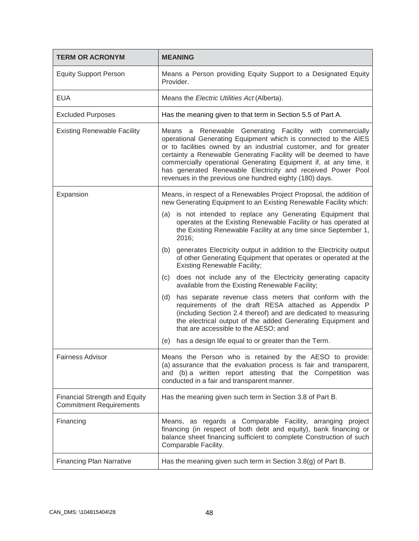| <b>TERM OR ACRONYM</b>                                                 | <b>MEANING</b>                                                                                                                                                                                                                                                                                                                                                                                                                                                     |
|------------------------------------------------------------------------|--------------------------------------------------------------------------------------------------------------------------------------------------------------------------------------------------------------------------------------------------------------------------------------------------------------------------------------------------------------------------------------------------------------------------------------------------------------------|
| <b>Equity Support Person</b>                                           | Means a Person providing Equity Support to a Designated Equity<br>Provider.                                                                                                                                                                                                                                                                                                                                                                                        |
| <b>EUA</b>                                                             | Means the Electric Utilities Act (Alberta).                                                                                                                                                                                                                                                                                                                                                                                                                        |
| <b>Excluded Purposes</b>                                               | Has the meaning given to that term in Section 5.5 of Part A.                                                                                                                                                                                                                                                                                                                                                                                                       |
| <b>Existing Renewable Facility</b>                                     | Means a Renewable Generating Facility with commercially<br>operational Generating Equipment which is connected to the AIES<br>or to facilities owned by an industrial customer, and for greater<br>certainty a Renewable Generating Facility will be deemed to have<br>commercially operational Generating Equipment if, at any time, it<br>has generated Renewable Electricity and received Power Pool<br>revenues in the previous one hundred eighty (180) days. |
| Expansion                                                              | Means, in respect of a Renewables Project Proposal, the addition of<br>new Generating Equipment to an Existing Renewable Facility which:                                                                                                                                                                                                                                                                                                                           |
|                                                                        | is not intended to replace any Generating Equipment that<br>(a)<br>operates at the Existing Renewable Facility or has operated at<br>the Existing Renewable Facility at any time since September 1,<br>2016;                                                                                                                                                                                                                                                       |
|                                                                        | generates Electricity output in addition to the Electricity output<br>(b)<br>of other Generating Equipment that operates or operated at the<br><b>Existing Renewable Facility;</b>                                                                                                                                                                                                                                                                                 |
|                                                                        | does not include any of the Electricity generating capacity<br>(c)<br>available from the Existing Renewable Facility;                                                                                                                                                                                                                                                                                                                                              |
|                                                                        | has separate revenue class meters that conform with the<br>(d)<br>requirements of the draft RESA attached as Appendix P<br>(including Section 2.4 thereof) and are dedicated to measuring<br>the electrical output of the added Generating Equipment and<br>that are accessible to the AESO; and                                                                                                                                                                   |
|                                                                        | has a design life equal to or greater than the Term.<br>(e)                                                                                                                                                                                                                                                                                                                                                                                                        |
| <b>Fairness Advisor</b>                                                | Means the Person who is retained by the AESO to provide:<br>(a) assurance that the evaluation process is fair and transparent,<br>and (b) a written report attesting that the Competition was<br>conducted in a fair and transparent manner.                                                                                                                                                                                                                       |
| <b>Financial Strength and Equity</b><br><b>Commitment Requirements</b> | Has the meaning given such term in Section 3.8 of Part B.                                                                                                                                                                                                                                                                                                                                                                                                          |
| Financing                                                              | Means, as regards a Comparable Facility, arranging project<br>financing (in respect of both debt and equity), bank financing or<br>balance sheet financing sufficient to complete Construction of such<br>Comparable Facility.                                                                                                                                                                                                                                     |
| <b>Financing Plan Narrative</b>                                        | Has the meaning given such term in Section 3.8(g) of Part B.                                                                                                                                                                                                                                                                                                                                                                                                       |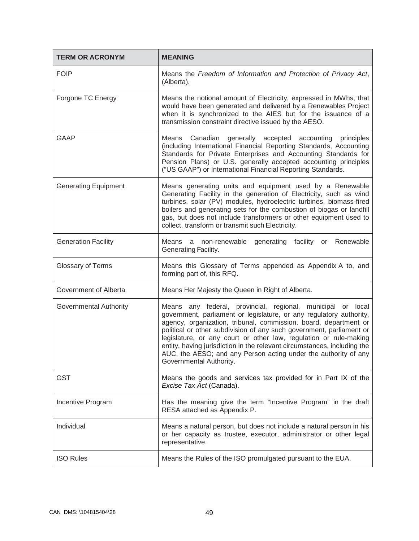| <b>TERM OR ACRONYM</b>        | <b>MEANING</b>                                                                                                                                                                                                                                                                                                                                                                                                                                                                                                                |
|-------------------------------|-------------------------------------------------------------------------------------------------------------------------------------------------------------------------------------------------------------------------------------------------------------------------------------------------------------------------------------------------------------------------------------------------------------------------------------------------------------------------------------------------------------------------------|
| <b>FOIP</b>                   | Means the Freedom of Information and Protection of Privacy Act,<br>(Alberta).                                                                                                                                                                                                                                                                                                                                                                                                                                                 |
| Forgone TC Energy             | Means the notional amount of Electricity, expressed in MWhs, that<br>would have been generated and delivered by a Renewables Project<br>when it is synchronized to the AIES but for the issuance of a<br>transmission constraint directive issued by the AESO.                                                                                                                                                                                                                                                                |
| <b>GAAP</b>                   | Means Canadian generally accepted accounting principles<br>(including International Financial Reporting Standards, Accounting<br>Standards for Private Enterprises and Accounting Standards for<br>Pension Plans) or U.S. generally accepted accounting principles<br>("US GAAP") or International Financial Reporting Standards.                                                                                                                                                                                             |
| <b>Generating Equipment</b>   | Means generating units and equipment used by a Renewable<br>Generating Facility in the generation of Electricity, such as wind<br>turbines, solar (PV) modules, hydroelectric turbines, biomass-fired<br>boilers and generating sets for the combustion of biogas or landfill<br>gas, but does not include transformers or other equipment used to<br>collect, transform or transmit such Electricity.                                                                                                                        |
| <b>Generation Facility</b>    | non-renewable generating facility or Renewable<br>Means a<br>Generating Facility.                                                                                                                                                                                                                                                                                                                                                                                                                                             |
| Glossary of Terms             | Means this Glossary of Terms appended as Appendix A to, and<br>forming part of, this RFQ.                                                                                                                                                                                                                                                                                                                                                                                                                                     |
| Government of Alberta         | Means Her Majesty the Queen in Right of Alberta.                                                                                                                                                                                                                                                                                                                                                                                                                                                                              |
| <b>Governmental Authority</b> | Means any federal, provincial, regional, municipal or local<br>government, parliament or legislature, or any regulatory authority,<br>agency, organization, tribunal, commission, board, department or<br>political or other subdivision of any such government, parliament or<br>legislature, or any court or other law, regulation or rule-making<br>entity, having jurisdiction in the relevant circumstances, including the<br>AUC, the AESO; and any Person acting under the authority of any<br>Governmental Authority. |
| <b>GST</b>                    | Means the goods and services tax provided for in Part IX of the<br>Excise Tax Act (Canada).                                                                                                                                                                                                                                                                                                                                                                                                                                   |
| Incentive Program             | Has the meaning give the term "Incentive Program" in the draft<br>RESA attached as Appendix P.                                                                                                                                                                                                                                                                                                                                                                                                                                |
| Individual                    | Means a natural person, but does not include a natural person in his<br>or her capacity as trustee, executor, administrator or other legal<br>representative.                                                                                                                                                                                                                                                                                                                                                                 |
| <b>ISO Rules</b>              | Means the Rules of the ISO promulgated pursuant to the EUA.                                                                                                                                                                                                                                                                                                                                                                                                                                                                   |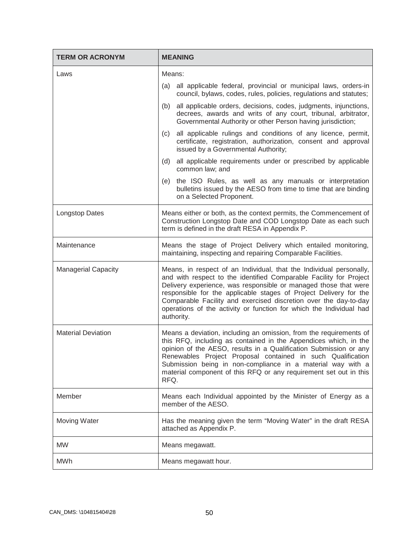| <b>TERM OR ACRONYM</b>     | <b>MEANING</b>                                                                                                                                                                                                                                                                                                                                                                                                                             |
|----------------------------|--------------------------------------------------------------------------------------------------------------------------------------------------------------------------------------------------------------------------------------------------------------------------------------------------------------------------------------------------------------------------------------------------------------------------------------------|
| Laws                       | Means:                                                                                                                                                                                                                                                                                                                                                                                                                                     |
|                            | all applicable federal, provincial or municipal laws, orders-in<br>(a)<br>council, bylaws, codes, rules, policies, regulations and statutes;                                                                                                                                                                                                                                                                                               |
|                            | all applicable orders, decisions, codes, judgments, injunctions,<br>(b)<br>decrees, awards and writs of any court, tribunal, arbitrator,<br>Governmental Authority or other Person having jurisdiction;                                                                                                                                                                                                                                    |
|                            | all applicable rulings and conditions of any licence, permit,<br>(c)<br>certificate, registration, authorization, consent and approval<br>issued by a Governmental Authority;                                                                                                                                                                                                                                                              |
|                            | all applicable requirements under or prescribed by applicable<br>(d)<br>common law; and                                                                                                                                                                                                                                                                                                                                                    |
|                            | the ISO Rules, as well as any manuals or interpretation<br>(e)<br>bulletins issued by the AESO from time to time that are binding<br>on a Selected Proponent.                                                                                                                                                                                                                                                                              |
| <b>Longstop Dates</b>      | Means either or both, as the context permits, the Commencement of<br>Construction Longstop Date and COD Longstop Date as each such<br>term is defined in the draft RESA in Appendix P.                                                                                                                                                                                                                                                     |
| Maintenance                | Means the stage of Project Delivery which entailed monitoring,<br>maintaining, inspecting and repairing Comparable Facilities.                                                                                                                                                                                                                                                                                                             |
| <b>Managerial Capacity</b> | Means, in respect of an Individual, that the Individual personally,<br>and with respect to the identified Comparable Facility for Project<br>Delivery experience, was responsible or managed those that were<br>responsible for the applicable stages of Project Delivery for the<br>Comparable Facility and exercised discretion over the day-to-day<br>operations of the activity or function for which the Individual had<br>authority. |
| <b>Material Deviation</b>  | Means a deviation, including an omission, from the requirements of<br>this RFQ, including as contained in the Appendices which, in the<br>opinion of the AESO, results in a Qualification Submission or any<br>Renewables Project Proposal contained in such Qualification<br>Submission being in non-compliance in a material way with a<br>material component of this RFQ or any requirement set out in this<br>RFQ.                     |
| Member                     | Means each Individual appointed by the Minister of Energy as a<br>member of the AESO.                                                                                                                                                                                                                                                                                                                                                      |
| Moving Water               | Has the meaning given the term "Moving Water" in the draft RESA<br>attached as Appendix P.                                                                                                                                                                                                                                                                                                                                                 |
| <b>MW</b>                  | Means megawatt.                                                                                                                                                                                                                                                                                                                                                                                                                            |
| <b>MWh</b>                 | Means megawatt hour.                                                                                                                                                                                                                                                                                                                                                                                                                       |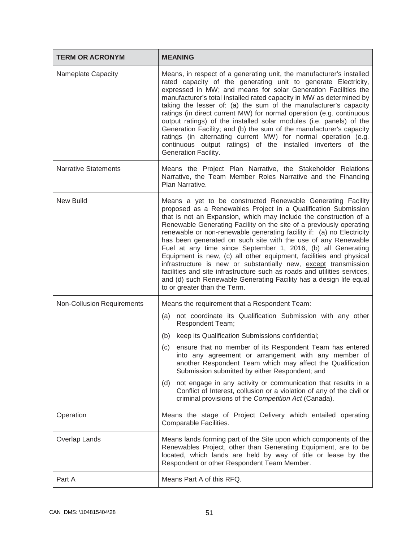| <b>TERM OR ACRONYM</b>            | <b>MEANING</b>                                                                                                                                                                                                                                                                                                                                                                                                                                                                                                                                                                                                                                                                                                                                                                                                 |
|-----------------------------------|----------------------------------------------------------------------------------------------------------------------------------------------------------------------------------------------------------------------------------------------------------------------------------------------------------------------------------------------------------------------------------------------------------------------------------------------------------------------------------------------------------------------------------------------------------------------------------------------------------------------------------------------------------------------------------------------------------------------------------------------------------------------------------------------------------------|
| Nameplate Capacity                | Means, in respect of a generating unit, the manufacturer's installed<br>rated capacity of the generating unit to generate Electricity,<br>expressed in MW; and means for solar Generation Facilities the<br>manufacturer's total installed rated capacity in MW as determined by<br>taking the lesser of: (a) the sum of the manufacturer's capacity<br>ratings (in direct current MW) for normal operation (e.g. continuous<br>output ratings) of the installed solar modules (i.e. panels) of the<br>Generation Facility; and (b) the sum of the manufacturer's capacity<br>ratings (in alternating current MW) for normal operation (e.g.<br>continuous output ratings) of the installed inverters of the<br>Generation Facility.                                                                           |
| <b>Narrative Statements</b>       | Means the Project Plan Narrative, the Stakeholder Relations<br>Narrative, the Team Member Roles Narrative and the Financing<br>Plan Narrative.                                                                                                                                                                                                                                                                                                                                                                                                                                                                                                                                                                                                                                                                 |
| <b>New Build</b>                  | Means a yet to be constructed Renewable Generating Facility<br>proposed as a Renewables Project in a Qualification Submission<br>that is not an Expansion, which may include the construction of a<br>Renewable Generating Facility on the site of a previously operating<br>renewable or non-renewable generating facility if: (a) no Electricity<br>has been generated on such site with the use of any Renewable<br>Fuel at any time since September 1, 2016, (b) all Generating<br>Equipment is new, (c) all other equipment, facilities and physical<br>infrastructure is new or substantially new, except transmission<br>facilities and site infrastructure such as roads and utilities services,<br>and (d) such Renewable Generating Facility has a design life equal<br>to or greater than the Term. |
| <b>Non-Collusion Requirements</b> | Means the requirement that a Respondent Team:                                                                                                                                                                                                                                                                                                                                                                                                                                                                                                                                                                                                                                                                                                                                                                  |
|                                   | not coordinate its Qualification Submission with any other<br>(a)<br>Respondent Team;                                                                                                                                                                                                                                                                                                                                                                                                                                                                                                                                                                                                                                                                                                                          |
|                                   | (b)<br>keep its Qualification Submissions confidential;                                                                                                                                                                                                                                                                                                                                                                                                                                                                                                                                                                                                                                                                                                                                                        |
|                                   | ensure that no member of its Respondent Team has entered<br>(c)<br>into any agreement or arrangement with any member of<br>another Respondent Team which may affect the Qualification<br>Submission submitted by either Respondent; and                                                                                                                                                                                                                                                                                                                                                                                                                                                                                                                                                                        |
|                                   | not engage in any activity or communication that results in a<br>(d)<br>Conflict of Interest, collusion or a violation of any of the civil or<br>criminal provisions of the Competition Act (Canada).                                                                                                                                                                                                                                                                                                                                                                                                                                                                                                                                                                                                          |
| Operation                         | Means the stage of Project Delivery which entailed operating<br>Comparable Facilities.                                                                                                                                                                                                                                                                                                                                                                                                                                                                                                                                                                                                                                                                                                                         |
| Overlap Lands                     | Means lands forming part of the Site upon which components of the<br>Renewables Project, other than Generating Equipment, are to be<br>located, which lands are held by way of title or lease by the<br>Respondent or other Respondent Team Member.                                                                                                                                                                                                                                                                                                                                                                                                                                                                                                                                                            |
| Part A                            | Means Part A of this RFQ.                                                                                                                                                                                                                                                                                                                                                                                                                                                                                                                                                                                                                                                                                                                                                                                      |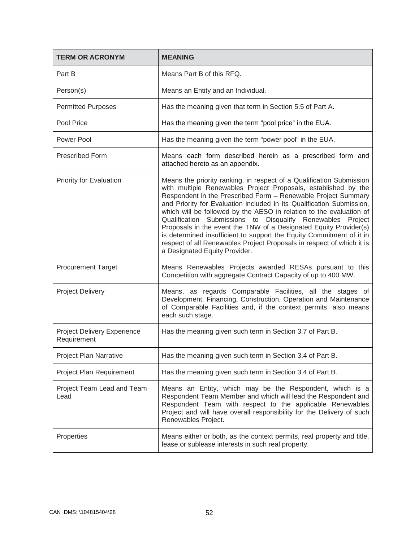| <b>TERM OR ACRONYM</b>                     | <b>MEANING</b>                                                                                                                                                                                                                                                                                                                                                                                                                                                                                                                                                                                                                                                                  |
|--------------------------------------------|---------------------------------------------------------------------------------------------------------------------------------------------------------------------------------------------------------------------------------------------------------------------------------------------------------------------------------------------------------------------------------------------------------------------------------------------------------------------------------------------------------------------------------------------------------------------------------------------------------------------------------------------------------------------------------|
| Part B                                     | Means Part B of this RFQ.                                                                                                                                                                                                                                                                                                                                                                                                                                                                                                                                                                                                                                                       |
| Person(s)                                  | Means an Entity and an Individual.                                                                                                                                                                                                                                                                                                                                                                                                                                                                                                                                                                                                                                              |
| <b>Permitted Purposes</b>                  | Has the meaning given that term in Section 5.5 of Part A.                                                                                                                                                                                                                                                                                                                                                                                                                                                                                                                                                                                                                       |
| Pool Price                                 | Has the meaning given the term "pool price" in the EUA.                                                                                                                                                                                                                                                                                                                                                                                                                                                                                                                                                                                                                         |
| Power Pool                                 | Has the meaning given the term "power pool" in the EUA.                                                                                                                                                                                                                                                                                                                                                                                                                                                                                                                                                                                                                         |
| <b>Prescribed Form</b>                     | Means each form described herein as a prescribed form and<br>attached hereto as an appendix.                                                                                                                                                                                                                                                                                                                                                                                                                                                                                                                                                                                    |
| Priority for Evaluation                    | Means the priority ranking, in respect of a Qualification Submission<br>with multiple Renewables Project Proposals, established by the<br>Respondent in the Prescribed Form - Renewable Project Summary<br>and Priority for Evaluation included in its Qualification Submission,<br>which will be followed by the AESO in relation to the evaluation of<br>Qualification Submissions to Disqualify Renewables<br>Project<br>Proposals in the event the TNW of a Designated Equity Provider(s)<br>is determined insufficient to support the Equity Commitment of it in<br>respect of all Renewables Project Proposals in respect of which it is<br>a Designated Equity Provider. |
| <b>Procurement Target</b>                  | Means Renewables Projects awarded RESAs pursuant to this<br>Competition with aggregate Contract Capacity of up to 400 MW.                                                                                                                                                                                                                                                                                                                                                                                                                                                                                                                                                       |
| <b>Project Delivery</b>                    | Means, as regards Comparable Facilities, all the stages of<br>Development, Financing, Construction, Operation and Maintenance<br>of Comparable Facilities and, if the context permits, also means<br>each such stage.                                                                                                                                                                                                                                                                                                                                                                                                                                                           |
| Project Delivery Experience<br>Requirement | Has the meaning given such term in Section 3.7 of Part B.                                                                                                                                                                                                                                                                                                                                                                                                                                                                                                                                                                                                                       |
| Project Plan Narrative                     | Has the meaning given such term in Section 3.4 of Part B.                                                                                                                                                                                                                                                                                                                                                                                                                                                                                                                                                                                                                       |
| Project Plan Requirement                   | Has the meaning given such term in Section 3.4 of Part B.                                                                                                                                                                                                                                                                                                                                                                                                                                                                                                                                                                                                                       |
| Project Team Lead and Team<br>Lead         | Means an Entity, which may be the Respondent, which is a<br>Respondent Team Member and which will lead the Respondent and<br>Respondent Team with respect to the applicable Renewables<br>Project and will have overall responsibility for the Delivery of such<br>Renewables Project.                                                                                                                                                                                                                                                                                                                                                                                          |
| Properties                                 | Means either or both, as the context permits, real property and title,<br>lease or sublease interests in such real property.                                                                                                                                                                                                                                                                                                                                                                                                                                                                                                                                                    |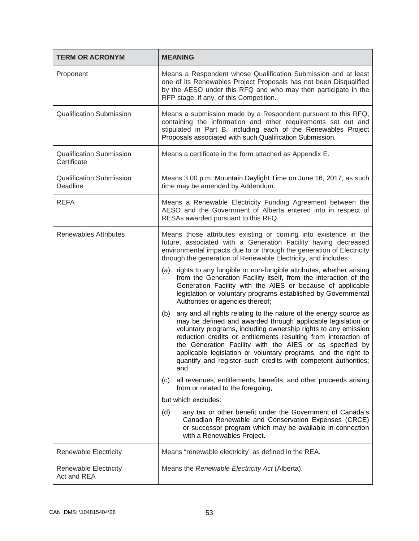| <b>TERM OR ACRONYM</b>                         | <b>MEANING</b>                                                                                                                                                                                                                                                                                                                                                                                                                                                                       |
|------------------------------------------------|--------------------------------------------------------------------------------------------------------------------------------------------------------------------------------------------------------------------------------------------------------------------------------------------------------------------------------------------------------------------------------------------------------------------------------------------------------------------------------------|
| Proponent                                      | Means a Respondent whose Qualification Submission and at least<br>one of its Renewables Project Proposals has not been Disqualified<br>by the AESO under this RFQ and who may then participate in the<br>RFP stage, if any, of this Competition.                                                                                                                                                                                                                                     |
| <b>Qualification Submission</b>                | Means a submission made by a Respondent pursuant to this RFQ,<br>containing the information and other requirements set out and<br>stipulated in Part B, including each of the Renewables Project<br>Proposals associated with such Qualification Submission.                                                                                                                                                                                                                         |
| <b>Qualification Submission</b><br>Certificate | Means a certificate in the form attached as Appendix E.                                                                                                                                                                                                                                                                                                                                                                                                                              |
| <b>Qualification Submission</b><br>Deadline    | Means 3:00 p.m. Mountain Daylight Time on June 16, 2017, as such<br>time may be amended by Addendum.                                                                                                                                                                                                                                                                                                                                                                                 |
| <b>REFA</b>                                    | Means a Renewable Electricity Funding Agreement between the<br>AESO and the Government of Alberta entered into in respect of<br>RESAs awarded pursuant to this RFQ.                                                                                                                                                                                                                                                                                                                  |
| <b>Renewables Attributes</b>                   | Means those attributes existing or coming into existence in the<br>future, associated with a Generation Facility having decreased<br>environmental impacts due to or through the generation of Electricity<br>through the generation of Renewable Electricity, and includes:                                                                                                                                                                                                         |
|                                                | (a) rights to any fungible or non-fungible attributes, whether arising<br>from the Generation Facility itself, from the interaction of the<br>Generation Facility with the AIES or because of applicable<br>legislation or voluntary programs established by Governmental<br>Authorities or agencies thereof;                                                                                                                                                                        |
|                                                | any and all rights relating to the nature of the energy source as<br>(b)<br>may be defined and awarded through applicable legislation or<br>voluntary programs, including ownership rights to any emission<br>reduction credits or entitlements resulting from interaction of<br>the Generation Facility with the AIES or as specified by<br>applicable legislation or voluntary programs, and the right to<br>quantify and register such credits with competent authorities;<br>and |
|                                                | all revenues, entitlements, benefits, and other proceeds arising<br>(c)<br>from or related to the foregoing,                                                                                                                                                                                                                                                                                                                                                                         |
|                                                | but which excludes:                                                                                                                                                                                                                                                                                                                                                                                                                                                                  |
|                                                | any tax or other benefit under the Government of Canada's<br>(d)<br>Canadian Renewable and Conservation Expenses (CRCE)<br>or successor program which may be available in connection<br>with a Renewables Project.                                                                                                                                                                                                                                                                   |
| <b>Renewable Electricity</b>                   | Means "renewable electricity" as defined in the REA.                                                                                                                                                                                                                                                                                                                                                                                                                                 |
| Renewable Electricity<br>Act and REA           | Means the Renewable Electricity Act (Alberta).                                                                                                                                                                                                                                                                                                                                                                                                                                       |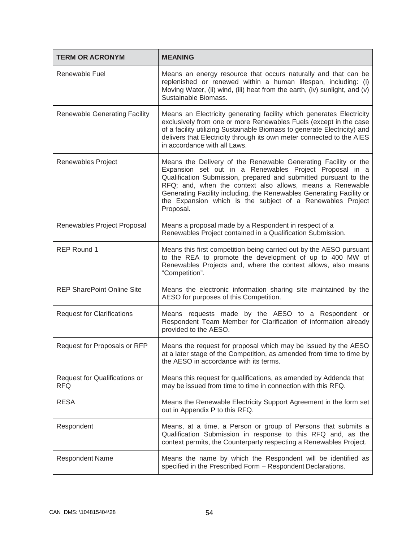| <b>TERM OR ACRONYM</b>                             | <b>MEANING</b>                                                                                                                                                                                                                                                                                                                                                                                                |
|----------------------------------------------------|---------------------------------------------------------------------------------------------------------------------------------------------------------------------------------------------------------------------------------------------------------------------------------------------------------------------------------------------------------------------------------------------------------------|
| Renewable Fuel                                     | Means an energy resource that occurs naturally and that can be<br>replenished or renewed within a human lifespan, including: (i)<br>Moving Water, (ii) wind, (iii) heat from the earth, (iv) sunlight, and (v)<br>Sustainable Biomass.                                                                                                                                                                        |
| <b>Renewable Generating Facility</b>               | Means an Electricity generating facility which generates Electricity<br>exclusively from one or more Renewables Fuels (except in the case<br>of a facility utilizing Sustainable Biomass to generate Electricity) and<br>delivers that Electricity through its own meter connected to the AIES<br>in accordance with all Laws.                                                                                |
| Renewables Project                                 | Means the Delivery of the Renewable Generating Facility or the<br>Expansion set out in a Renewables Project Proposal in a<br>Qualification Submission, prepared and submitted pursuant to the<br>RFQ; and, when the context also allows, means a Renewable<br>Generating Facility including, the Renewables Generating Facility or<br>the Expansion which is the subject of a Renewables Project<br>Proposal. |
| Renewables Project Proposal                        | Means a proposal made by a Respondent in respect of a<br>Renewables Project contained in a Qualification Submission.                                                                                                                                                                                                                                                                                          |
| <b>REP Round 1</b>                                 | Means this first competition being carried out by the AESO pursuant<br>to the REA to promote the development of up to 400 MW of<br>Renewables Projects and, where the context allows, also means<br>"Competition".                                                                                                                                                                                            |
| <b>REP SharePoint Online Site</b>                  | Means the electronic information sharing site maintained by the<br>AESO for purposes of this Competition.                                                                                                                                                                                                                                                                                                     |
| <b>Request for Clarifications</b>                  | Means requests made by the AESO to a Respondent or<br>Respondent Team Member for Clarification of information already<br>provided to the AESO.                                                                                                                                                                                                                                                                |
| Request for Proposals or RFP                       | Means the request for proposal which may be issued by the AESO<br>at a later stage of the Competition, as amended from time to time by<br>the AESO in accordance with its terms.                                                                                                                                                                                                                              |
| <b>Request for Qualifications or</b><br><b>RFQ</b> | Means this request for qualifications, as amended by Addenda that<br>may be issued from time to time in connection with this RFQ.                                                                                                                                                                                                                                                                             |
| <b>RESA</b>                                        | Means the Renewable Electricity Support Agreement in the form set<br>out in Appendix P to this RFQ.                                                                                                                                                                                                                                                                                                           |
| Respondent                                         | Means, at a time, a Person or group of Persons that submits a<br>Qualification Submission in response to this RFQ and, as the<br>context permits, the Counterparty respecting a Renewables Project.                                                                                                                                                                                                           |
| <b>Respondent Name</b>                             | Means the name by which the Respondent will be identified as<br>specified in the Prescribed Form - Respondent Declarations.                                                                                                                                                                                                                                                                                   |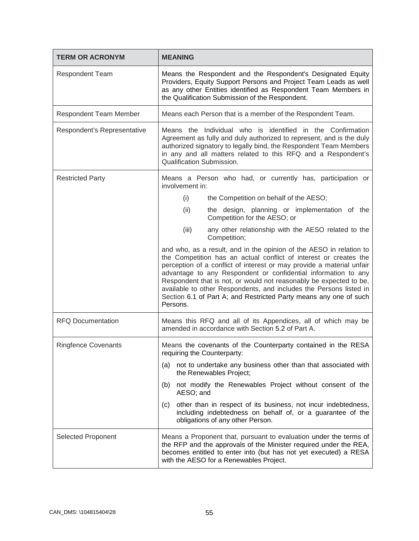| <b>TERM OR ACRONYM</b>        | <b>MEANING</b>                                                                                                                                                                                                                                                                                                                                                                                                                                                                                                   |  |  |
|-------------------------------|------------------------------------------------------------------------------------------------------------------------------------------------------------------------------------------------------------------------------------------------------------------------------------------------------------------------------------------------------------------------------------------------------------------------------------------------------------------------------------------------------------------|--|--|
| <b>Respondent Team</b>        | Means the Respondent and the Respondent's Designated Equity<br>Providers, Equity Support Persons and Project Team Leads as well<br>as any other Entities identified as Respondent Team Members in<br>the Qualification Submission of the Respondent.                                                                                                                                                                                                                                                             |  |  |
| <b>Respondent Team Member</b> | Means each Person that is a member of the Respondent Team.                                                                                                                                                                                                                                                                                                                                                                                                                                                       |  |  |
| Respondent's Representative   | Means the Individual who is identified in the Confirmation<br>Agreement as fully and duly authorized to represent, and is the duly<br>authorized signatory to legally bind, the Respondent Team Members<br>in any and all matters related to this RFQ and a Respondent's<br>Qualification Submission.                                                                                                                                                                                                            |  |  |
| <b>Restricted Party</b>       | Means a Person who had, or currently has, participation or<br>involvement in:                                                                                                                                                                                                                                                                                                                                                                                                                                    |  |  |
|                               | (i)<br>the Competition on behalf of the AESO;                                                                                                                                                                                                                                                                                                                                                                                                                                                                    |  |  |
|                               | (ii)<br>the design, planning or implementation of the<br>Competition for the AESO; or                                                                                                                                                                                                                                                                                                                                                                                                                            |  |  |
|                               | (iii)<br>any other relationship with the AESO related to the<br>Competition;                                                                                                                                                                                                                                                                                                                                                                                                                                     |  |  |
|                               | and who, as a result, and in the opinion of the AESO in relation to<br>the Competition has an actual conflict of interest or creates the<br>perception of a conflict of interest or may provide a material unfair<br>advantage to any Respondent or confidential information to any<br>Respondent that is not, or would not reasonably be expected to be,<br>available to other Respondents, and includes the Persons listed in<br>Section 6.1 of Part A; and Restricted Party means any one of such<br>Persons. |  |  |
| <b>RFQ Documentation</b>      | Means this RFQ and all of its Appendices, all of which may be<br>amended in accordance with Section 5.2 of Part A.                                                                                                                                                                                                                                                                                                                                                                                               |  |  |
| <b>Ringfence Covenants</b>    | Means the covenants of the Counterparty contained in the RESA<br>requiring the Counterparty:                                                                                                                                                                                                                                                                                                                                                                                                                     |  |  |
|                               | (a) not to undertake any business other than that associated with<br>the Renewables Project;                                                                                                                                                                                                                                                                                                                                                                                                                     |  |  |
|                               | not modify the Renewables Project without consent of the<br>(b)<br>AESO; and                                                                                                                                                                                                                                                                                                                                                                                                                                     |  |  |
|                               | other than in respect of its business, not incur indebtedness,<br>(c)<br>including indebtedness on behalf of, or a guarantee of the<br>obligations of any other Person.                                                                                                                                                                                                                                                                                                                                          |  |  |
| Selected Proponent            | Means a Proponent that, pursuant to evaluation under the terms of<br>the RFP and the approvals of the Minister required under the REA,<br>becomes entitled to enter into (but has not yet executed) a RESA<br>with the AESO for a Renewables Project.                                                                                                                                                                                                                                                            |  |  |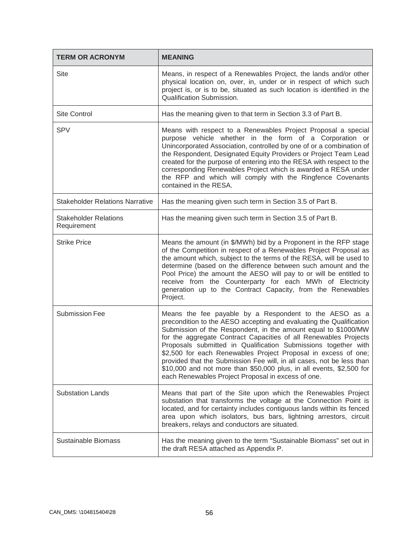| <b>TERM OR ACRONYM</b>                      | <b>MEANING</b>                                                                                                                                                                                                                                                                                                                                                                                                                                                                                                                                                                                                 |  |  |
|---------------------------------------------|----------------------------------------------------------------------------------------------------------------------------------------------------------------------------------------------------------------------------------------------------------------------------------------------------------------------------------------------------------------------------------------------------------------------------------------------------------------------------------------------------------------------------------------------------------------------------------------------------------------|--|--|
| <b>Site</b>                                 | Means, in respect of a Renewables Project, the lands and/or other<br>physical location on, over, in, under or in respect of which such<br>project is, or is to be, situated as such location is identified in the<br>Qualification Submission.                                                                                                                                                                                                                                                                                                                                                                 |  |  |
| <b>Site Control</b>                         | Has the meaning given to that term in Section 3.3 of Part B.                                                                                                                                                                                                                                                                                                                                                                                                                                                                                                                                                   |  |  |
| <b>SPV</b>                                  | Means with respect to a Renewables Project Proposal a special<br>purpose vehicle whether in the form of a Corporation or<br>Unincorporated Association, controlled by one of or a combination of<br>the Respondent, Designated Equity Providers or Project Team Lead<br>created for the purpose of entering into the RESA with respect to the<br>corresponding Renewables Project which is awarded a RESA under<br>the RFP and which will comply with the Ringfence Covenants<br>contained in the RESA.                                                                                                        |  |  |
| <b>Stakeholder Relations Narrative</b>      | Has the meaning given such term in Section 3.5 of Part B.                                                                                                                                                                                                                                                                                                                                                                                                                                                                                                                                                      |  |  |
| <b>Stakeholder Relations</b><br>Requirement | Has the meaning given such term in Section 3.5 of Part B.                                                                                                                                                                                                                                                                                                                                                                                                                                                                                                                                                      |  |  |
| <b>Strike Price</b>                         | Means the amount (in \$/MWh) bid by a Proponent in the RFP stage<br>of the Competition in respect of a Renewables Project Proposal as<br>the amount which, subject to the terms of the RESA, will be used to<br>determine (based on the difference between such amount and the<br>Pool Price) the amount the AESO will pay to or will be entitled to<br>receive from the Counterparty for each MWh of Electricity<br>generation up to the Contract Capacity, from the Renewables<br>Project.                                                                                                                   |  |  |
| <b>Submission Fee</b>                       | Means the fee payable by a Respondent to the AESO as a<br>precondition to the AESO accepting and evaluating the Qualification<br>Submission of the Respondent, in the amount equal to \$1000/MW<br>for the aggregate Contract Capacities of all Renewables Projects<br>Proposals submitted in Qualification Submissions together with<br>\$2,500 for each Renewables Project Proposal in excess of one;<br>provided that the Submission Fee will, in all cases, not be less than<br>\$10,000 and not more than \$50,000 plus, in all events, \$2,500 for<br>each Renewables Project Proposal in excess of one. |  |  |
| <b>Substation Lands</b>                     | Means that part of the Site upon which the Renewables Project<br>substation that transforms the voltage at the Connection Point is<br>located, and for certainty includes contiguous lands within its fenced<br>area upon which isolators, bus bars, lightning arrestors, circuit<br>breakers, relays and conductors are situated.                                                                                                                                                                                                                                                                             |  |  |
| Sustainable Biomass                         | Has the meaning given to the term "Sustainable Biomass" set out in<br>the draft RESA attached as Appendix P.                                                                                                                                                                                                                                                                                                                                                                                                                                                                                                   |  |  |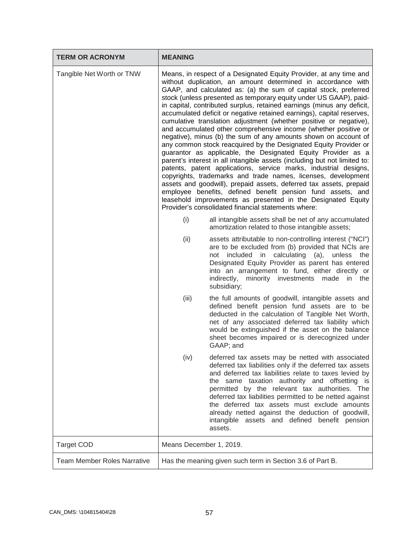| <b>TERM OR ACRONYM</b>             | <b>MEANING</b>                                                                                                                                                                                                                                                                                                                                                                                                                                                                                                                                                                                                                                                                                                                                                                                                                                                                                                                                                                                                                                                                                                                                                                                                                                              |                                                                                                                                                                                                                                                                                                                                                                                                                                                                                                        |  |
|------------------------------------|-------------------------------------------------------------------------------------------------------------------------------------------------------------------------------------------------------------------------------------------------------------------------------------------------------------------------------------------------------------------------------------------------------------------------------------------------------------------------------------------------------------------------------------------------------------------------------------------------------------------------------------------------------------------------------------------------------------------------------------------------------------------------------------------------------------------------------------------------------------------------------------------------------------------------------------------------------------------------------------------------------------------------------------------------------------------------------------------------------------------------------------------------------------------------------------------------------------------------------------------------------------|--------------------------------------------------------------------------------------------------------------------------------------------------------------------------------------------------------------------------------------------------------------------------------------------------------------------------------------------------------------------------------------------------------------------------------------------------------------------------------------------------------|--|
| Tangible Net Worth or TNW          | Means, in respect of a Designated Equity Provider, at any time and<br>without duplication, an amount determined in accordance with<br>GAAP, and calculated as: (a) the sum of capital stock, preferred<br>stock (unless presented as temporary equity under US GAAP), paid-<br>in capital, contributed surplus, retained earnings (minus any deficit,<br>accumulated deficit or negative retained earnings), capital reserves,<br>cumulative translation adjustment (whether positive or negative),<br>and accumulated other comprehensive income (whether positive or<br>negative), minus (b) the sum of any amounts shown on account of<br>any common stock reacquired by the Designated Equity Provider or<br>guarantor as applicable, the Designated Equity Provider as a<br>parent's interest in all intangible assets (including but not limited to:<br>patents, patent applications, service marks, industrial designs,<br>copyrights, trademarks and trade names, licenses, development<br>assets and goodwill), prepaid assets, deferred tax assets, prepaid<br>employee benefits, defined benefit pension fund assets, and<br>leasehold improvements as presented in the Designated Equity<br>Provider's consolidated financial statements where: |                                                                                                                                                                                                                                                                                                                                                                                                                                                                                                        |  |
|                                    | (i)                                                                                                                                                                                                                                                                                                                                                                                                                                                                                                                                                                                                                                                                                                                                                                                                                                                                                                                                                                                                                                                                                                                                                                                                                                                         | all intangible assets shall be net of any accumulated<br>amortization related to those intangible assets;                                                                                                                                                                                                                                                                                                                                                                                              |  |
|                                    | (ii)                                                                                                                                                                                                                                                                                                                                                                                                                                                                                                                                                                                                                                                                                                                                                                                                                                                                                                                                                                                                                                                                                                                                                                                                                                                        | assets attributable to non-controlling interest ("NCI")<br>are to be excluded from (b) provided that NCIs are<br>calculating (a),<br>included<br>unless<br>in<br>the<br>not<br>Designated Equity Provider as parent has entered<br>into an arrangement to fund, either directly or<br>indirectly, minority investments made in the<br>subsidiary;                                                                                                                                                      |  |
|                                    | (iii)                                                                                                                                                                                                                                                                                                                                                                                                                                                                                                                                                                                                                                                                                                                                                                                                                                                                                                                                                                                                                                                                                                                                                                                                                                                       | the full amounts of goodwill, intangible assets and<br>defined benefit pension fund assets are to be<br>deducted in the calculation of Tangible Net Worth,<br>net of any associated deferred tax liability which<br>would be extinguished if the asset on the balance<br>sheet becomes impaired or is derecognized under<br>GAAP; and                                                                                                                                                                  |  |
|                                    | (iv)                                                                                                                                                                                                                                                                                                                                                                                                                                                                                                                                                                                                                                                                                                                                                                                                                                                                                                                                                                                                                                                                                                                                                                                                                                                        | deferred tax assets may be netted with associated<br>deferred tax liabilities only if the deferred tax assets<br>and deferred tax liabilities relate to taxes levied by<br>the same taxation authority and offsetting is<br>permitted by the relevant tax authorities. The<br>deferred tax liabilities permitted to be netted against<br>the deferred tax assets must exclude amounts<br>already netted against the deduction of goodwill,<br>intangible assets and defined benefit pension<br>assets. |  |
| <b>Target COD</b>                  | Means December 1, 2019.                                                                                                                                                                                                                                                                                                                                                                                                                                                                                                                                                                                                                                                                                                                                                                                                                                                                                                                                                                                                                                                                                                                                                                                                                                     |                                                                                                                                                                                                                                                                                                                                                                                                                                                                                                        |  |
| <b>Team Member Roles Narrative</b> | Has the meaning given such term in Section 3.6 of Part B.                                                                                                                                                                                                                                                                                                                                                                                                                                                                                                                                                                                                                                                                                                                                                                                                                                                                                                                                                                                                                                                                                                                                                                                                   |                                                                                                                                                                                                                                                                                                                                                                                                                                                                                                        |  |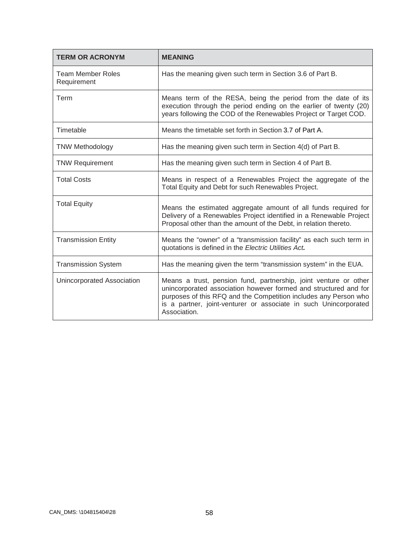| <b>TERM OR ACRONYM</b>                  | <b>MEANING</b>                                                                                                                                                                                                                                                                               |  |
|-----------------------------------------|----------------------------------------------------------------------------------------------------------------------------------------------------------------------------------------------------------------------------------------------------------------------------------------------|--|
| <b>Team Member Roles</b><br>Requirement | Has the meaning given such term in Section 3.6 of Part B.                                                                                                                                                                                                                                    |  |
| Term                                    | Means term of the RESA, being the period from the date of its<br>execution through the period ending on the earlier of twenty (20)<br>years following the COD of the Renewables Project or Target COD.                                                                                       |  |
| Timetable                               | Means the timetable set forth in Section 3.7 of Part A.                                                                                                                                                                                                                                      |  |
| <b>TNW Methodology</b>                  | Has the meaning given such term in Section 4(d) of Part B.                                                                                                                                                                                                                                   |  |
| <b>TNW Requirement</b>                  | Has the meaning given such term in Section 4 of Part B.                                                                                                                                                                                                                                      |  |
| <b>Total Costs</b>                      | Means in respect of a Renewables Project the aggregate of the<br>Total Equity and Debt for such Renewables Project.                                                                                                                                                                          |  |
| <b>Total Equity</b>                     | Means the estimated aggregate amount of all funds required for<br>Delivery of a Renewables Project identified in a Renewable Project<br>Proposal other than the amount of the Debt, in relation thereto.                                                                                     |  |
| <b>Transmission Entity</b>              | Means the "owner" of a "transmission facility" as each such term in<br>quotations is defined in the Electric Utilities Act.                                                                                                                                                                  |  |
| <b>Transmission System</b>              | Has the meaning given the term "transmission system" in the EUA.                                                                                                                                                                                                                             |  |
| Unincorporated Association              | Means a trust, pension fund, partnership, joint venture or other<br>unincorporated association however formed and structured and for<br>purposes of this RFQ and the Competition includes any Person who<br>is a partner, joint-venturer or associate in such Unincorporated<br>Association. |  |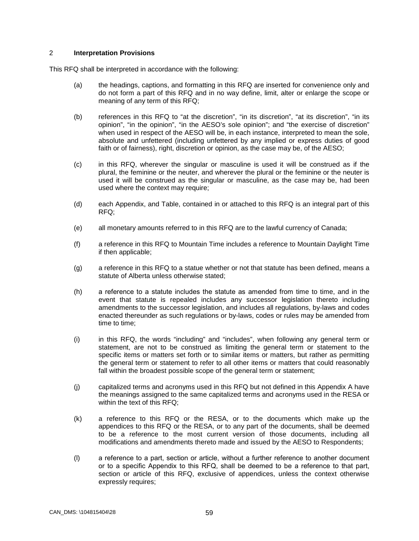### 2 **Interpretation Provisions**

This RFQ shall be interpreted in accordance with the following:

- (a) the headings, captions, and formatting in this RFQ are inserted for convenience only and do not form a part of this RFQ and in no way define, limit, alter or enlarge the scope or meaning of any term of this RFQ;
- (b) references in this RFQ to "at the discretion", "in its discretion", "at its discretion", "in its opinion", "in the opinion", "in the AESO's sole opinion"; and "the exercise of discretion" when used in respect of the AESO will be, in each instance, interpreted to mean the sole, absolute and unfettered (including unfettered by any implied or express duties of good faith or of fairness), right, discretion or opinion, as the case may be, of the AESO;
- (c) in this RFQ, wherever the singular or masculine is used it will be construed as if the plural, the feminine or the neuter, and wherever the plural or the feminine or the neuter is used it will be construed as the singular or masculine, as the case may be, had been used where the context may require;
- (d) each Appendix, and Table, contained in or attached to this RFQ is an integral part of this RFQ;
- (e) all monetary amounts referred to in this RFQ are to the lawful currency of Canada;
- (f) a reference in this RFQ to Mountain Time includes a reference to Mountain Daylight Time if then applicable;
- (g) a reference in this RFQ to a statue whether or not that statute has been defined, means a statute of Alberta unless otherwise stated;
- (h) a reference to а statute includes the statute as amended from time to time, and in the event that statute is repealed includes any successor legislation thereto including amendments to the successor legislation, and includes all regulations, by-laws and codes enacted thereunder as such regulations or by-laws, codes or rules may be amended from time to time;
- (i) in this RFQ, the words "including" and "includes", when following any general term or statement, are not to be construed as limiting the general term or statement to the specific items or matters set forth or to similar items or matters, but rather as permitting the general term or statement to refer to all other items or matters that could reasonably fall within the broadest possible scope of the general term or statement;
- (j) capitalized terms and acronyms used in this RFQ but not defined in this Appendix A have the meanings assigned to the same capitalized terms and acronyms used in the RESA or within the text of this RFQ;
- (k) a reference to this RFQ or the RESA, or to the documents which make up the appendices to this RFQ or the RESA, or to any part of the documents, shall be deemed to be a reference to the most current version of those documents, including all modifications and amendments thereto made and issued by the AESO to Respondents;
- (l) a reference to а part, section or article, without а further reference to another document or to а specific Appendix to this RFQ, shall be deemed to be a reference to that part, section or article of this RFQ, exclusive of appendices, unless the context otherwise expressly requires;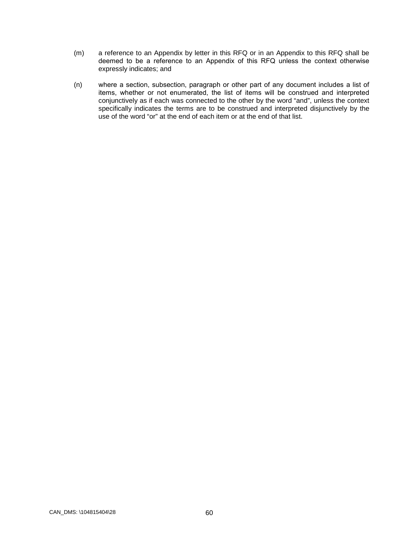- (m) a reference to an Appendix by letter in this RFQ or in an Appendix to this RFQ shall be deemed to be а reference to an Appendix of this RFQ unless the context otherwise expressly indicates; and
- (n) where а section, subsection, paragraph or other part of any document includes а list of items, whether or not enumerаted, the list of items will be construed and interpreted conjunctively as if each was connected to the other by the word "and", unless the context specifically indicates the terms are to be construed and interpreted disjunctively by the use of the word "or" at the end of each item or at the end of that list.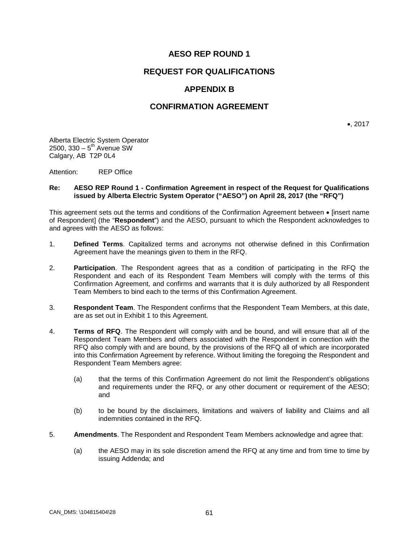# **AESO REP ROUND 1**

### **REQUEST FOR QUALIFICATIONS**

# **APPENDIX B**

### **CONFIRMATION AGREEMENT**

•, 2017

Alberta Electric System Operator  $2500$ ,  $330 - 5$ <sup>th</sup> Avenue SW Calgary, AB T2P 0L4

Attention: REP Office

#### **Re: AESO REP Round 1 - Confirmation Agreement in respect of the Request for Qualifications issued by Alberta Electric System Operator ("AESO") on April 28, 2017 (the "RFQ")**

This agreement sets out the terms and conditions of the Confirmation Agreement between • [insert name of Respondent] (the "**Respondent**") and the AESO, pursuant to which the Respondent acknowledges to and agrees with the AESO as follows:

- 1. **Defined Terms**. Capitalized terms and acronyms not otherwise defined in this Confirmation Agreement have the meanings given to them in the RFQ.
- 2. **Participation**. The Respondent agrees that as a condition of participating in the RFQ the Respondent and each of its Respondent Team Members will comply with the terms of this Confirmation Agreement, and confirms and warrants that it is duly authorized by all Respondent Team Members to bind each to the terms of this Confirmation Agreement.
- 3. **Respondent Team**. The Respondent confirms that the Respondent Team Members, at this date, are as set out in Exhibit 1 to this Agreement.
- 4. **Terms of RFQ**. The Respondent will comply with and be bound, and will ensure that all of the Respondent Team Members and others associated with the Respondent in connection with the RFQ also comply with and are bound, by the provisions of the RFQ all of which are incorporated into this Confirmation Agreement by reference. Without limiting the foregoing the Respondent and Respondent Team Members agree:
	- (a) that the terms of this Confirmation Agreement do not limit the Respondent's obligations and requirements under the RFQ, or any other document or requirement of the AESO; and
	- (b) to be bound by the disclaimers, limitations and waivers of liability and Claims and all indemnities contained in the RFQ.
- 5. **Amendments**. The Respondent and Respondent Team Members acknowledge and agree that:
	- (a) the AESO may in its sole discretion amend the RFQ at any time and from time to time by issuing Addenda; and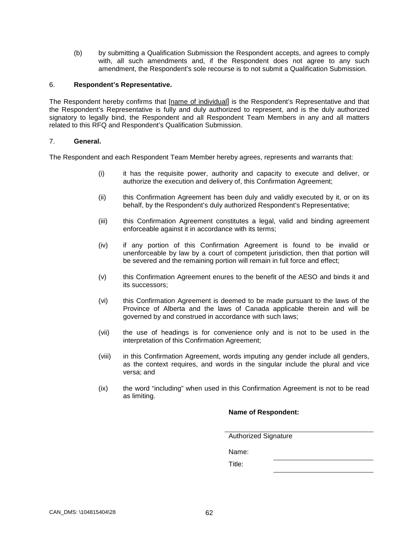(b) by submitting a Qualification Submission the Respondent accepts, and agrees to comply with, all such amendments and, if the Respondent does not agree to any such amendment, the Respondent's sole recourse is to not submit a Qualification Submission.

#### 6. **Respondent's Representative.**

The Respondent hereby confirms that [name of individual] is the Respondent's Representative and that the Respondent's Representative is fully and duly authorized to represent, and is the duly authorized signatory to legally bind, the Respondent and all Respondent Team Members in any and all matters related to this RFQ and Respondent's Qualification Submission.

### 7. **General.**

The Respondent and each Respondent Team Member hereby agrees, represents and warrants that:

- (i) it has the requisite power, authority and capacity to execute and deliver, or authorize the execution and delivery of, this Confirmation Agreement;
- (ii) this Confirmation Agreement has been duly and validly executed by it, or on its behalf, by the Respondent's duly authorized Respondent's Representative;
- (iii) this Confirmation Agreement constitutes a legal, valid and binding agreement enforceable against it in accordance with its terms;
- (iv) if any portion of this Confirmation Agreement is found to be invalid or unenforceable by law by a court of competent jurisdiction, then that portion will be severed and the remaining portion will remain in full force and effect;
- (v) this Confirmation Agreement enures to the benefit of the AESO and binds it and its successors;
- (vi) this Confirmation Agreement is deemed to be made pursuant to the laws of the Province of Alberta and the laws of Canada applicable therein and will be governed by and construed in accordance with such laws;
- (vii) the use of headings is for convenience only and is not to be used in the interpretation of this Confirmation Agreement;
- (viii) in this Confirmation Agreement, words imputing any gender include all genders, as the context requires, and words in the singular include the plural and vice versa; and
- (ix) the word "including" when used in this Confirmation Agreement is not to be read as limiting.

### **Name of Respondent:**

Authorized Signature

Name:

Title: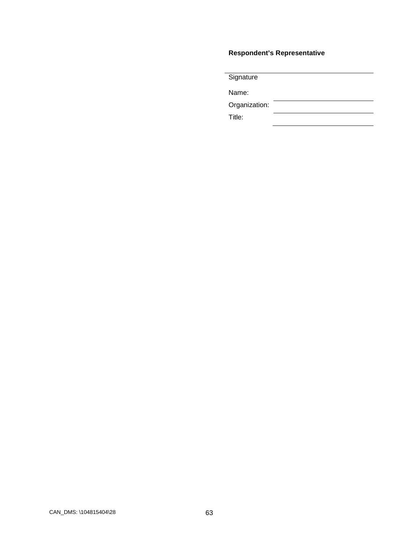# **Respondent's Representative**

**Signature** 

Name:

Organization:

Title: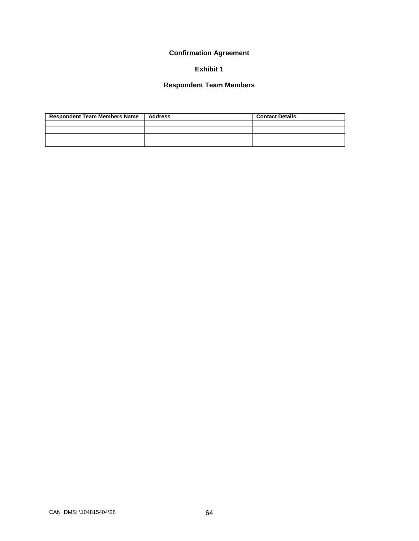## **Confirmation Agreement**

# **Exhibit 1**

## **Respondent Team Members**

| <b>Respondent Team Members Name</b> | Address | <b>Contact Details</b> |
|-------------------------------------|---------|------------------------|
|                                     |         |                        |
|                                     |         |                        |
|                                     |         |                        |
|                                     |         |                        |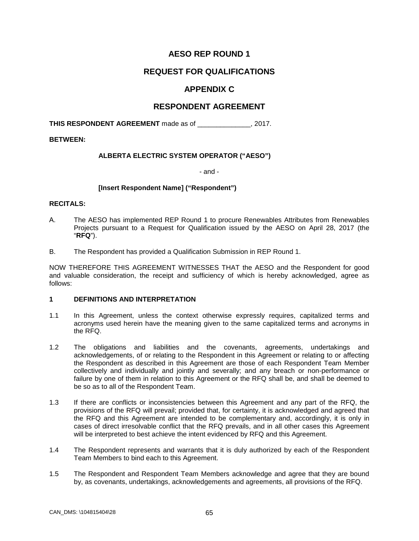# **AESO REP ROUND 1**

## **REQUEST FOR QUALIFICATIONS**

# **APPENDIX C**

### **RESPONDENT AGREEMENT**

**THIS RESPONDENT AGREEMENT** made as of \_\_\_\_\_\_\_\_\_\_\_\_\_\_, 2017.

**BETWEEN:**

### **ALBERTA ELECTRIC SYSTEM OPERATOR ("AESO")**

- and -

### **[Insert Respondent Name] ("Respondent")**

### **RECITALS:**

- А. The AESO has implemented REP Round 1 to procure Renewables Attributes from Renewables Projects pursuant to a Request for Qualification issued by the AESO on April 28, 2017 (the "**RFQ**").
- B. The Respondent has provided a Qualification Submission in REP Round 1.

NOW THEREFORE THIS AGREEMENT WITNESSES THAT the AESO and the Respondent for good and valuable consideration, the receipt and sufficiency of which is hereby acknowledged, agree as follows:

### **1 DEFINITIONS AND INTERPRETATION**

- 1.1 In this Agreement, unless the context otherwise expressly requires, capitalized terms and acronyms used herein have the meaning given to the same capitalized terms and acronyms in the RFQ.
- 1.2 The obligations and liabilities and the covenants, agreements, undertakings and acknowledgements, of or relating to the Respondent in this Agreement or relating to or affecting the Respondent as described in this Agreement are those of each Respondent Team Member collectively and individually and jointly and severally; and any breach or non-performance or failure by one of them in relation to this Agreement or the RFQ shall be, and shall be deemed to be so as to all of the Respondent Team.
- 1.3 If there are conflicts or inconsistencies between this Agreement and any part of the RFQ, the provisions of the RFQ will prevail; provided that, for certainty, it is acknowledged and agreed that the RFQ and this Agreement are intended to be complementary and, accordingly, it is only in cases of direct irresolvable conflict that the RFQ prevails, and in all other cases this Agreement will be interpreted to best achieve the intent evidenced by RFQ and this Agreement.
- 1.4 The Respondent represents and warrants that it is duly authorized by each of the Respondent Team Members to bind each to this Agreement.
- 1.5 The Respondent and Respondent Team Members acknowledge and agree that they are bound by, as covenants, undertakings, acknowledgements and agreements, all provisions of the RFQ.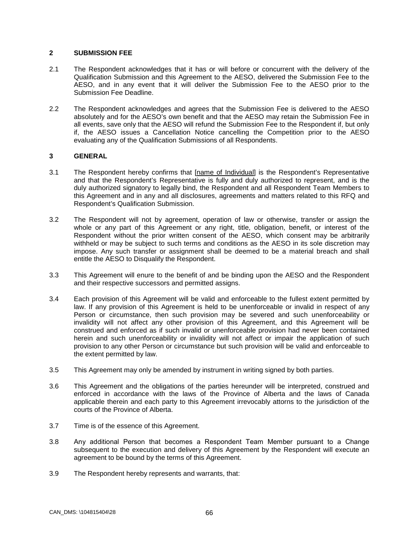### **2 SUBMISSION FEE**

- 2.1 The Respondent acknowledges that it has or will before or concurrent with the delivery of the Qualification Submission and this Agreement to the AESO, delivered the Submission Fee to the AESO, and in any event that it will deliver the Submission Fee to the AESO prior to the Submission Fee Deadline.
- 2.2 The Respondent acknowledges and agrees that the Submission Fee is delivered to the AESO absolutely and for the AESO's own benefit and that the AESO may retain the Submission Fee in all events, save only that the AESO will refund the Submission Fee to the Respondent if, but only if, the AESO issues a Cancellation Notice cancelling the Competition prior to the AESO evaluating any of the Qualification Submissions of all Respondents.

### **3 GENERAL**

- 3.1 The Respondent hereby confirms that [name of Individual] is the Respondent's Representative and that the Respondent's Representative is fully and duly authorized to represent, and is the duly authorized signatory to legally bind, the Respondent and all Respondent Team Members to this Agreement and in any and all disclosures, agreements and matters related to this RFQ and Respondent's Qualification Submission.
- 3.2 The Respondent will not by agreement, operation of law or otherwise, transfer or assign the whole or any part of this Agreement or any right, title, obligation, benefit, or interest of the Respondent without the prior written consent of the AESO, which consent may be arbitrarily withheld or may be subject to such terms and conditions as the AESO in its sole discretion may impose. Any such transfer or assignment shall be deemed to be a material breach and shall entitle the AESO to Disqualify the Respondent.
- 3.3 This Agreement will enure to the benefit of and be binding upon the AESO and the Respondent and their respective successors and permitted assigns.
- 3.4 Each provision of this Agreement will be valid and enforceable to the fullest extent permitted by law. If any provision of this Agreement is held to be unenforceable or invalid in respect of any Person or circumstance, then such provision may be severed and such unenforceability or invalidity will not affect any other provision of this Agreement, and this Agreement will be construed and enforced as if such invalid or unenforceable provision had never been contained herein and such unenforceability or invalidity will not affect or impair the application of such provision to any other Person or circumstance but such provision will be valid and enforceable to the extent permitted by law.
- 3.5 This Agreement may only be amended by instrument in writing signed by both parties.
- 3.6 This Agreement and the obligations of the parties hereunder will be interpreted, construed and enforced in accordance with the laws of the Province of Alberta and the laws of Canada applicable therein and each party to this Agreement irrevocably attorns to the jurisdiction of the courts of the Province of Alberta.
- 3.7 Time is of the essence of this Agreement.
- 3.8 Any additional Person that becomes а Respondent Team Member pursuant to a Change subsequent to the execution and delivery of this Agreement by the Respondent will execute an agreement to be bound by the terms of this Agreement.
- 3.9 The Respondent hereby represents and warrants, that: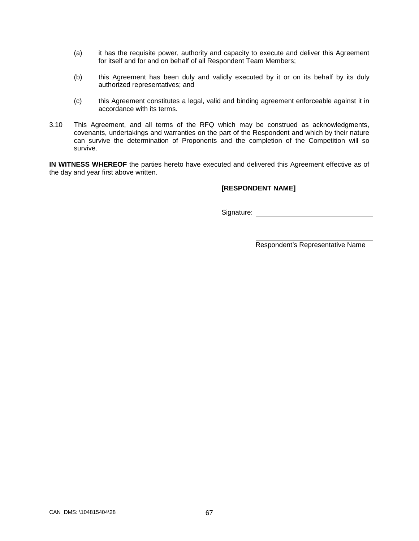- (a) it has the requisite power, authority and capacity to execute and deliver this Agreement for itself and for and on behalf of all Respondent Team Members;
- (b) this Agreement has been duly and validly executed by it or on its behalf by its duly authorized representatives; and
- (c) this Agreement constitutes a legal, valid and binding agreement enforceable against it in accordance with its terms.
- 3.10 This Agreement, and all terms of the RFQ which may be construed as acknowledgments, covenants, undertakings and warranties on the part of the Respondent and which by their nature can survive the determination of Proponents and the completion of the Competition will so survive.

**IN WITNESS WHEREOF** the parties hereto have executed and delivered this Agreement effective as of the day and year first above written.

### **[RESPONDENT NAME]**

Signature: experience of the state of the state of the state of the state of the state of the state of the state of the state of the state of the state of the state of the state of the state of the state of the state of th

Respondent's Representative Name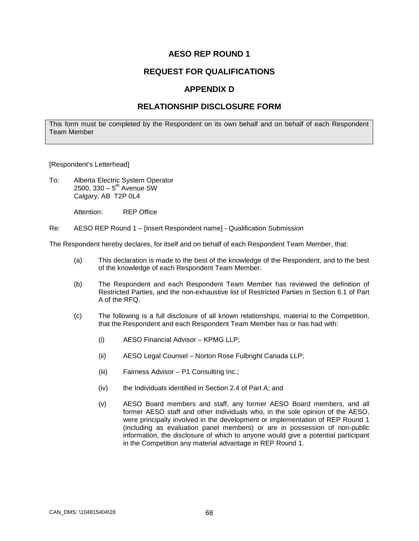# **REQUEST FOR QUALIFICATIONS**

### **APPENDIX D**

## **RELATIONSHIP DISCLOSURE FORM**

This form must be completed by the Respondent on its own behalf and on behalf of each Respondent Team Member

#### [Respondent's Letterhead]

To: Alberta Electric System Operator  $2500, 330 - 5<sup>th</sup>$  Avenue SW Calgary, AB T2P 0L4

Attention: REP Office

Re: AESO REP Round 1 – [insert Respondent name] - Qualification Submission

The Respondent hereby declares, for itself and on behalf of each Respondent Team Member, that:

- (a) This declaration is made to the best of the knowledge of the Respondent, and to the best of the knowledge of each Respondent Team Member.
- (b) The Respondent and each Respondent Team Member has reviewed the definition of Restricted Parties, and the non-exhaustive list of Restricted Parties in Section 6.1 of Part A of the RFQ.
- (c) The following is a full disclosure of all known relationships, material to the Competition, that the Respondent and each Respondent Team Member has or has had with:
	- (i) AESO Financial Advisor KPMG LLP;
	- (ii) AESO Legal Counsel Norton Rose Fulbright Canada LLP;
	- (iii) Fairness Advisor P1 Consulting Inc.;
	- (iv) the Individuals identified in Section 2.4 of Part A; and
	- (v) AESO Board members and staff, any former AESO Board members, and all former AESO staff and other Individuals who, in the sole opinion of the AESO, were principally involved in the development or implementation of REP Round 1 (including as evaluation panel members) or are in possession of non-public information, the disclosure of which to anyone would give a potential participant in the Competition any material advantage in REP Round 1.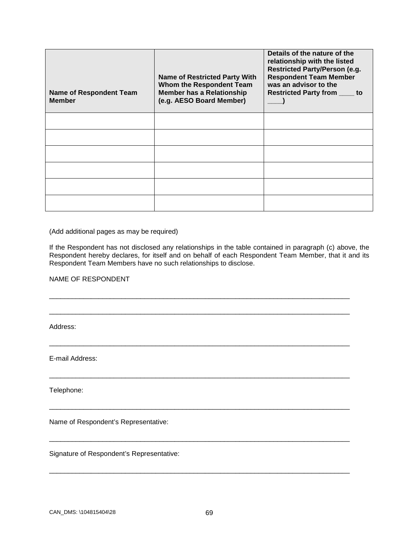| <b>Name of Respondent Team</b><br><b>Member</b> | <b>Name of Restricted Party With</b><br>Whom the Respondent Team<br><b>Member has a Relationship</b><br>(e.g. AESO Board Member) | Details of the nature of the<br>relationship with the listed<br><b>Restricted Party/Person (e.g.</b><br><b>Respondent Team Member</b><br>was an advisor to the<br><b>Restricted Party from ____</b><br>to |
|-------------------------------------------------|----------------------------------------------------------------------------------------------------------------------------------|-----------------------------------------------------------------------------------------------------------------------------------------------------------------------------------------------------------|
|                                                 |                                                                                                                                  |                                                                                                                                                                                                           |
|                                                 |                                                                                                                                  |                                                                                                                                                                                                           |
|                                                 |                                                                                                                                  |                                                                                                                                                                                                           |
|                                                 |                                                                                                                                  |                                                                                                                                                                                                           |
|                                                 |                                                                                                                                  |                                                                                                                                                                                                           |
|                                                 |                                                                                                                                  |                                                                                                                                                                                                           |

(Add additional pages as may be required)

If the Respondent has not disclosed any relationships in the table contained in paragraph (c) above, the Respondent hereby declares, for itself and on behalf of each Respondent Team Member, that it and its Respondent Team Members have no such relationships to disclose.

\_\_\_\_\_\_\_\_\_\_\_\_\_\_\_\_\_\_\_\_\_\_\_\_\_\_\_\_\_\_\_\_\_\_\_\_\_\_\_\_\_\_\_\_\_\_\_\_\_\_\_\_\_\_\_\_\_\_\_\_\_\_\_\_\_\_\_\_\_\_\_\_\_\_\_\_\_\_\_

\_\_\_\_\_\_\_\_\_\_\_\_\_\_\_\_\_\_\_\_\_\_\_\_\_\_\_\_\_\_\_\_\_\_\_\_\_\_\_\_\_\_\_\_\_\_\_\_\_\_\_\_\_\_\_\_\_\_\_\_\_\_\_\_\_\_\_\_\_\_\_\_\_\_\_\_\_\_\_

\_\_\_\_\_\_\_\_\_\_\_\_\_\_\_\_\_\_\_\_\_\_\_\_\_\_\_\_\_\_\_\_\_\_\_\_\_\_\_\_\_\_\_\_\_\_\_\_\_\_\_\_\_\_\_\_\_\_\_\_\_\_\_\_\_\_\_\_\_\_\_\_\_\_\_\_\_\_\_

\_\_\_\_\_\_\_\_\_\_\_\_\_\_\_\_\_\_\_\_\_\_\_\_\_\_\_\_\_\_\_\_\_\_\_\_\_\_\_\_\_\_\_\_\_\_\_\_\_\_\_\_\_\_\_\_\_\_\_\_\_\_\_\_\_\_\_\_\_\_\_\_\_\_\_\_\_\_\_

\_\_\_\_\_\_\_\_\_\_\_\_\_\_\_\_\_\_\_\_\_\_\_\_\_\_\_\_\_\_\_\_\_\_\_\_\_\_\_\_\_\_\_\_\_\_\_\_\_\_\_\_\_\_\_\_\_\_\_\_\_\_\_\_\_\_\_\_\_\_\_\_\_\_\_\_\_\_\_

\_\_\_\_\_\_\_\_\_\_\_\_\_\_\_\_\_\_\_\_\_\_\_\_\_\_\_\_\_\_\_\_\_\_\_\_\_\_\_\_\_\_\_\_\_\_\_\_\_\_\_\_\_\_\_\_\_\_\_\_\_\_\_\_\_\_\_\_\_\_\_\_\_\_\_\_\_\_\_

\_\_\_\_\_\_\_\_\_\_\_\_\_\_\_\_\_\_\_\_\_\_\_\_\_\_\_\_\_\_\_\_\_\_\_\_\_\_\_\_\_\_\_\_\_\_\_\_\_\_\_\_\_\_\_\_\_\_\_\_\_\_\_\_\_\_\_\_\_\_\_\_\_\_\_\_\_\_\_

NAME OF RESPONDENT

Address:

E-mail Address:

Telephone:

Name of Respondent's Representative:

Signature of Respondent's Representative: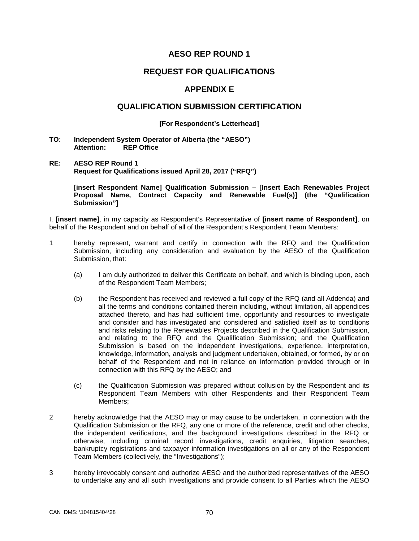### **REQUEST FOR QUALIFICATIONS**

### **APPENDIX E**

#### **QUALIFICATION SUBMISSION CERTIFICATION**

#### **[For Respondent's Letterhead]**

**TO: Independent System Operator of Alberta (the "AESO") REP Office** 

#### **RE: AESO REP Round 1 Request for Qualifications issued April 28, 2017 ("RFQ")**

**[insert Respondent Name] Qualification Submission – [Insert Each Renewables Project Proposal Name, Contract Capacity and Renewable Fuel(s)] (the "Qualification Submission"]**

I, **[insert name]**, in my capacity as Respondent's Representative of **[insert name of Respondent]**, on behalf of the Respondent and on behalf of all of the Respondent's Respondent Team Members:

- 1 hereby represent, warrant and certify in connection with the RFQ and the Qualification Submission, including any consideration and evaluation by the AESO of the Qualification Submission, that:
	- (a) I am duly authorized to deliver this Certificate on behalf, and which is binding upon, each of the Respondent Team Members;
	- (b) the Respondent has received and reviewed a full copy of the RFQ (and all Addenda) and all the terms and conditions contained therein including, without limitation, all appendices attached thereto, and has had sufficient time, opportunity and resources to investigate and consider and has investigated and considered and satisfied itself as to conditions and risks relating to the Renewables Projects described in the Qualification Submission, and relating to the RFQ and the Qualification Submission; and the Qualification Submission is based on the independent investigations, experience, interpretation, knowledge, information, analysis and judgment undertaken, obtained, or formed, by or on behalf of the Respondent and not in reliance on information provided through or in connection with this RFQ by the AESO; and
	- (c) the Qualification Submission was prepared without collusion by the Respondent and its Respondent Team Members with other Respondents and their Respondent Team Members;
- 2 hereby acknowledge that the AESO may or may cause to be undertaken, in connection with the Qualification Submission or the RFQ, any one or more of the reference, credit and other checks, the independent verifications, and the background investigations described in the RFQ or otherwise, including criminal record investigations, credit enquiries, litigation searches, bankruptcy registrations and taxpayer information investigations on all or any of the Respondent Team Members (collectively, the "Investigations");
- 3 hereby irrevocably consent and authorize AESO and the authorized representatives of the AESO to undertake any and all such Investigations and provide consent to all Parties which the AESO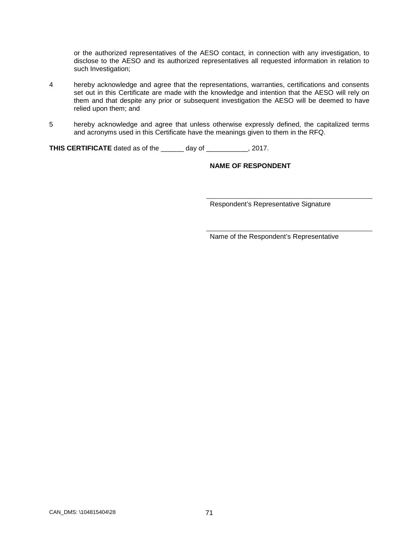or the authorized representatives of the AESO contact, in connection with any investigation, to disclose to the AESO and its authorized representatives all requested information in relation to such Investigation;

- 4 hereby acknowledge and agree that the representations, warranties, certifications and consents set out in this Certificate are made with the knowledge and intention that the AESO will rely on them and that despite any prior or subsequent investigation the AESO will be deemed to have relied upon them; and
- 5 hereby acknowledge and agree that unless otherwise expressly defined, the capitalized terms and acronyms used in this Certificate have the meanings given to them in the RFQ.

**THIS CERTIFICATE** dated as of the \_\_\_\_\_\_ day of \_\_\_\_\_\_\_\_\_\_\_, 2017.

### **NAME OF RESPONDENT**

Respondent's Representative Signature

Name of the Respondent's Representative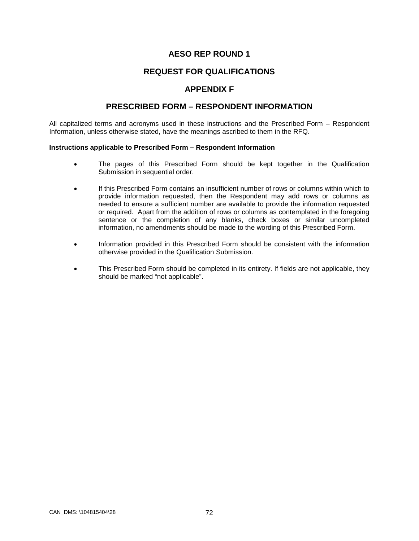# **REQUEST FOR QUALIFICATIONS**

### **APPENDIX F**

### **PRESCRIBED FORM – RESPONDENT INFORMATION**

All capitalized terms and acronyms used in these instructions and the Prescribed Form – Respondent Information, unless otherwise stated, have the meanings ascribed to them in the RFQ.

#### **Instructions applicable to Prescribed Form – Respondent Information**

- The pages of this Prescribed Form should be kept together in the Qualification Submission in sequential order.
- If this Prescribed Form contains an insufficient number of rows or columns within which to provide information requested, then the Respondent may add rows or columns as needed to ensure a sufficient number are available to provide the information requested or required. Apart from the addition of rows or columns as contemplated in the foregoing sentence or the completion of any blanks, check boxes or similar uncompleted information, no amendments should be made to the wording of this Prescribed Form.
- Information provided in this Prescribed Form should be consistent with the information otherwise provided in the Qualification Submission.
- This Prescribed Form should be completed in its entirety. If fields are not applicable, they should be marked "not applicable".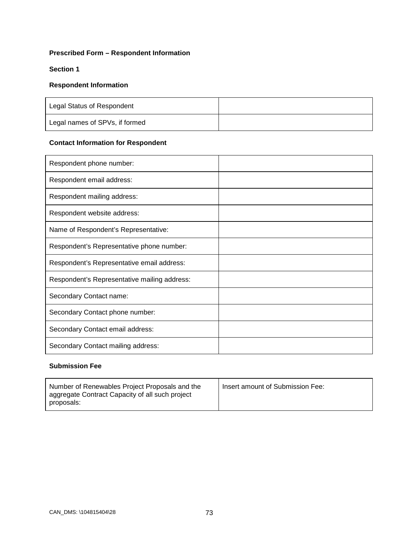# **Prescribed Form – Respondent Information**

### **Section 1**

#### **Respondent Information**

| Legal Status of Respondent     |  |
|--------------------------------|--|
| Legal names of SPVs, if formed |  |

# **Contact Information for Respondent**

| Respondent phone number:                     |  |
|----------------------------------------------|--|
| Respondent email address:                    |  |
| Respondent mailing address:                  |  |
| Respondent website address:                  |  |
| Name of Respondent's Representative:         |  |
| Respondent's Representative phone number:    |  |
| Respondent's Representative email address:   |  |
| Respondent's Representative mailing address: |  |
| Secondary Contact name:                      |  |
| Secondary Contact phone number:              |  |
| Secondary Contact email address:             |  |
| Secondary Contact mailing address:           |  |

# **Submission Fee**

| Number of Renewables Project Proposals and the<br>aggregate Contract Capacity of all such project<br>proposals: | Insert amount of Submission Fee: |
|-----------------------------------------------------------------------------------------------------------------|----------------------------------|
|-----------------------------------------------------------------------------------------------------------------|----------------------------------|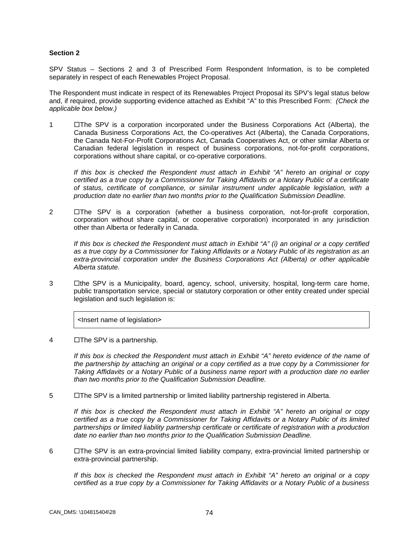#### **Section 2**

SPV Status – Sections 2 and 3 of Prescribed Form Respondent Information, is to be completed separately in respect of each Renewables Project Proposal.

The Respondent must indicate in respect of its Renewables Project Proposal its SPV's legal status below and, if required, provide supporting evidence attached as Exhibit "A" to this Prescribed Form: *(Check the applicable box below.)*

1 **The SPV** is a corporation incorporated under the Business Corporations Act (Alberta), the Canada Business Corporations Act, the Co-operatives Act (Alberta), the Canada Corporations, the Canada Not-For-Profit Corporations Act, Canada Cooperatives Act, or other similar Alberta or Canadian federal legislation in respect of business corporations, not-for-profit corporations, corporations without share capital, or co-operative corporations.

*If this box is checked the Respondent must attach in Exhibit "A" hereto an original or copy certified as a true copy by a Commissioner for Taking Affidavits or a Notary Public of a certificate of status, certificate of compliance, or similar instrument under applicable legislation, with a production date no earlier than two months prior to the Qualification Submission Deadline.*

2  $\Box$ The SPV is a corporation (whether a business corporation, not-for-profit corporation, corporation without share capital, or cooperative corporation) incorporated in any jurisdiction other than Alberta or federally in Canada.

*If this box is checked the Respondent must attach in Exhibit "A" (i) an original or a copy certified as a true copy by a Commissioner for Taking Affidavits or a Notary Public of its registration as an extra-provincial corporation under the Business Corporations Act (Alberta) or other applicable Alberta statute.*

3 **I** dhe SPV is a Municipality, board, agency, school, university, hospital, long-term care home, public transportation service, special or statutory corporation or other entity created under special legislation and such legislation is:

<lnsert name of legislation>

4 The SPV is a partnership.

*If this box is checked the Respondent must attach in Exhibit "A" hereto evidence of the name of the partnership by attaching an original or a copy certified as a true copy by a Commissioner for Taking Affidavits or a Notary Public of a business name report with a production date no earlier than two months prior to the Qualification Submission Deadline.*

5 The SPV is a limited partnership or limited liability partnership registered in Alberta.

*If this box is checked the Respondent must attach in Exhibit "A" hereto an original or copy certified as a true copy by a Commissioner for Taking Affidavits or a Notary Public of its limited partnerships or limited liability partnership certificate or certificate of registration with a production date no earlier than two months prior to the Qualification Submission Deadline.*

6 The SPV is an extra-provincial limited liability company, extra-provincial limited partnership or extra-provincial partnership.

*If this box is checked the Respondent must attach in Exhibit "A" hereto an original or a copy certified as a true copy by a Commissioner for Taking Affidavits or a Notary Public of a business*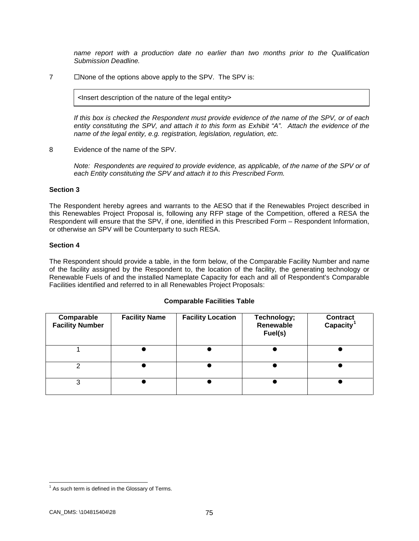*name report with a production date no earlier than two months prior to the Qualification Submission Deadline.*

7 Mone of the options above apply to the SPV. The SPV is:

˂Insert description of the nature of the legal entity˃

*If this box is checked the Respondent must provide evidence of the name of the SPV, or of each entity constituting the SPV, and attach it to this form as Exhibit "A". Attach the evidence of the name of the legal entity, e.g. registration, legislation, regulation, etc.*

8 Evidence of the name of the SPV.

*Note: Respondents are required to provide evidence, as applicable, of the name of the SPV or of each Entity constituting the SPV and attach it to this Prescribed Form.*

#### **Section 3**

The Respondent hereby agrees and warrants to the AESO that if the Renewables Project described in this Renewables Project Proposal is, following any RFP stage of the Competition, offered a RESA the Respondent will ensure that the SPV, if one, identified in this Prescribed Form – Respondent Information, or otherwise an SPV will be Counterparty to such RESA.

#### **Section 4**

The Respondent should provide a table, in the form below, of the Comparable Facility Number and name of the facility assigned by the Respondent to, the location of the facility, the generating technology or Renewable Fuels of and the installed Nameplate Capacity for each and all of Respondent's Comparable Facilities identified and referred to in all Renewables Project Proposals:

| <b>Comparable Facilities Table</b> |  |  |
|------------------------------------|--|--|
|------------------------------------|--|--|

| Comparable<br><b>Facility Number</b> | <b>Facility Name</b> | <b>Facility Location</b> | Technology;<br>Renewable<br>Fuel(s) | <b>Contract</b><br>Capacity <sup>1</sup> |
|--------------------------------------|----------------------|--------------------------|-------------------------------------|------------------------------------------|
|                                      |                      |                          |                                     |                                          |
|                                      |                      |                          |                                     |                                          |
| 3                                    |                      |                          |                                     |                                          |

<span id="page-79-0"></span> $1$  As such term is defined in the Glossary of Terms.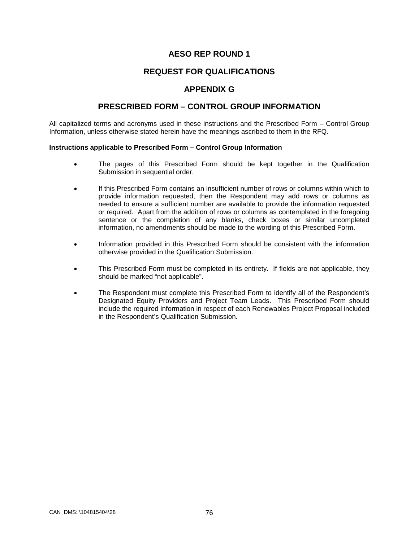# **REQUEST FOR QUALIFICATIONS**

## **APPENDIX G**

### **PRESCRIBED FORM – CONTROL GROUP INFORMATION**

All capitalized terms and acronyms used in these instructions and the Prescribed Form – Control Group Information, unless otherwise stated herein have the meanings ascribed to them in the RFQ.

#### **Instructions applicable to Prescribed Form – Control Group Information**

- The pages of this Prescribed Form should be kept together in the Qualification Submission in sequential order.
- If this Prescribed Form contains an insufficient number of rows or columns within which to provide information requested, then the Respondent may add rows or columns as needed to ensure a sufficient number are available to provide the information requested or required. Apart from the addition of rows or columns as contemplated in the foregoing sentence or the completion of any blanks, check boxes or similar uncompleted information, no amendments should be made to the wording of this Prescribed Form.
- Information provided in this Prescribed Form should be consistent with the information otherwise provided in the Qualification Submission.
- This Prescribed Form must be completed in its entirety. If fields are not applicable, they should be marked "not applicable".
- The Respondent must complete this Prescribed Form to identify all of the Respondent's Designated Equity Providers and Project Team Leads. This Prescribed Form should include the required information in respect of each Renewables Project Proposal included in the Respondent's Qualification Submission.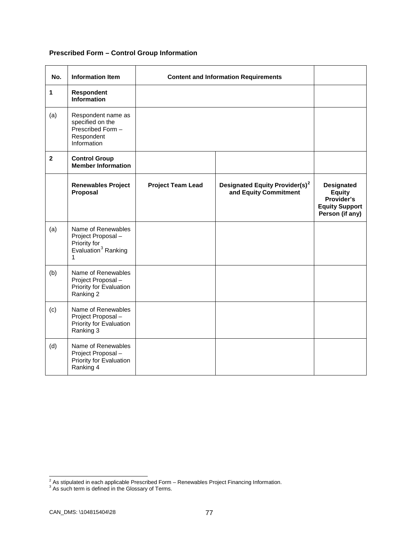# **Prescribed Form – Control Group Information**

| No.          | <b>Information Item</b>                                                                          | <b>Content and Information Requirements</b> |                                                                     |                                                                                              |
|--------------|--------------------------------------------------------------------------------------------------|---------------------------------------------|---------------------------------------------------------------------|----------------------------------------------------------------------------------------------|
| 1            | Respondent<br><b>Information</b>                                                                 |                                             |                                                                     |                                                                                              |
| (a)          | Respondent name as<br>specified on the<br>Prescribed Form -<br>Respondent<br>Information         |                                             |                                                                     |                                                                                              |
| $\mathbf{2}$ | <b>Control Group</b><br><b>Member Information</b>                                                |                                             |                                                                     |                                                                                              |
|              | <b>Renewables Project</b><br>Proposal                                                            | <b>Project Team Lead</b>                    | Designated Equity Provider(s) <sup>2</sup><br>and Equity Commitment | <b>Designated</b><br><b>Equity</b><br>Provider's<br><b>Equity Support</b><br>Person (if any) |
| (a)          | Name of Renewables<br>Project Proposal -<br>Priority for<br>Evaluation <sup>3</sup> Ranking<br>1 |                                             |                                                                     |                                                                                              |
| (b)          | Name of Renewables<br>Project Proposal -<br>Priority for Evaluation<br>Ranking 2                 |                                             |                                                                     |                                                                                              |
| (c)          | Name of Renewables<br>Project Proposal -<br>Priority for Evaluation<br>Ranking 3                 |                                             |                                                                     |                                                                                              |
| (d)          | Name of Renewables<br>Project Proposal -<br>Priority for Evaluation<br>Ranking 4                 |                                             |                                                                     |                                                                                              |

<span id="page-81-1"></span><span id="page-81-0"></span> $\frac{2}{3}$  As stipulated in each applicable Prescribed Form – Renewables Project Financing Information.  $\frac{3}{3}$  As such term is defined in the Glossary of Terms.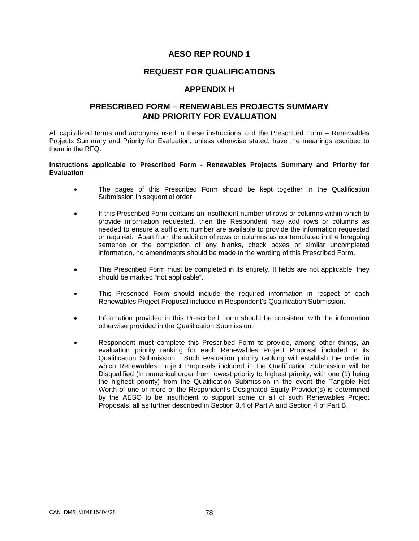### **REQUEST FOR QUALIFICATIONS**

### **APPENDIX H**

### **PRESCRIBED FORM – RENEWABLES PROJECTS SUMMARY AND PRIORITY FOR EVALUATION**

All capitalized terms and acronyms used in these instructions and the Prescribed Form – Renewables Projects Summary and Priority for Evaluation, unless otherwise stated, have the meanings ascribed to them in the RFQ.

#### **Instructions applicable to Prescribed Form - Renewables Projects Summary and Priority for Evaluation**

- The pages of this Prescribed Form should be kept together in the Qualification Submission in sequential order.
- If this Prescribed Form contains an insufficient number of rows or columns within which to provide information requested, then the Respondent may add rows or columns as needed to ensure a sufficient number are available to provide the information requested or required. Apart from the addition of rows or columns as contemplated in the foregoing sentence or the completion of any blanks, check boxes or similar uncompleted information, no amendments should be made to the wording of this Prescribed Form.
- This Prescribed Form must be completed in its entirety. If fields are not applicable, they should be marked "not applicable".
- This Prescribed Form should include the required information in respect of each Renewables Project Proposal included in Respondent's Qualification Submission.
- Information provided in this Prescribed Form should be consistent with the information otherwise provided in the Qualification Submission.
- Respondent must complete this Prescribed Form to provide, among other things, an evaluation priority ranking for each Renewables Project Proposal included in its Qualification Submission. Such evaluation priority ranking will establish the order in which Renewables Project Proposals included in the Qualification Submission will be Disqualified (in numerical order from lowest priority to highest priority, with one (1) being the highest priority) from the Qualification Submission in the event the Tangible Net Worth of one or more of the Respondent's Designated Equity Provider(s) is determined by the AESO to be insufficient to support some or all of such Renewables Project Proposals, all as further described in Section 3.4 of Part A and Section 4 of Part B.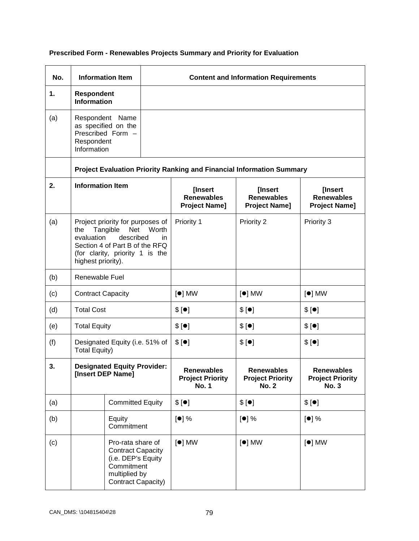| No. |                                                                                                                                                                                                  | <b>Information Item</b>                                                                                                  |                                                              |                                                              | <b>Content and Information Requirements</b>                                  |          |
|-----|--------------------------------------------------------------------------------------------------------------------------------------------------------------------------------------------------|--------------------------------------------------------------------------------------------------------------------------|--------------------------------------------------------------|--------------------------------------------------------------|------------------------------------------------------------------------------|----------|
| 1.  | <b>Respondent</b><br><b>Information</b>                                                                                                                                                          |                                                                                                                          |                                                              |                                                              |                                                                              |          |
| (a) | Respondent<br>Information                                                                                                                                                                        | Respondent Name<br>as specified on the<br>Prescribed Form -                                                              |                                                              |                                                              |                                                                              |          |
|     |                                                                                                                                                                                                  |                                                                                                                          |                                                              |                                                              | <b>Project Evaluation Priority Ranking and Financial Information Summary</b> |          |
| 2.  | <b>Information Item</b>                                                                                                                                                                          |                                                                                                                          | [Insert<br><b>Renewables</b><br><b>Project Name]</b>         | [Insert<br><b>Renewables</b><br><b>Project Name]</b>         | [Insert<br><b>Renewables</b><br><b>Project Name]</b>                         |          |
| (a) | Project priority for purposes of<br>Tangible<br>Net<br>Worth<br>the<br>evaluation<br>described<br>in.<br>Section 4 of Part B of the RFQ<br>(for clarity, priority 1 is the<br>highest priority). |                                                                                                                          | Priority 1                                                   | Priority 2                                                   | Priority 3                                                                   |          |
| (b) | Renewable Fuel                                                                                                                                                                                   |                                                                                                                          |                                                              |                                                              |                                                                              |          |
| (c) | <b>Contract Capacity</b>                                                                                                                                                                         |                                                                                                                          | $[•]$ MW                                                     | $[•]$ MW                                                     | $[•]$ MW                                                                     |          |
| (d) | <b>Total Cost</b>                                                                                                                                                                                |                                                                                                                          | \$[•]                                                        | \$[•]                                                        | \$[•]                                                                        |          |
| (e) | <b>Total Equity</b>                                                                                                                                                                              |                                                                                                                          | \$[•]                                                        | \$[•]                                                        | \$[•]                                                                        |          |
| (f) | Designated Equity (i.e. 51% of<br><b>Total Equity)</b>                                                                                                                                           |                                                                                                                          | \$[•]                                                        | \$[•]                                                        | \$[•]                                                                        |          |
| 3.  | <b>Designated Equity Provider:</b><br>[Insert DEP Name]                                                                                                                                          |                                                                                                                          | <b>Renewables</b><br><b>Project Priority</b><br><b>No. 1</b> | <b>Renewables</b><br><b>Project Priority</b><br><b>No. 2</b> | <b>Renewables</b><br><b>Project Priority</b><br><b>No. 3</b>                 |          |
| (a) |                                                                                                                                                                                                  | <b>Committed Equity</b>                                                                                                  |                                                              | \$[•]                                                        | \$[•]                                                                        | \$[•]    |
| (b) |                                                                                                                                                                                                  | Equity<br>Commitment                                                                                                     |                                                              | [•] %                                                        | [•] %                                                                        | [•] %    |
| (c) |                                                                                                                                                                                                  | Pro-rata share of<br><b>Contract Capacity</b><br>(i.e. DEP's Equity<br>Commitment<br>multiplied by<br>Contract Capacity) |                                                              | $[•]$ MW                                                     | $[•]$ MW                                                                     | $[•]$ MW |

# **Prescribed Form - Renewables Projects Summary and Priority for Evaluation**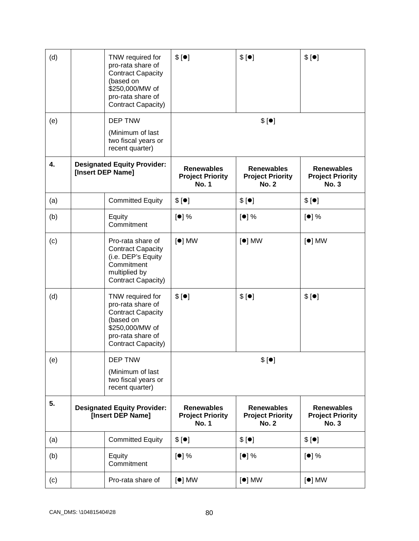| (d) | TNW required for<br>pro-rata share of<br><b>Contract Capacity</b><br>(based on<br>\$250,000/MW of<br>pro-rata share of<br>Contract Capacity) | \$[•]                                                        | \$[•]                                                        | \$[•]                                                        |
|-----|----------------------------------------------------------------------------------------------------------------------------------------------|--------------------------------------------------------------|--------------------------------------------------------------|--------------------------------------------------------------|
| (e) | DEP TNW<br>(Minimum of last<br>two fiscal years or<br>recent quarter)                                                                        |                                                              | \$[•]                                                        |                                                              |
| 4.  | <b>Designated Equity Provider:</b><br>[Insert DEP Name]                                                                                      | <b>Renewables</b><br><b>Project Priority</b><br><b>No. 1</b> | <b>Renewables</b><br><b>Project Priority</b><br><b>No. 2</b> | <b>Renewables</b><br><b>Project Priority</b><br><b>No. 3</b> |
| (a) | <b>Committed Equity</b>                                                                                                                      | \$[•]                                                        | \$[•]                                                        | \$[•]                                                        |
| (b) | Equity<br>Commitment                                                                                                                         | [•] %                                                        | $[•]$ %                                                      | [•] %                                                        |
| (c) | Pro-rata share of<br><b>Contract Capacity</b><br>(i.e. DEP's Equity<br>Commitment<br>multiplied by<br>Contract Capacity)                     | $[•]$ MW                                                     | $[•]$ MW                                                     | $\lceil \bullet \rceil$ MW                                   |
| (d) | TNW required for<br>pro-rata share of<br><b>Contract Capacity</b><br>(based on<br>\$250,000/MW of<br>pro-rata share of<br>Contract Capacity) | \$[•]                                                        | \$[•]                                                        | \$[•]                                                        |
| (e) | <b>DEP TNW</b><br>(Minimum of last<br>two fiscal years or<br>recent quarter)                                                                 |                                                              | \$[•]                                                        |                                                              |
| 5.  | <b>Designated Equity Provider:</b><br>[Insert DEP Name]                                                                                      | <b>Renewables</b><br><b>Project Priority</b><br><b>No. 1</b> | <b>Renewables</b><br><b>Project Priority</b><br><b>No. 2</b> | <b>Renewables</b><br><b>Project Priority</b><br><b>No. 3</b> |
| (a) | <b>Committed Equity</b>                                                                                                                      | \$[•]                                                        | \$[•]                                                        | \$[•]                                                        |
| (b) | Equity<br>Commitment                                                                                                                         | [•] %                                                        | [•] %                                                        | [•] %                                                        |
| (c) | Pro-rata share of                                                                                                                            | $[•]$ MW                                                     | $[•]$ MW                                                     | $[•]$ MW                                                     |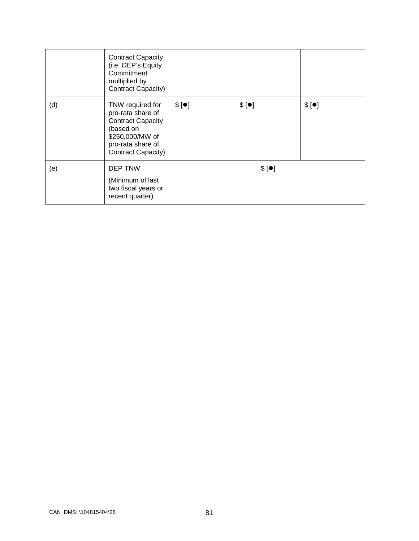|     | <b>Contract Capacity</b><br>(i.e. DEP's Equity<br>Commitment<br>multiplied by<br>Contract Capacity)                                          |       |       |       |
|-----|----------------------------------------------------------------------------------------------------------------------------------------------|-------|-------|-------|
| (d) | TNW required for<br>pro-rata share of<br><b>Contract Capacity</b><br>(based on<br>\$250,000/MW of<br>pro-rata share of<br>Contract Capacity) | \$[•] | \$[•] | \$[•] |
| (e) | DEP TNW<br>(Minimum of last<br>two fiscal years or<br>recent quarter)                                                                        |       | \$[•] |       |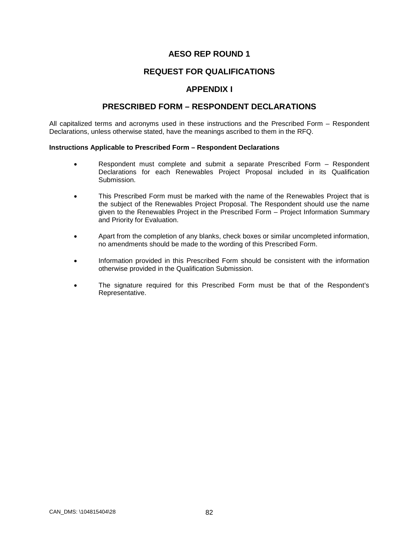# **REQUEST FOR QUALIFICATIONS**

### **APPENDIX I**

### **PRESCRIBED FORM – RESPONDENT DECLARATIONS**

All capitalized terms and acronyms used in these instructions and the Prescribed Form – Respondent Declarations, unless otherwise stated, have the meanings ascribed to them in the RFQ.

#### **Instructions Applicable to Prescribed Form – Respondent Declarations**

- Respondent must complete and submit a separate Prescribed Form Respondent Declarations for each Renewables Project Proposal included in its Qualification Submission.
- This Prescribed Form must be marked with the name of the Renewables Project that is the subject of the Renewables Project Proposal. The Respondent should use the name given to the Renewables Project in the Prescribed Form – Project Information Summary and Priority for Evaluation.
- Apart from the completion of any blanks, check boxes or similar uncompleted information, no amendments should be made to the wording of this Prescribed Form.
- Information provided in this Prescribed Form should be consistent with the information otherwise provided in the Qualification Submission.
- The signature required for this Prescribed Form must be that of the Respondent's Representative.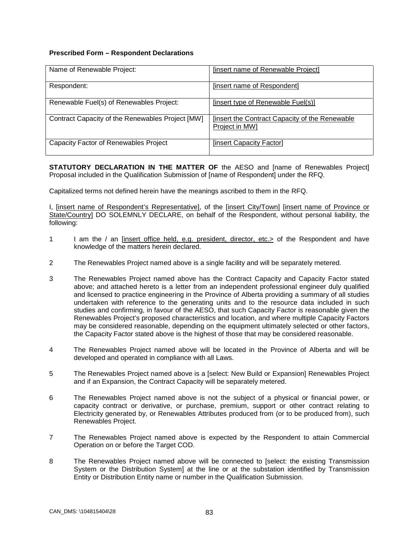#### **Prescribed Form – Respondent Declarations**

| Name of Renewable Project:                       | <b>[insert name of Renewable Project]</b>                              |
|--------------------------------------------------|------------------------------------------------------------------------|
| Respondent:                                      | [insert name of Respondent]                                            |
| Renewable Fuel(s) of Renewables Project:         | [insert type of Renewable Fuel(s)]                                     |
| Contract Capacity of the Renewables Project [MW] | <b>Insert the Contract Capacity of the Renewable</b><br>Project in MW1 |
| <b>Capacity Factor of Renewables Project</b>     | [insert Capacity Factor]                                               |

**STATUTORY DECLARATION IN THE MATTER OF** the AESO and [name of Renewables Project] Proposal included in the Qualification Submission of [name of Respondent] under the RFQ.

Capitalized terms not defined herein have the meanings ascribed to them in the RFQ.

I, [insert name of Respondent's Representative], of the [insert City/Town] [insert name of Province or State/Country] DO SOLEMNLY DECLARE, on behalf of the Respondent, without personal liability, the following:

- 1 I am the / an [insert office held, e.g. president, director, etc.> of the Respondent and have knowledge of the matters herein declared.
- 2 The Renewables Project named above is a single facility and will be separately metered.
- 3 The Renewables Project named above has the Contract Capacity and Capacity Factor stated above; and attached hereto is a letter from an independent professional engineer duly qualified and licensed to practice engineering in the Province of Alberta providing a summary of all studies undertaken with reference to the generating units and to the resource data included in such studies and confirming, in favour of the AESO, that such Capacity Factor is reasonable given the Renewables Project's proposed characteristics and location, and where multiple Capacity Factors may be considered reasonable, depending on the equipment ultimately selected or other factors, the Capacity Factor stated above is the highest of those that may be considered reasonable.
- 4 The Renewables Project named above will be located in the Province of Alberta and will be developed and operated in compliance with all Laws.
- 5 The Renewables Project named above is a [select: New Build or Expansion] Renewables Project and if an Expansion, the Contract Capacity will be separately metered.
- 6 The Renewables Project named above is not the subject of a physical or financial power, or capacity contract or derivative, or purchase, premium, support or other contract relating to Electricity generated by, or Renewables Attributes produced from (or to be produced from), such Renewables Project.
- 7 The Renewables Project named above is expected by the Respondent to attain Commercial Operation on or before the Target COD.
- 8 The Renewables Project named above will be connected to [select: the existing Transmission System or the Distribution System] at the line or at the substation identified by Transmission Entity or Distribution Entity name or number in the Qualification Submission.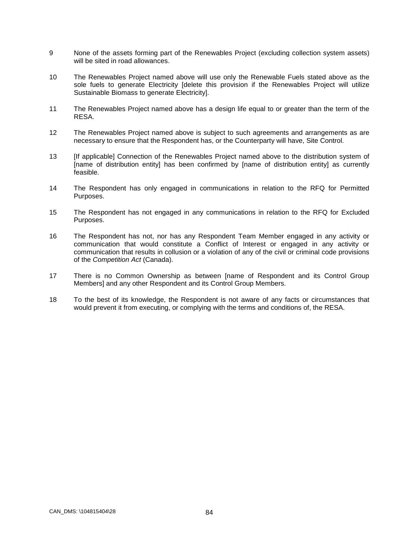- 9 None of the assets forming part of the Renewables Project (excluding collection system assets) will be sited in road allowances.
- 10 The Renewables Project named above will use only the Renewable Fuels stated above as the sole fuels to generate Electricity [delete this provision if the Renewables Project will utilize Sustainable Biomass to generate Electricity].
- 11 The Renewables Project named above has a design life equal to or greater than the term of the RESA.
- 12 The Renewables Project named above is subject to such agreements and arrangements as are necessary to ensure that the Respondent has, or the Counterparty will have, Site Control.
- 13 [If applicable] Connection of the Renewables Project named above to the distribution system of [name of distribution entity] has been confirmed by [name of distribution entity] as currently feasible.
- 14 The Respondent has only engaged in communications in relation to the RFQ for Permitted Purposes.
- 15 The Respondent has not engaged in any communications in relation to the RFQ for Excluded Purposes.
- 16 The Respondent has not, nor has any Respondent Team Member engaged in any activity or communication that would constitute a Conflict of Interest or engaged in any activity or communication that results in collusion or a violation of any of the civil or criminal code provisions of the *Competition Act* (Canada).
- 17 There is no Common Ownership as between [name of Respondent and its Control Group Members] and any other Respondent and its Control Group Members.
- 18 To the best of its knowledge, the Respondent is not aware of any facts or circumstances that would prevent it from executing, or complying with the terms and conditions of, the RESA.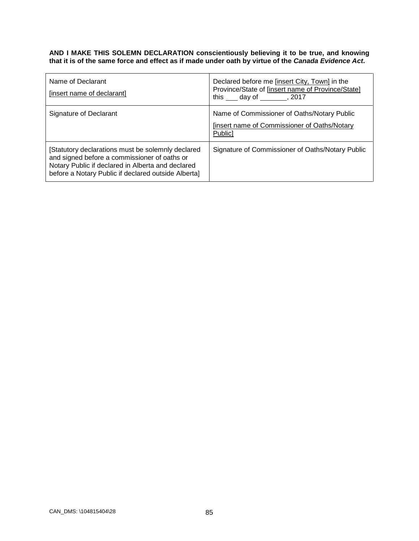#### **AND I MAKE THIS SOLEMN DECLARATION conscientiously believing it to be true, and knowing that it is of the same force and effect as if made under oath by virtue of the** *Canada Evidence Act***.**

| Name of Declarant<br>[insert name of declarant]                                                                                                                                                               | Declared before me [insert City, Town] in the<br>Province/State of [insert name of Province/State]<br>this day of , 2017 |
|---------------------------------------------------------------------------------------------------------------------------------------------------------------------------------------------------------------|--------------------------------------------------------------------------------------------------------------------------|
| Signature of Declarant                                                                                                                                                                                        | Name of Commissioner of Oaths/Notary Public<br>finsert name of Commissioner of Oaths/Notary<br>Public]                   |
| [Statutory declarations must be solemnly declared<br>and signed before a commissioner of oaths or<br>Notary Public if declared in Alberta and declared<br>before a Notary Public if declared outside Alberta] | Signature of Commissioner of Oaths/Notary Public                                                                         |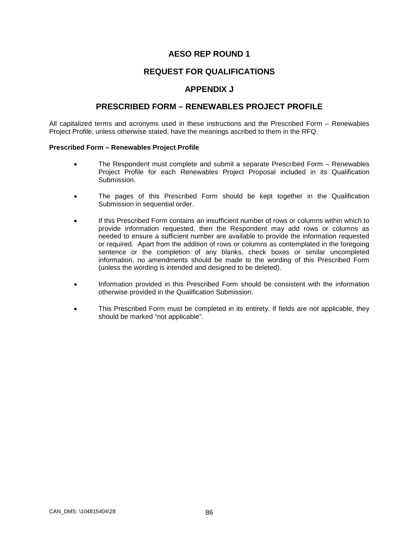### **REQUEST FOR QUALIFICATIONS**

### **APPENDIX J**

### **PRESCRIBED FORM – RENEWABLES PROJECT PROFILE**

All capitalized terms and acronyms used in these instructions and the Prescribed Form – Renewables Project Profile, unless otherwise stated, have the meanings ascribed to them in the RFQ.

#### **Prescribed Form – Renewables Project Profile**

- The Respondent must complete and submit a separate Prescribed Form Renewables Project Profile for each Renewables Project Proposal included in its Qualification Submission.
- The pages of this Prescribed Form should be kept together in the Qualification Submission in sequential order.
- If this Prescribed Form contains an insufficient number of rows or columns within which to provide information requested, then the Respondent may add rows or columns as needed to ensure a sufficient number are available to provide the information requested or required. Apart from the addition of rows or columns as contemplated in the foregoing sentence or the completion of any blanks, check boxes or similar uncompleted information, no amendments should be made to the wording of this Prescribed Form (unless the wording is intended and designed to be deleted).
- Information provided in this Prescribed Form should be consistent with the information otherwise provided in the Qualification Submission.
- This Prescribed Form must be completed in its entirety. If fields are not applicable, they should be marked "not applicable".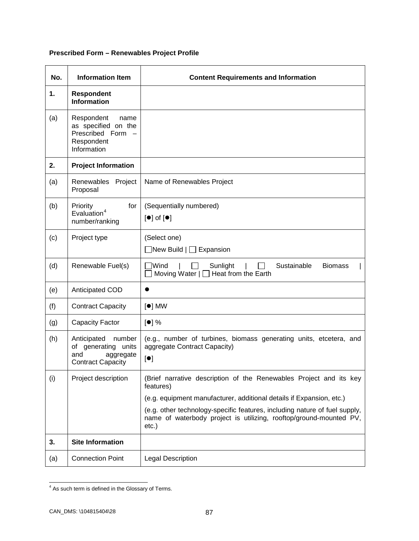# **Prescribed Form – Renewables Project Profile**

| No. | <b>Information Item</b>                                                                                   | <b>Content Requirements and Information</b>                                                                                                                  |  |  |
|-----|-----------------------------------------------------------------------------------------------------------|--------------------------------------------------------------------------------------------------------------------------------------------------------------|--|--|
| 1.  | <b>Respondent</b><br><b>Information</b>                                                                   |                                                                                                                                                              |  |  |
| (a) | Respondent<br>name<br>as specified on the<br>Prescribed Form<br>Respondent<br>Information                 |                                                                                                                                                              |  |  |
| 2.  | <b>Project Information</b>                                                                                |                                                                                                                                                              |  |  |
| (a) | Renewables Project<br>Proposal                                                                            | Name of Renewables Project                                                                                                                                   |  |  |
| (b) | for<br>(Sequentially numbered)<br>Priority<br>Evaluation <sup>4</sup><br>$[•]$ of $[•]$<br>number/ranking |                                                                                                                                                              |  |  |
| (c) | Project type                                                                                              | (Select one)<br>$\Box$ New Build $\Box$ Expansion                                                                                                            |  |  |
| (d) | Renewable Fuel(s)                                                                                         | Wind<br>Sunlight<br>Sustainable<br><b>Biomass</b><br>Moving Water $ \Box$ Heat from the Earth                                                                |  |  |
| (e) | Anticipated COD                                                                                           |                                                                                                                                                              |  |  |
| (f) | <b>Contract Capacity</b>                                                                                  | $[•]$ MW                                                                                                                                                     |  |  |
| (g) | <b>Capacity Factor</b>                                                                                    | [•] %                                                                                                                                                        |  |  |
| (h) | Anticipated number<br>of generating units<br>and<br>aggregate<br><b>Contract Capacity</b>                 | (e.g., number of turbines, biomass generating units, etcetera, and<br>aggregate Contract Capacity)<br>[•]                                                    |  |  |
| (i) | Project description                                                                                       | (Brief narrative description of the Renewables Project and its key<br>features)                                                                              |  |  |
|     |                                                                                                           | (e.g. equipment manufacturer, additional details if Expansion, etc.)                                                                                         |  |  |
|     |                                                                                                           | (e.g. other technology-specific features, including nature of fuel supply,<br>name of waterbody project is utilizing, rooftop/ground-mounted PV,<br>$etc.$ ) |  |  |
| 3.  | <b>Site Information</b>                                                                                   |                                                                                                                                                              |  |  |
| (a) | <b>Connection Point</b>                                                                                   | <b>Legal Description</b>                                                                                                                                     |  |  |

<span id="page-91-0"></span><sup>&</sup>lt;sup>4</sup> As such term is defined in the Glossary of Terms.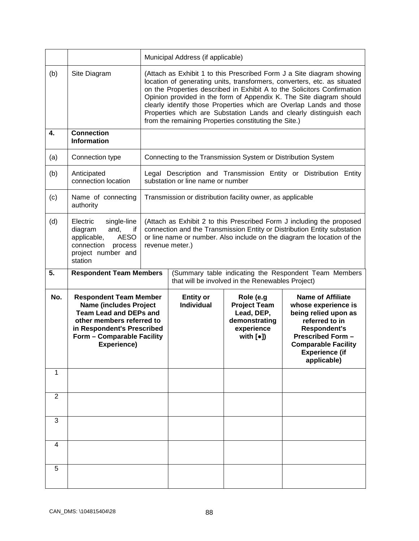|                |                                                                                                                                                                                                         | Municipal Address (if applicable)                                                                                                                                                                                                                                                                                                                                                                                                                                                                         |                                       |                                                                                                                 |                                                                                                                                                                                                                    |  |
|----------------|---------------------------------------------------------------------------------------------------------------------------------------------------------------------------------------------------------|-----------------------------------------------------------------------------------------------------------------------------------------------------------------------------------------------------------------------------------------------------------------------------------------------------------------------------------------------------------------------------------------------------------------------------------------------------------------------------------------------------------|---------------------------------------|-----------------------------------------------------------------------------------------------------------------|--------------------------------------------------------------------------------------------------------------------------------------------------------------------------------------------------------------------|--|
| (b)            | Site Diagram                                                                                                                                                                                            | (Attach as Exhibit 1 to this Prescribed Form J a Site diagram showing<br>location of generating units, transformers, converters, etc. as situated<br>on the Properties described in Exhibit A to the Solicitors Confirmation<br>Opinion provided in the form of Appendix K. The Site diagram should<br>clearly identify those Properties which are Overlap Lands and those<br>Properties which are Substation Lands and clearly distinguish each<br>from the remaining Properties constituting the Site.) |                                       |                                                                                                                 |                                                                                                                                                                                                                    |  |
| $\mathbf{4}$   | <b>Connection</b><br><b>Information</b>                                                                                                                                                                 |                                                                                                                                                                                                                                                                                                                                                                                                                                                                                                           |                                       |                                                                                                                 |                                                                                                                                                                                                                    |  |
| (a)            | Connection type                                                                                                                                                                                         |                                                                                                                                                                                                                                                                                                                                                                                                                                                                                                           |                                       | Connecting to the Transmission System or Distribution System                                                    |                                                                                                                                                                                                                    |  |
| (b)            | Anticipated<br>connection location                                                                                                                                                                      |                                                                                                                                                                                                                                                                                                                                                                                                                                                                                                           | substation or line name or number     |                                                                                                                 | Legal Description and Transmission Entity or Distribution Entity                                                                                                                                                   |  |
| (c)            | Name of connecting<br>authority                                                                                                                                                                         | Transmission or distribution facility owner, as applicable                                                                                                                                                                                                                                                                                                                                                                                                                                                |                                       |                                                                                                                 |                                                                                                                                                                                                                    |  |
| (d)            | Electric<br>single-line<br>diagram<br>and,<br>if<br><b>AESO</b><br>applicable,<br>connection<br>process<br>project number and<br>station                                                                | (Attach as Exhibit 2 to this Prescribed Form J including the proposed<br>connection and the Transmission Entity or Distribution Entity substation<br>or line name or number. Also include on the diagram the location of the<br>revenue meter.)                                                                                                                                                                                                                                                           |                                       |                                                                                                                 |                                                                                                                                                                                                                    |  |
|                |                                                                                                                                                                                                         | (Summary table indicating the Respondent Team Members<br>that will be involved in the Renewables Project)                                                                                                                                                                                                                                                                                                                                                                                                 |                                       |                                                                                                                 |                                                                                                                                                                                                                    |  |
| 5.             | <b>Respondent Team Members</b>                                                                                                                                                                          |                                                                                                                                                                                                                                                                                                                                                                                                                                                                                                           |                                       |                                                                                                                 |                                                                                                                                                                                                                    |  |
| No.            | <b>Respondent Team Member</b><br><b>Name (includes Project</b><br><b>Team Lead and DEPs and</b><br>other members referred to<br>in Respondent's Prescribed<br>Form - Comparable Facility<br>Experience) |                                                                                                                                                                                                                                                                                                                                                                                                                                                                                                           | <b>Entity or</b><br><b>Individual</b> | Role (e.g<br><b>Project Team</b><br>Lead, DEP,<br>demonstrating<br>experience<br>with $\lbrack \bullet \rbrack$ | <b>Name of Affiliate</b><br>whose experience is<br>being relied upon as<br>referred to in<br><b>Respondent's</b><br><b>Prescribed Form -</b><br><b>Comparable Facility</b><br><b>Experience (if</b><br>applicable) |  |
| 1              |                                                                                                                                                                                                         |                                                                                                                                                                                                                                                                                                                                                                                                                                                                                                           |                                       |                                                                                                                 |                                                                                                                                                                                                                    |  |
| $\overline{2}$ |                                                                                                                                                                                                         |                                                                                                                                                                                                                                                                                                                                                                                                                                                                                                           |                                       |                                                                                                                 |                                                                                                                                                                                                                    |  |
| 3              |                                                                                                                                                                                                         |                                                                                                                                                                                                                                                                                                                                                                                                                                                                                                           |                                       |                                                                                                                 |                                                                                                                                                                                                                    |  |
| 4              |                                                                                                                                                                                                         |                                                                                                                                                                                                                                                                                                                                                                                                                                                                                                           |                                       |                                                                                                                 |                                                                                                                                                                                                                    |  |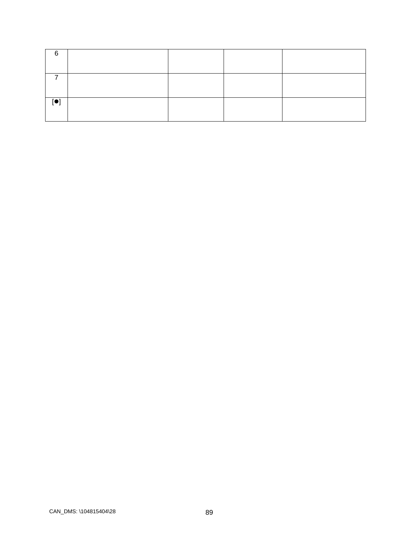| 6              |  |  |
|----------------|--|--|
|                |  |  |
| $\blacksquare$ |  |  |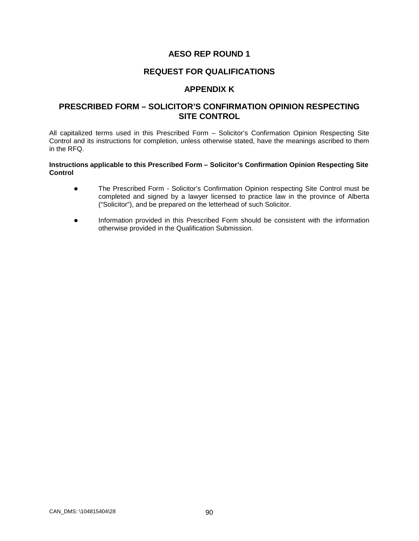### **REQUEST FOR QUALIFICATIONS**

### **APPENDIX K**

### **PRESCRIBED FORM – SOLICITOR'S CONFIRMATION OPINION RESPECTING SITE CONTROL**

All capitalized terms used in this Prescribed Form – Solicitor's Confirmation Opinion Respecting Site Control and its instructions for completion, unless otherwise stated, have the meanings ascribed to them in the RFQ.

#### **Instructions applicable to this Prescribed Form – Solicitor's Confirmation Opinion Respecting Site Control**

- The Prescribed Form Solicitor's Confirmation Opinion respecting Site Control must be completed and signed by a lawyer licensed to practice law in the province of Alberta ("Solicitor"), and be prepared on the letterhead of such Solicitor.
- Information provided in this Prescribed Form should be consistent with the information otherwise provided in the Qualification Submission.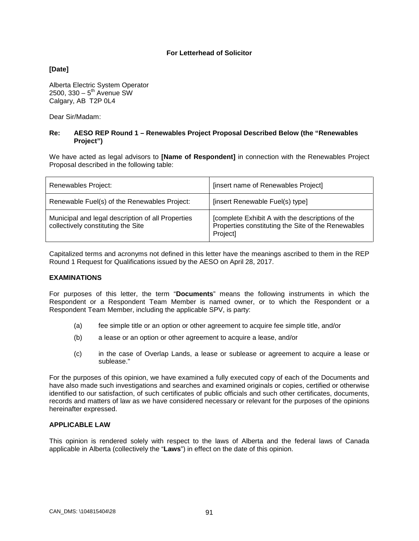#### **For Letterhead of Solicitor**

**[Date]**

Alberta Electric System Operator 2500,  $330 - 5^{th}$  Avenue SW Calgary, AB T2P 0L4

Dear Sir/Madam:

#### **Re: AESO REP Round 1 – Renewables Project Proposal Described Below (the "Renewables Project")**

We have acted as legal advisors to **[Name of Respondent]** in connection with the Renewables Project Proposal described in the following table:

| Renewables Project:                                                                     | [insert name of Renewables Project]                                                                                |
|-----------------------------------------------------------------------------------------|--------------------------------------------------------------------------------------------------------------------|
| Renewable Fuel(s) of the Renewables Project:                                            | [insert Renewable Fuel(s) type]                                                                                    |
| Municipal and legal description of all Properties<br>collectively constituting the Site | [complete Exhibit A with the descriptions of the<br>Properties constituting the Site of the Renewables<br>Project] |

Capitalized terms and acronyms not defined in this letter have the meanings ascribed to them in the REP Round 1 Request for Qualifications issued by the AESO on April 28, 2017.

#### **EXAMINATIONS**

For purposes of this letter, the term "**Documents**" means the following instruments in which the Respondent or a Respondent Team Member is named owner, or to which the Respondent or a Respondent Team Member, including the applicable SPV, is party:

- (a) fee simple title or an option or other agreement to acquire fee simple title, and/or
- (b) a lease or an option or other agreement to acquire a lease, and/or
- (c) in the case of Overlap Lands, a lease or sublease or agreement to acquire a lease or sublease."

For the purposes of this opinion, we have examined a fully executed copy of each of the Documents and have also made such investigations and searches and examined originals or copies, certified or otherwise identified to our satisfaction, of such certificates of public officials and such other certificates, documents, records and matters of law as we have considered necessary or relevant for the purposes of the opinions hereinafter expressed.

#### **APPLICABLE LAW**

This opinion is rendered solely with respect to the laws of Alberta and the federal laws of Canada applicable in Alberta (collectively the "**Laws**") in effect on the date of this opinion.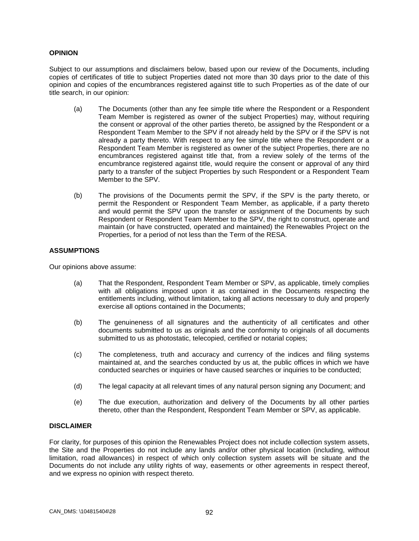#### **OPINION**

Subject to our assumptions and disclaimers below, based upon our review of the Documents, including copies of certificates of title to subject Properties dated not more than 30 days prior to the date of this opinion and copies of the encumbrances registered against title to such Properties as of the date of our title search, in our opinion:

- (a) The Documents (other than any fee simple title where the Respondent or a Respondent Team Member is registered as owner of the subject Properties) may, without requiring the consent or approval of the other parties thereto, be assigned by the Respondent or a Respondent Team Member to the SPV if not already held by the SPV or if the SPV is not already a party thereto. With respect to any fee simple title where the Respondent or a Respondent Team Member is registered as owner of the subject Properties, there are no encumbrances registered against title that, from a review solely of the terms of the encumbrance registered against title, would require the consent or approval of any third party to a transfer of the subject Properties by such Respondent or a Respondent Team Member to the SPV.
- (b) The provisions of the Documents permit the SPV, if the SPV is the party thereto, or permit the Respondent or Respondent Team Member, as applicable, if a party thereto and would permit the SPV upon the transfer or assignment of the Documents by such Respondent or Respondent Team Member to the SPV, the right to construct, operate and maintain (or have constructed, operated and maintained) the Renewables Project on the Properties, for a period of not less than the Term of the RESA.

#### **ASSUMPTIONS**

Our opinions above assume:

- (a) That the Respondent, Respondent Team Member or SPV, as applicable, timely complies with all obligations imposed upon it as contained in the Documents respecting the entitlements including, without limitation, taking all actions necessary to duly and properly exercise all options contained in the Documents;
- (b) The genuineness of all signatures and the authenticity of all certificates and other documents submitted to us as originals and the conformity to originals of all documents submitted to us as photostatic, telecopied, certified or notarial copies;
- (c) The completeness, truth and accuracy and currency of the indices and filing systems maintained at, and the searches conducted by us at, the public offices in which we have conducted searches or inquiries or have caused searches or inquiries to be conducted;
- (d) The legal capacity at all relevant times of any natural person signing any Document; and
- (e) The due execution, authorization and delivery of the Documents by all other parties thereto, other than the Respondent, Respondent Team Member or SPV, as applicable.

#### **DISCLAIMER**

For clarity, for purposes of this opinion the Renewables Project does not include collection system assets, the Site and the Properties do not include any lands and/or other physical location (including, without limitation, road allowances) in respect of which only collection system assets will be situate and the Documents do not include any utility rights of way, easements or other agreements in respect thereof, and we express no opinion with respect thereto.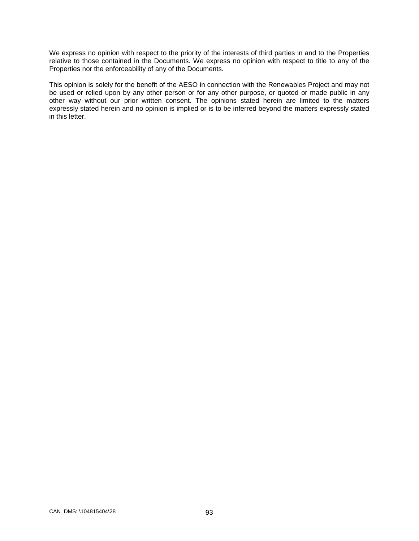We express no opinion with respect to the priority of the interests of third parties in and to the Properties relative to those contained in the Documents. We express no opinion with respect to title to any of the Properties nor the enforceability of any of the Documents.

This opinion is solely for the benefit of the AESO in connection with the Renewables Project and may not be used or relied upon by any other person or for any other purpose, or quoted or made public in any other way without our prior written consent. The opinions stated herein are limited to the matters expressly stated herein and no opinion is implied or is to be inferred beyond the matters expressly stated in this letter.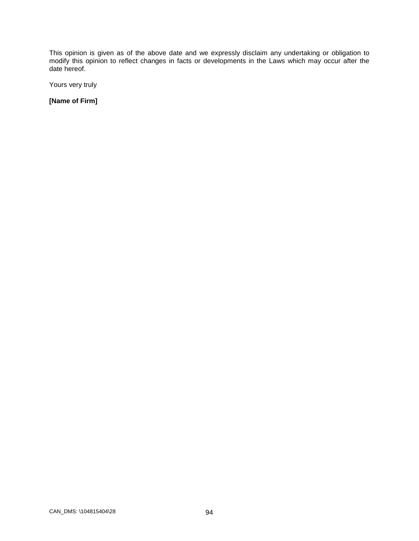This opinion is given as of the above date and we expressly disclaim any undertaking or obligation to modify this opinion to reflect changes in facts or developments in the Laws which may occur after the date hereof.

Yours very truly

**[Name of Firm]**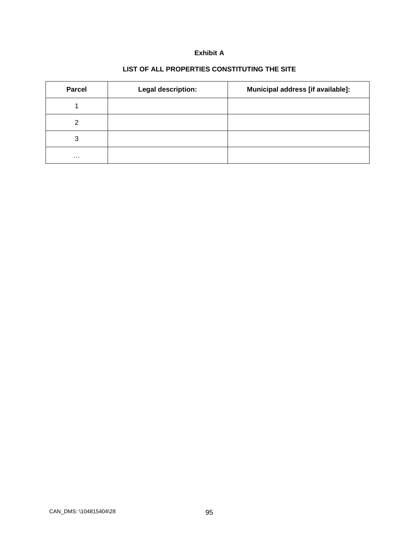### **Exhibit A**

# **LIST OF ALL PROPERTIES CONSTITUTING THE SITE**

| <b>Parcel</b> | Legal description: | Municipal address [if available]: |
|---------------|--------------------|-----------------------------------|
|               |                    |                                   |
| ົ             |                    |                                   |
| 3             |                    |                                   |
| $\cdots$      |                    |                                   |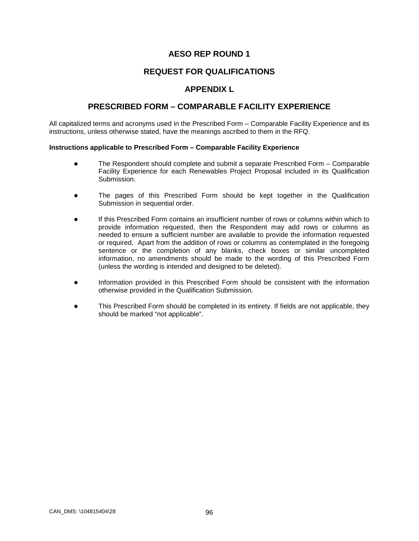# **REQUEST FOR QUALIFICATIONS**

## **APPENDIX L**

## **PRESCRIBED FORM – COMPARABLE FACILITY EXPERIENCE**

All capitalized terms and acronyms used in the Prescribed Form – Comparable Facility Experience and its instructions, unless otherwise stated, have the meanings ascribed to them in the RFQ.

#### **Instructions applicable to Prescribed Form – Comparable Facility Experience**

- The Respondent should complete and submit a separate Prescribed Form Comparable Facility Experience for each Renewables Project Proposal included in its Qualification Submission.
- The pages of this Prescribed Form should be kept together in the Qualification Submission in sequential order.
- If this Prescribed Form contains an insufficient number of rows or columns within which to provide information requested, then the Respondent may add rows or columns as needed to ensure a sufficient number are available to provide the information requested or required. Apart from the addition of rows or columns as contemplated in the foregoing sentence or the completion of any blanks, check boxes or similar uncompleted information, no amendments should be made to the wording of this Prescribed Form (unless the wording is intended and designed to be deleted).
- Information provided in this Prescribed Form should be consistent with the information otherwise provided in the Qualification Submission.
- This Prescribed Form should be completed in its entirety. If fields are not applicable, they should be marked "not applicable".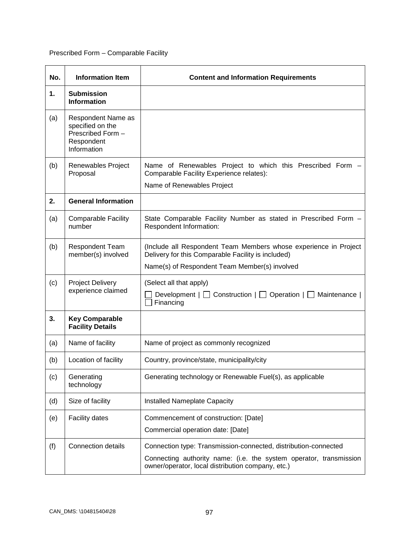# Prescribed Form – Comparable Facility

| No. | <b>Information Item</b>                                                                  | <b>Content and Information Requirements</b>                                                                             |  |  |
|-----|------------------------------------------------------------------------------------------|-------------------------------------------------------------------------------------------------------------------------|--|--|
| 1.  | <b>Submission</b><br><b>Information</b>                                                  |                                                                                                                         |  |  |
| (a) | Respondent Name as<br>specified on the<br>Prescribed Form -<br>Respondent<br>Information |                                                                                                                         |  |  |
| (b) | Renewables Project<br>Proposal                                                           | Name of Renewables Project to which this Prescribed Form -<br>Comparable Facility Experience relates):                  |  |  |
|     |                                                                                          | Name of Renewables Project                                                                                              |  |  |
| 2.  | <b>General Information</b>                                                               |                                                                                                                         |  |  |
| (a) | <b>Comparable Facility</b><br>number                                                     | State Comparable Facility Number as stated in Prescribed Form -<br>Respondent Information:                              |  |  |
| (b) | <b>Respondent Team</b><br>member(s) involved                                             | (Include all Respondent Team Members whose experience in Project<br>Delivery for this Comparable Facility is included)  |  |  |
|     |                                                                                          | Name(s) of Respondent Team Member(s) involved                                                                           |  |  |
| (c) | <b>Project Delivery</b><br>experience claimed                                            | (Select all that apply)<br>Development $ \Box$ Construction $ \Box$ Operation $ \Box$ Maintenance  <br>Financing        |  |  |
| 3.  | <b>Key Comparable</b><br><b>Facility Details</b>                                         |                                                                                                                         |  |  |
| (a) | Name of facility                                                                         | Name of project as commonly recognized                                                                                  |  |  |
| (b) | Location of facility                                                                     | Country, province/state, municipality/city                                                                              |  |  |
| (c) | Generating<br>technology                                                                 | Generating technology or Renewable Fuel(s), as applicable                                                               |  |  |
| (d) | Size of facility                                                                         | Installed Nameplate Capacity                                                                                            |  |  |
| (e) | <b>Facility dates</b>                                                                    | Commencement of construction: [Date]                                                                                    |  |  |
|     |                                                                                          | Commercial operation date: [Date]                                                                                       |  |  |
| (f) | <b>Connection details</b>                                                                | Connection type: Transmission-connected, distribution-connected                                                         |  |  |
|     |                                                                                          | Connecting authority name: (i.e. the system operator, transmission<br>owner/operator, local distribution company, etc.) |  |  |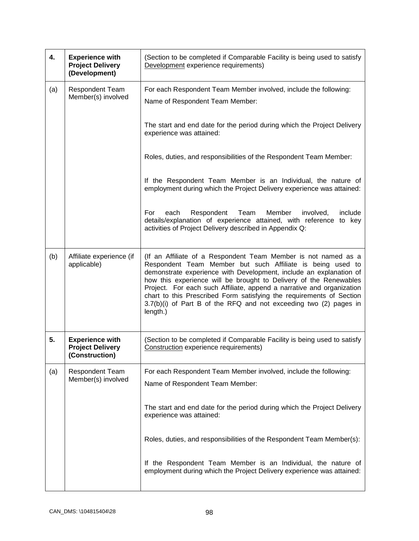| 4.  | <b>Experience with</b><br><b>Project Delivery</b><br>(Development)  | (Section to be completed if Comparable Facility is being used to satisfy<br>Development experience requirements)                                                                                                                                                                                                                                                                                                                                                                                          |  |
|-----|---------------------------------------------------------------------|-----------------------------------------------------------------------------------------------------------------------------------------------------------------------------------------------------------------------------------------------------------------------------------------------------------------------------------------------------------------------------------------------------------------------------------------------------------------------------------------------------------|--|
| (a) | Respondent Team<br>Member(s) involved                               | For each Respondent Team Member involved, include the following:<br>Name of Respondent Team Member:                                                                                                                                                                                                                                                                                                                                                                                                       |  |
|     |                                                                     | The start and end date for the period during which the Project Delivery<br>experience was attained:                                                                                                                                                                                                                                                                                                                                                                                                       |  |
|     |                                                                     | Roles, duties, and responsibilities of the Respondent Team Member:                                                                                                                                                                                                                                                                                                                                                                                                                                        |  |
|     |                                                                     | If the Respondent Team Member is an Individual, the nature of<br>employment during which the Project Delivery experience was attained:                                                                                                                                                                                                                                                                                                                                                                    |  |
|     |                                                                     | For<br>Respondent<br>Team<br>Member<br>involved,<br>include<br>each<br>details/explanation of experience attained, with reference to key<br>activities of Project Delivery described in Appendix Q:                                                                                                                                                                                                                                                                                                       |  |
| (b) | Affiliate experience (if<br>applicable)                             | (If an Affiliate of a Respondent Team Member is not named as a<br>Respondent Team Member but such Affiliate is being used to<br>demonstrate experience with Development, include an explanation of<br>how this experience will be brought to Delivery of the Renewables<br>Project. For each such Affiliate, append a narrative and organization<br>chart to this Prescribed Form satisfying the requirements of Section<br>3.7(b)(i) of Part B of the RFQ and not exceeding two (2) pages in<br>length.) |  |
| 5.  | <b>Experience with</b><br><b>Project Delivery</b><br>(Construction) | (Section to be completed if Comparable Facility is being used to satisfy<br>Construction experience requirements)                                                                                                                                                                                                                                                                                                                                                                                         |  |
| (a) | <b>Respondent Team</b><br>Member(s) involved                        | For each Respondent Team Member involved, include the following:<br>Name of Respondent Team Member:                                                                                                                                                                                                                                                                                                                                                                                                       |  |
|     |                                                                     | The start and end date for the period during which the Project Delivery<br>experience was attained:                                                                                                                                                                                                                                                                                                                                                                                                       |  |
|     |                                                                     | Roles, duties, and responsibilities of the Respondent Team Member(s):                                                                                                                                                                                                                                                                                                                                                                                                                                     |  |
|     |                                                                     | If the Respondent Team Member is an Individual, the nature of<br>employment during which the Project Delivery experience was attained:                                                                                                                                                                                                                                                                                                                                                                    |  |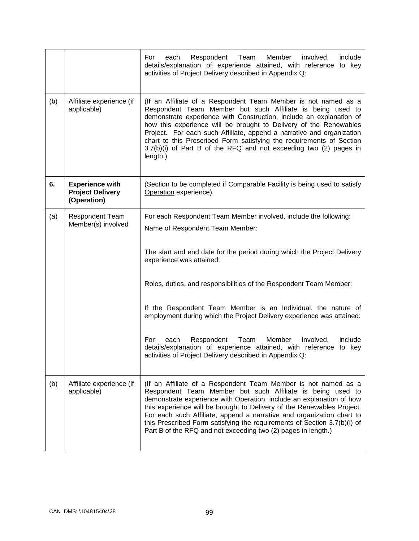|     |                                                                  | Respondent<br>Team<br>Member<br>involved,<br>include<br>For<br>each<br>details/explanation of experience attained, with reference to key<br>activities of Project Delivery described in Appendix Q:                                                                                                                                                                                                                                                                                                          |  |
|-----|------------------------------------------------------------------|--------------------------------------------------------------------------------------------------------------------------------------------------------------------------------------------------------------------------------------------------------------------------------------------------------------------------------------------------------------------------------------------------------------------------------------------------------------------------------------------------------------|--|
| (b) | Affiliate experience (if<br>applicable)                          | (If an Affiliate of a Respondent Team Member is not named as a<br>Respondent Team Member but such Affiliate is being used to<br>demonstrate experience with Construction, include an explanation of<br>how this experience will be brought to Delivery of the Renewables<br>Project. For each such Affiliate, append a narrative and organization<br>chart to this Prescribed Form satisfying the requirements of Section<br>$3.7(b)(i)$ of Part B of the RFQ and not exceeding two (2) pages in<br>length.) |  |
| 6.  | <b>Experience with</b><br><b>Project Delivery</b><br>(Operation) | (Section to be completed if Comparable Facility is being used to satisfy<br>Operation experience)                                                                                                                                                                                                                                                                                                                                                                                                            |  |
| (a) | <b>Respondent Team</b><br>Member(s) involved                     | For each Respondent Team Member involved, include the following:<br>Name of Respondent Team Member:                                                                                                                                                                                                                                                                                                                                                                                                          |  |
|     |                                                                  | The start and end date for the period during which the Project Delivery<br>experience was attained:                                                                                                                                                                                                                                                                                                                                                                                                          |  |
|     |                                                                  | Roles, duties, and responsibilities of the Respondent Team Member:                                                                                                                                                                                                                                                                                                                                                                                                                                           |  |
|     |                                                                  | If the Respondent Team Member is an Individual, the nature of<br>employment during which the Project Delivery experience was attained:                                                                                                                                                                                                                                                                                                                                                                       |  |
|     |                                                                  | Respondent<br>Team<br>For<br>each<br>Member<br>involved,<br>include<br>details/explanation of experience attained, with reference to key<br>activities of Project Delivery described in Appendix Q:                                                                                                                                                                                                                                                                                                          |  |
| (b) | Affiliate experience (if<br>applicable)                          | (If an Affiliate of a Respondent Team Member is not named as a<br>Respondent Team Member but such Affiliate is being used to<br>demonstrate experience with Operation, include an explanation of how<br>this experience will be brought to Delivery of the Renewables Project.<br>For each such Affiliate, append a narrative and organization chart to<br>this Prescribed Form satisfying the requirements of Section 3.7(b)(i) of<br>Part B of the RFQ and not exceeding two (2) pages in length.)         |  |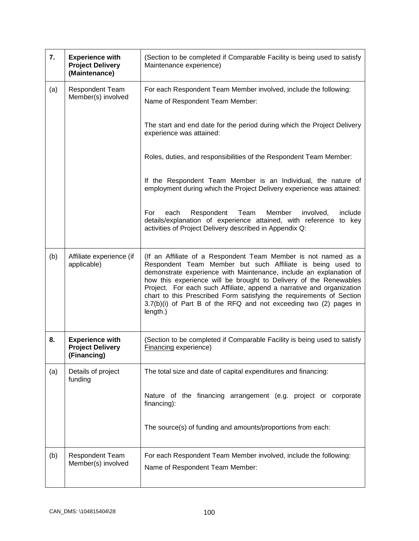| 7.  | <b>Experience with</b><br><b>Project Delivery</b><br>(Maintenance) | (Section to be completed if Comparable Facility is being used to satisfy<br>Maintenance experience)                                                                                                                                                                                                                                                                                                                                                                                                       |  |  |
|-----|--------------------------------------------------------------------|-----------------------------------------------------------------------------------------------------------------------------------------------------------------------------------------------------------------------------------------------------------------------------------------------------------------------------------------------------------------------------------------------------------------------------------------------------------------------------------------------------------|--|--|
| (a) | <b>Respondent Team</b><br>Member(s) involved                       | For each Respondent Team Member involved, include the following:<br>Name of Respondent Team Member:                                                                                                                                                                                                                                                                                                                                                                                                       |  |  |
|     |                                                                    | The start and end date for the period during which the Project Delivery<br>experience was attained:                                                                                                                                                                                                                                                                                                                                                                                                       |  |  |
|     |                                                                    | Roles, duties, and responsibilities of the Respondent Team Member:                                                                                                                                                                                                                                                                                                                                                                                                                                        |  |  |
|     |                                                                    | If the Respondent Team Member is an Individual, the nature of<br>employment during which the Project Delivery experience was attained:                                                                                                                                                                                                                                                                                                                                                                    |  |  |
|     |                                                                    | For<br>Respondent<br>Team<br>Member<br>involved,<br>include<br>each<br>details/explanation of experience attained, with reference to key<br>activities of Project Delivery described in Appendix Q:                                                                                                                                                                                                                                                                                                       |  |  |
| (b) | Affiliate experience (if<br>applicable)                            | (If an Affiliate of a Respondent Team Member is not named as a<br>Respondent Team Member but such Affiliate is being used to<br>demonstrate experience with Maintenance, include an explanation of<br>how this experience will be brought to Delivery of the Renewables<br>Project. For each such Affiliate, append a narrative and organization<br>chart to this Prescribed Form satisfying the requirements of Section<br>3.7(b)(i) of Part B of the RFQ and not exceeding two (2) pages in<br>length.) |  |  |
| 8.  | <b>Experience with</b><br><b>Project Delivery</b><br>(Financing)   | (Section to be completed if Comparable Facility is being used to satisfy<br><b>Financing experience)</b>                                                                                                                                                                                                                                                                                                                                                                                                  |  |  |
| (a) | Details of project<br>funding                                      | The total size and date of capital expenditures and financing:                                                                                                                                                                                                                                                                                                                                                                                                                                            |  |  |
|     |                                                                    | Nature of the financing arrangement (e.g. project or corporate<br>financing):                                                                                                                                                                                                                                                                                                                                                                                                                             |  |  |
|     |                                                                    | The source(s) of funding and amounts/proportions from each:                                                                                                                                                                                                                                                                                                                                                                                                                                               |  |  |
| (b) | Respondent Team<br>Member(s) involved                              | For each Respondent Team Member involved, include the following:<br>Name of Respondent Team Member:                                                                                                                                                                                                                                                                                                                                                                                                       |  |  |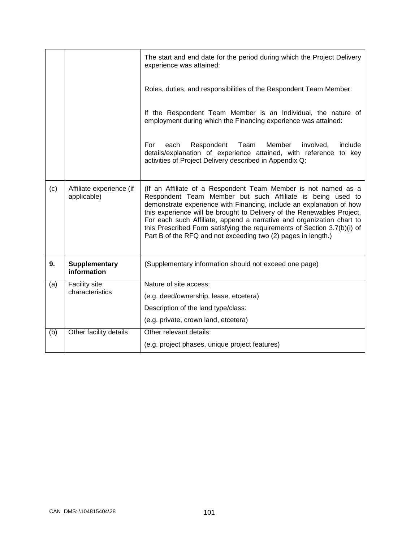|     |                                         | The start and end date for the period during which the Project Delivery<br>experience was attained:                                                                                                                                                                                                                                                                                                                                                                                                  |  |  |
|-----|-----------------------------------------|------------------------------------------------------------------------------------------------------------------------------------------------------------------------------------------------------------------------------------------------------------------------------------------------------------------------------------------------------------------------------------------------------------------------------------------------------------------------------------------------------|--|--|
|     |                                         | Roles, duties, and responsibilities of the Respondent Team Member:                                                                                                                                                                                                                                                                                                                                                                                                                                   |  |  |
|     |                                         | If the Respondent Team Member is an Individual, the nature of<br>employment during which the Financing experience was attained:                                                                                                                                                                                                                                                                                                                                                                      |  |  |
|     |                                         | For<br>Respondent<br>Team<br>Member<br>include<br>each<br>involved,<br>details/explanation of experience attained, with reference to key<br>activities of Project Delivery described in Appendix Q:                                                                                                                                                                                                                                                                                                  |  |  |
| (c) | Affiliate experience (if<br>applicable) | (If an Affiliate of a Respondent Team Member is not named as a<br>Respondent Team Member but such Affiliate is being used to<br>demonstrate experience with Financing, include an explanation of how<br>this experience will be brought to Delivery of the Renewables Project.<br>For each such Affiliate, append a narrative and organization chart to<br>this Prescribed Form satisfying the requirements of Section 3.7(b)(i) of<br>Part B of the RFQ and not exceeding two (2) pages in length.) |  |  |
| 9.  | <b>Supplementary</b><br>information     | (Supplementary information should not exceed one page)                                                                                                                                                                                                                                                                                                                                                                                                                                               |  |  |
| (a) | Facility site<br>characteristics        | Nature of site access:                                                                                                                                                                                                                                                                                                                                                                                                                                                                               |  |  |
|     |                                         | (e.g. deed/ownership, lease, etcetera)                                                                                                                                                                                                                                                                                                                                                                                                                                                               |  |  |
|     |                                         | Description of the land type/class:                                                                                                                                                                                                                                                                                                                                                                                                                                                                  |  |  |
|     |                                         | (e.g. private, crown land, etcetera)                                                                                                                                                                                                                                                                                                                                                                                                                                                                 |  |  |
| (b) | Other facility details                  | Other relevant details:                                                                                                                                                                                                                                                                                                                                                                                                                                                                              |  |  |
|     |                                         | (e.g. project phases, unique project features)                                                                                                                                                                                                                                                                                                                                                                                                                                                       |  |  |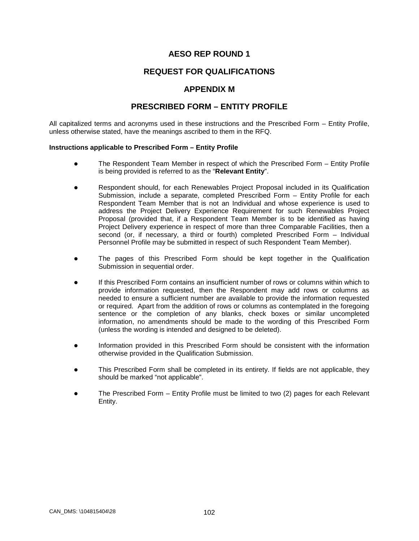## **REQUEST FOR QUALIFICATIONS**

### **APPENDIX M**

# **PRESCRIBED FORM – ENTITY PROFILE**

All capitalized terms and acronyms used in these instructions and the Prescribed Form – Entity Profile, unless otherwise stated, have the meanings ascribed to them in the RFQ.

#### **Instructions applicable to Prescribed Form – Entity Profile**

- The Respondent Team Member in respect of which the Prescribed Form Entity Profile is being provided is referred to as the "**Relevant Entity**".
- Respondent should, for each Renewables Project Proposal included in its Qualification Submission, include a separate, completed Prescribed Form – Entity Profile for each Respondent Team Member that is not an Individual and whose experience is used to address the Project Delivery Experience Requirement for such Renewables Project Proposal (provided that, if a Respondent Team Member is to be identified as having Project Delivery experience in respect of more than three Comparable Facilities, then a second (or, if necessary, a third or fourth) completed Prescribed Form – Individual Personnel Profile may be submitted in respect of such Respondent Team Member).
- The pages of this Prescribed Form should be kept together in the Qualification Submission in sequential order.
- If this Prescribed Form contains an insufficient number of rows or columns within which to provide information requested, then the Respondent may add rows or columns as needed to ensure a sufficient number are available to provide the information requested or required. Apart from the addition of rows or columns as contemplated in the foregoing sentence or the completion of any blanks, check boxes or similar uncompleted information, no amendments should be made to the wording of this Prescribed Form (unless the wording is intended and designed to be deleted).
- Information provided in this Prescribed Form should be consistent with the information otherwise provided in the Qualification Submission.
- This Prescribed Form shall be completed in its entirety. If fields are not applicable, they should be marked "not applicable".
- The Prescribed Form Entity Profile must be limited to two (2) pages for each Relevant Entity.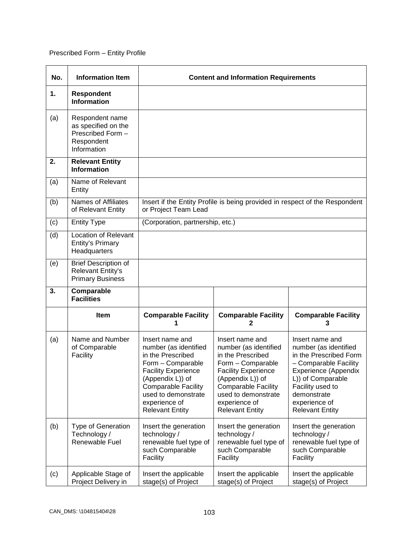# Prescribed Form – Entity Profile

| No. | <b>Information Item</b>                                                                  | <b>Content and Information Requirements</b>                                                                                                                                                                                          |                                                                                                                                                                                                                                      |                                                                                                                                                                                                                        |  |
|-----|------------------------------------------------------------------------------------------|--------------------------------------------------------------------------------------------------------------------------------------------------------------------------------------------------------------------------------------|--------------------------------------------------------------------------------------------------------------------------------------------------------------------------------------------------------------------------------------|------------------------------------------------------------------------------------------------------------------------------------------------------------------------------------------------------------------------|--|
| 1.  | <b>Respondent</b><br><b>Information</b>                                                  |                                                                                                                                                                                                                                      |                                                                                                                                                                                                                                      |                                                                                                                                                                                                                        |  |
| (a) | Respondent name<br>as specified on the<br>Prescribed Form -<br>Respondent<br>Information |                                                                                                                                                                                                                                      |                                                                                                                                                                                                                                      |                                                                                                                                                                                                                        |  |
| 2.  | <b>Relevant Entity</b><br><b>Information</b>                                             |                                                                                                                                                                                                                                      |                                                                                                                                                                                                                                      |                                                                                                                                                                                                                        |  |
| (a) | Name of Relevant<br>Entity                                                               |                                                                                                                                                                                                                                      |                                                                                                                                                                                                                                      |                                                                                                                                                                                                                        |  |
| (b) | <b>Names of Affiliates</b><br>of Relevant Entity                                         | or Project Team Lead                                                                                                                                                                                                                 |                                                                                                                                                                                                                                      | Insert if the Entity Profile is being provided in respect of the Respondent                                                                                                                                            |  |
| (c) | <b>Entity Type</b>                                                                       | (Corporation, partnership, etc.)                                                                                                                                                                                                     |                                                                                                                                                                                                                                      |                                                                                                                                                                                                                        |  |
| (d) | Location of Relevant<br>Entity's Primary<br>Headquarters                                 |                                                                                                                                                                                                                                      |                                                                                                                                                                                                                                      |                                                                                                                                                                                                                        |  |
| (e) | <b>Brief Description of</b><br><b>Relevant Entity's</b><br><b>Primary Business</b>       |                                                                                                                                                                                                                                      |                                                                                                                                                                                                                                      |                                                                                                                                                                                                                        |  |
| 3.  | Comparable<br><b>Facilities</b>                                                          |                                                                                                                                                                                                                                      |                                                                                                                                                                                                                                      |                                                                                                                                                                                                                        |  |
|     | <b>Item</b>                                                                              | <b>Comparable Facility</b>                                                                                                                                                                                                           | <b>Comparable Facility</b><br>2                                                                                                                                                                                                      | <b>Comparable Facility</b><br>3                                                                                                                                                                                        |  |
| (a) | Name and Number<br>of Comparable<br>Facility                                             | Insert name and<br>number (as identified<br>in the Prescribed<br>Form - Comparable<br><b>Facility Experience</b><br>(Appendix L)) of<br><b>Comparable Facility</b><br>used to demonstrate<br>experience of<br><b>Relevant Entity</b> | Insert name and<br>number (as identified<br>in the Prescribed<br>Form - Comparable<br><b>Facility Experience</b><br>(Appendix L)) of<br><b>Comparable Facility</b><br>used to demonstrate<br>experience of<br><b>Relevant Entity</b> | Insert name and<br>number (as identified<br>in the Prescribed Form<br>- Comparable Facility<br>Experience (Appendix<br>L)) of Comparable<br>Facility used to<br>demonstrate<br>experience of<br><b>Relevant Entity</b> |  |
| (b) | <b>Type of Generation</b><br>Technology /<br>Renewable Fuel                              | Insert the generation<br>technology /<br>renewable fuel type of<br>such Comparable<br>Facility                                                                                                                                       | Insert the generation<br>technology /<br>renewable fuel type of<br>such Comparable<br>Facility                                                                                                                                       | Insert the generation<br>technology /<br>renewable fuel type of<br>such Comparable<br>Facility                                                                                                                         |  |
| (c) | Applicable Stage of<br>Project Delivery in                                               | Insert the applicable<br>stage(s) of Project                                                                                                                                                                                         | Insert the applicable<br>stage(s) of Project                                                                                                                                                                                         | Insert the applicable<br>stage(s) of Project                                                                                                                                                                           |  |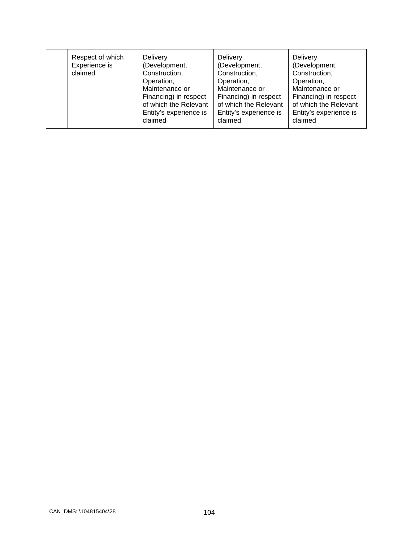| Respect of which<br>Experience is<br>claimed | <b>Delivery</b><br>(Development,<br>Construction,<br>Operation,<br>Maintenance or<br>Financing) in respect<br>of which the Relevant<br>Entity's experience is<br>claimed | <b>Delivery</b><br>(Development,<br>Construction,<br>Operation,<br>Maintenance or<br>Financing) in respect<br>of which the Relevant<br>Entity's experience is<br>claimed | <b>Delivery</b><br>(Development,<br>Construction,<br>Operation,<br>Maintenance or<br>Financing) in respect<br>of which the Relevant<br>Entity's experience is<br>claimed |
|----------------------------------------------|--------------------------------------------------------------------------------------------------------------------------------------------------------------------------|--------------------------------------------------------------------------------------------------------------------------------------------------------------------------|--------------------------------------------------------------------------------------------------------------------------------------------------------------------------|
|----------------------------------------------|--------------------------------------------------------------------------------------------------------------------------------------------------------------------------|--------------------------------------------------------------------------------------------------------------------------------------------------------------------------|--------------------------------------------------------------------------------------------------------------------------------------------------------------------------|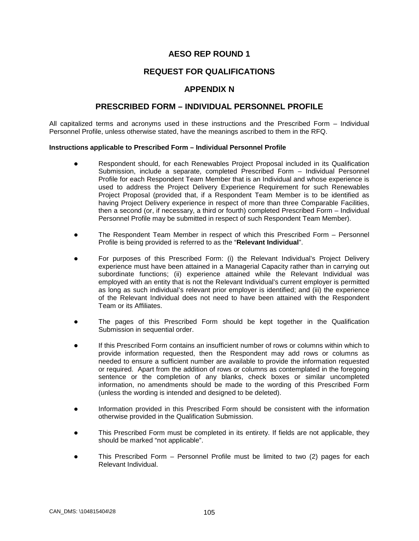# **REQUEST FOR QUALIFICATIONS**

## **APPENDIX N**

#### **PRESCRIBED FORM – INDIVIDUAL PERSONNEL PROFILE**

All capitalized terms and acronyms used in these instructions and the Prescribed Form – Individual Personnel Profile, unless otherwise stated, have the meanings ascribed to them in the RFQ.

#### **Instructions applicable to Prescribed Form – Individual Personnel Profile**

- Respondent should, for each Renewables Project Proposal included in its Qualification Submission, include a separate, completed Prescribed Form – Individual Personnel Profile for each Respondent Team Member that is an Individual and whose experience is used to address the Project Delivery Experience Requirement for such Renewables Project Proposal (provided that, if a Respondent Team Member is to be identified as having Project Delivery experience in respect of more than three Comparable Facilities, then a second (or, if necessary, a third or fourth) completed Prescribed Form – Individual Personnel Profile may be submitted in respect of such Respondent Team Member).
- The Respondent Team Member in respect of which this Prescribed Form Personnel Profile is being provided is referred to as the "**Relevant Individual**".
- For purposes of this Prescribed Form: (i) the Relevant Individual's Project Delivery experience must have been attained in a Managerial Capacity rather than in carrying out subordinate functions; (ii) experience attained while the Relevant Individual was employed with an entity that is not the Relevant Individual's current employer is permitted as long as such individual's relevant prior employer is identified; and (iii) the experience of the Relevant Individual does not need to have been attained with the Respondent Team or its Affiliates.
- The pages of this Prescribed Form should be kept together in the Qualification Submission in sequential order.
- If this Prescribed Form contains an insufficient number of rows or columns within which to provide information requested, then the Respondent may add rows or columns as needed to ensure a sufficient number are available to provide the information requested or required. Apart from the addition of rows or columns as contemplated in the foregoing sentence or the completion of any blanks, check boxes or similar uncompleted information, no amendments should be made to the wording of this Prescribed Form (unless the wording is intended and designed to be deleted).
- Information provided in this Prescribed Form should be consistent with the information otherwise provided in the Qualification Submission.
- This Prescribed Form must be completed in its entirety. If fields are not applicable, they should be marked "not applicable".
- This Prescribed Form Personnel Profile must be limited to two (2) pages for each Relevant Individual.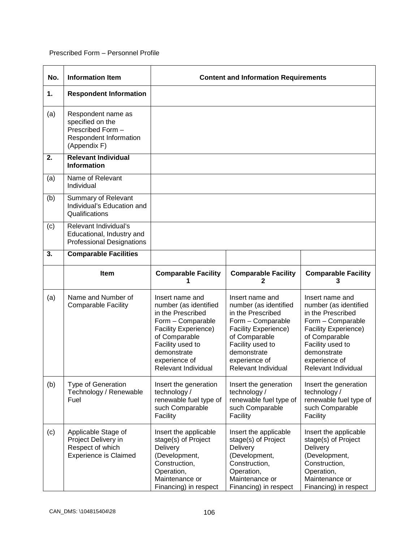#### Prescribed Form – Personnel Profile

| No. | <b>Information Item</b>                                                                               |                                                                                                                                                                                                        | <b>Content and Information Requirements</b>                                                                                                                                                            |                                                                                                                                                                                                        |
|-----|-------------------------------------------------------------------------------------------------------|--------------------------------------------------------------------------------------------------------------------------------------------------------------------------------------------------------|--------------------------------------------------------------------------------------------------------------------------------------------------------------------------------------------------------|--------------------------------------------------------------------------------------------------------------------------------------------------------------------------------------------------------|
| 1.  | <b>Respondent Information</b>                                                                         |                                                                                                                                                                                                        |                                                                                                                                                                                                        |                                                                                                                                                                                                        |
| (a) | Respondent name as<br>specified on the<br>Prescribed Form -<br>Respondent Information<br>(Appendix F) |                                                                                                                                                                                                        |                                                                                                                                                                                                        |                                                                                                                                                                                                        |
| 2.  | <b>Relevant Individual</b><br><b>Information</b>                                                      |                                                                                                                                                                                                        |                                                                                                                                                                                                        |                                                                                                                                                                                                        |
| (a) | Name of Relevant<br>Individual                                                                        |                                                                                                                                                                                                        |                                                                                                                                                                                                        |                                                                                                                                                                                                        |
| (b) | Summary of Relevant<br>Individual's Education and<br>Qualifications                                   |                                                                                                                                                                                                        |                                                                                                                                                                                                        |                                                                                                                                                                                                        |
| (c) | Relevant Individual's<br>Educational, Industry and<br><b>Professional Designations</b>                |                                                                                                                                                                                                        |                                                                                                                                                                                                        |                                                                                                                                                                                                        |
| 3.  | <b>Comparable Facilities</b>                                                                          |                                                                                                                                                                                                        |                                                                                                                                                                                                        |                                                                                                                                                                                                        |
|     | Item                                                                                                  | <b>Comparable Facility</b>                                                                                                                                                                             | <b>Comparable Facility</b><br>2                                                                                                                                                                        | <b>Comparable Facility</b><br>3                                                                                                                                                                        |
| (a) | Name and Number of<br><b>Comparable Facility</b>                                                      | Insert name and<br>number (as identified<br>in the Prescribed<br>Form - Comparable<br>Facility Experience)<br>of Comparable<br>Facility used to<br>demonstrate<br>experience of<br>Relevant Individual | Insert name and<br>number (as identified<br>in the Prescribed<br>Form - Comparable<br>Facility Experience)<br>of Comparable<br>Facility used to<br>demonstrate<br>experience of<br>Relevant Individual | Insert name and<br>number (as identified<br>in the Prescribed<br>Form - Comparable<br>Facility Experience)<br>of Comparable<br>Facility used to<br>demonstrate<br>experience of<br>Relevant Individual |
| (b) | <b>Type of Generation</b><br>Technology / Renewable<br>Fuel                                           | Insert the generation<br>technology /<br>renewable fuel type of<br>such Comparable<br>Facility                                                                                                         | Insert the generation<br>technology /<br>renewable fuel type of<br>such Comparable<br>Facility                                                                                                         | Insert the generation<br>technology /<br>renewable fuel type of<br>such Comparable<br>Facility                                                                                                         |
| (c) | Applicable Stage of<br>Project Delivery in<br>Respect of which<br><b>Experience is Claimed</b>        | Insert the applicable<br>stage(s) of Project<br>Delivery<br>(Development,<br>Construction,<br>Operation,<br>Maintenance or<br>Financing) in respect                                                    | Insert the applicable<br>stage(s) of Project<br>Delivery<br>(Development,<br>Construction,<br>Operation,<br>Maintenance or<br>Financing) in respect                                                    | Insert the applicable<br>stage(s) of Project<br>Delivery<br>(Development,<br>Construction,<br>Operation,<br>Maintenance or<br>Financing) in respect                                                    |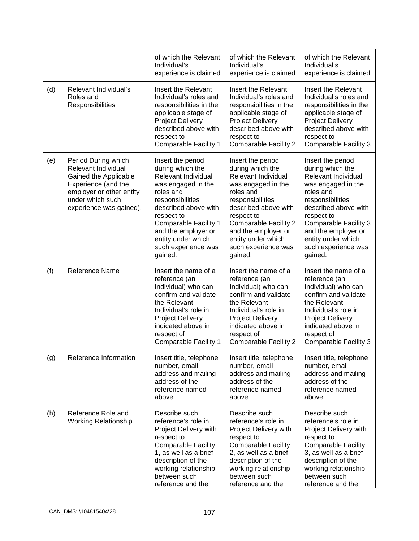|     |                                                                                                                                                                       | of which the Relevant<br>Individual's<br>experience is claimed                                                                                                                                                                                                    | of which the Relevant<br>Individual's<br>experience is claimed                                                                                                                                                                                                           | of which the Relevant<br>Individual's<br>experience is claimed                                                                                                                                                                                                           |
|-----|-----------------------------------------------------------------------------------------------------------------------------------------------------------------------|-------------------------------------------------------------------------------------------------------------------------------------------------------------------------------------------------------------------------------------------------------------------|--------------------------------------------------------------------------------------------------------------------------------------------------------------------------------------------------------------------------------------------------------------------------|--------------------------------------------------------------------------------------------------------------------------------------------------------------------------------------------------------------------------------------------------------------------------|
| (d) | Relevant Individual's<br>Roles and<br>Responsibilities                                                                                                                | Insert the Relevant<br>Individual's roles and<br>responsibilities in the<br>applicable stage of<br><b>Project Delivery</b><br>described above with<br>respect to<br>Comparable Facility 1                                                                         | Insert the Relevant<br>Individual's roles and<br>responsibilities in the<br>applicable stage of<br><b>Project Delivery</b><br>described above with<br>respect to<br><b>Comparable Facility 2</b>                                                                         | Insert the Relevant<br>Individual's roles and<br>responsibilities in the<br>applicable stage of<br><b>Project Delivery</b><br>described above with<br>respect to<br>Comparable Facility 3                                                                                |
| (e) | Period During which<br>Relevant Individual<br>Gained the Applicable<br>Experience (and the<br>employer or other entity<br>under which such<br>experience was gained). | Insert the period<br>during which the<br>Relevant Individual<br>was engaged in the<br>roles and<br>responsibilities<br>described above with<br>respect to<br>Comparable Facility 1<br>and the employer or<br>entity under which<br>such experience was<br>gained. | Insert the period<br>during which the<br>Relevant Individual<br>was engaged in the<br>roles and<br>responsibilities<br>described above with<br>respect to<br><b>Comparable Facility 2</b><br>and the employer or<br>entity under which<br>such experience was<br>gained. | Insert the period<br>during which the<br>Relevant Individual<br>was engaged in the<br>roles and<br>responsibilities<br>described above with<br>respect to<br><b>Comparable Facility 3</b><br>and the employer or<br>entity under which<br>such experience was<br>gained. |
| (f) | Reference Name                                                                                                                                                        | Insert the name of a<br>reference (an<br>Individual) who can<br>confirm and validate<br>the Relevant<br>Individual's role in<br><b>Project Delivery</b><br>indicated above in<br>respect of<br>Comparable Facility 1                                              | Insert the name of a<br>reference (an<br>Individual) who can<br>confirm and validate<br>the Relevant<br>Individual's role in<br><b>Project Delivery</b><br>indicated above in<br>respect of<br><b>Comparable Facility 2</b>                                              | Insert the name of a<br>reference (an<br>Individual) who can<br>confirm and validate<br>the Relevant<br>Individual's role in<br><b>Project Delivery</b><br>indicated above in<br>respect of<br>Comparable Facility 3                                                     |
| (g) | Reference Information                                                                                                                                                 | Insert title, telephone<br>number, email<br>address and mailing<br>address of the<br>reference named<br>above                                                                                                                                                     | Insert title, telephone<br>number, email<br>address and mailing<br>address of the<br>reference named<br>above                                                                                                                                                            | Insert title, telephone<br>number, email<br>address and mailing<br>address of the<br>reference named<br>above                                                                                                                                                            |
| (h) | Reference Role and<br><b>Working Relationship</b>                                                                                                                     | Describe such<br>reference's role in<br>Project Delivery with<br>respect to<br><b>Comparable Facility</b><br>1, as well as a brief<br>description of the<br>working relationship<br>between such<br>reference and the                                             | Describe such<br>reference's role in<br>Project Delivery with<br>respect to<br><b>Comparable Facility</b><br>2, as well as a brief<br>description of the<br>working relationship<br>between such<br>reference and the                                                    | Describe such<br>reference's role in<br>Project Delivery with<br>respect to<br><b>Comparable Facility</b><br>3, as well as a brief<br>description of the<br>working relationship<br>between such<br>reference and the                                                    |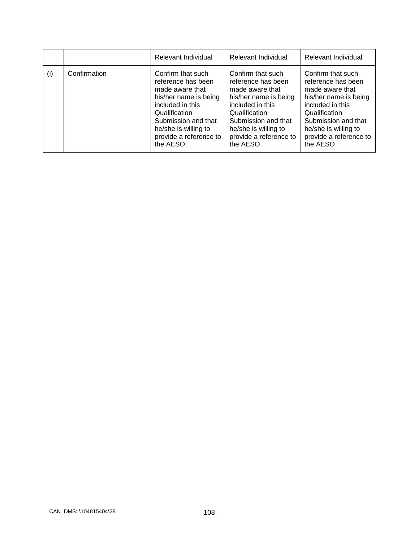|     |              | Relevant Individual                                                                                                                                                                                           | Relevant Individual                                                                                                                                                                                           | Relevant Individual                                                                                                                                                                                           |
|-----|--------------|---------------------------------------------------------------------------------------------------------------------------------------------------------------------------------------------------------------|---------------------------------------------------------------------------------------------------------------------------------------------------------------------------------------------------------------|---------------------------------------------------------------------------------------------------------------------------------------------------------------------------------------------------------------|
| (i) | Confirmation | Confirm that such<br>reference has been<br>made aware that<br>his/her name is being<br>included in this<br>Qualification<br>Submission and that<br>he/she is willing to<br>provide a reference to<br>the AESO | Confirm that such<br>reference has been<br>made aware that<br>his/her name is being<br>included in this<br>Qualification<br>Submission and that<br>he/she is willing to<br>provide a reference to<br>the AESO | Confirm that such<br>reference has been<br>made aware that<br>his/her name is being<br>included in this<br>Qualification<br>Submission and that<br>he/she is willing to<br>provide a reference to<br>the AESO |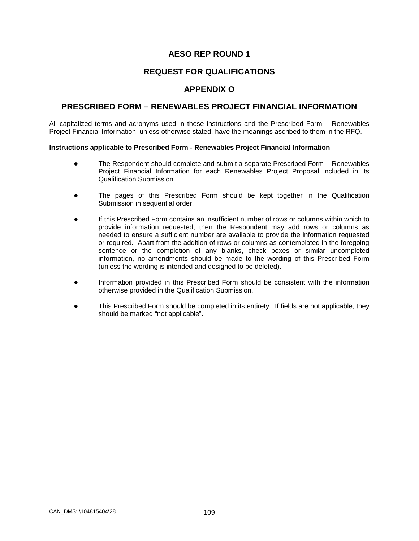# **REQUEST FOR QUALIFICATIONS**

# **APPENDIX O**

## **PRESCRIBED FORM – RENEWABLES PROJECT FINANCIAL INFORMATION**

All capitalized terms and acronyms used in these instructions and the Prescribed Form – Renewables Project Financial Information, unless otherwise stated, have the meanings ascribed to them in the RFQ.

#### **Instructions applicable to Prescribed Form - Renewables Project Financial Information**

- The Respondent should complete and submit a separate Prescribed Form Renewables Project Financial Information for each Renewables Project Proposal included in its Qualification Submission.
- The pages of this Prescribed Form should be kept together in the Qualification Submission in sequential order.
- If this Prescribed Form contains an insufficient number of rows or columns within which to provide information requested, then the Respondent may add rows or columns as needed to ensure a sufficient number are available to provide the information requested or required. Apart from the addition of rows or columns as contemplated in the foregoing sentence or the completion of any blanks, check boxes or similar uncompleted information, no amendments should be made to the wording of this Prescribed Form (unless the wording is intended and designed to be deleted).
- Information provided in this Prescribed Form should be consistent with the information otherwise provided in the Qualification Submission.
- This Prescribed Form should be completed in its entirety. If fields are not applicable, they should be marked "not applicable".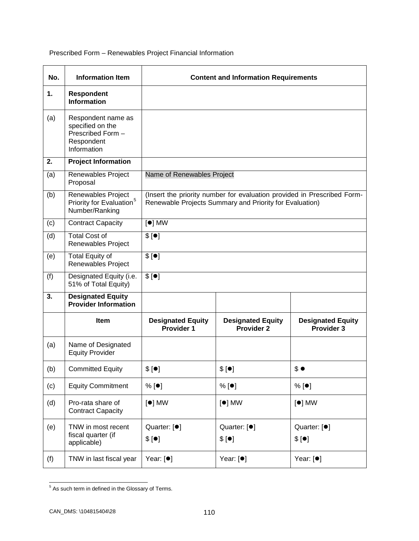Prescribed Form – Renewables Project Financial Information

| No. | <b>Information Item</b>                                                                  |                                               | <b>Content and Information Requirements</b>                                                                                        |                                        |
|-----|------------------------------------------------------------------------------------------|-----------------------------------------------|------------------------------------------------------------------------------------------------------------------------------------|----------------------------------------|
| 1.  | <b>Respondent</b><br><b>Information</b>                                                  |                                               |                                                                                                                                    |                                        |
| (a) | Respondent name as<br>specified on the<br>Prescribed Form -<br>Respondent<br>Information |                                               |                                                                                                                                    |                                        |
| 2.  | <b>Project Information</b>                                                               |                                               |                                                                                                                                    |                                        |
| (a) | Renewables Project<br>Proposal                                                           | Name of Renewables Project                    |                                                                                                                                    |                                        |
| (b) | Renewables Project<br>Priority for Evaluation <sup>5</sup><br>Number/Ranking             |                                               | (Insert the priority number for evaluation provided in Prescribed Form-<br>Renewable Projects Summary and Priority for Evaluation) |                                        |
| (c) | <b>Contract Capacity</b>                                                                 | $[•]$ MW                                      |                                                                                                                                    |                                        |
| (d) | <b>Total Cost of</b><br>Renewables Project                                               | \$[•]                                         |                                                                                                                                    |                                        |
| (e) | <b>Total Equity of</b><br>Renewables Project                                             | \$[•]                                         |                                                                                                                                    |                                        |
| (f) | Designated Equity (i.e.<br>51% of Total Equity)                                          | \$[•]                                         |                                                                                                                                    |                                        |
| 3.  | <b>Designated Equity</b><br><b>Provider Information</b>                                  |                                               |                                                                                                                                    |                                        |
|     | <b>Item</b>                                                                              | <b>Designated Equity</b><br><b>Provider 1</b> | <b>Designated Equity</b><br><b>Provider 2</b>                                                                                      | <b>Designated Equity</b><br>Provider 3 |
| (a) | Name of Designated<br><b>Equity Provider</b>                                             |                                               |                                                                                                                                    |                                        |
| (b) | <b>Committed Equity</b>                                                                  | \$[•]                                         | \$[•]                                                                                                                              | \$•                                    |
| (c) | <b>Equity Commitment</b>                                                                 | $%$ [ $\bullet$ ]                             | % [•]                                                                                                                              | % [•]                                  |
| (d) | Pro-rata share of<br><b>Contract Capacity</b>                                            | $[•]$ MW                                      | $[•]$ MW                                                                                                                           | $[•]$ MW                               |
| (e) | TNW in most recent<br>fiscal quarter (if<br>applicable)                                  | Quarter: [ <sup>●</sup> ]<br>\$[•]            | Quarter: [ <sup>●</sup> ]<br>\$[•]                                                                                                 | Quarter: [ <sup>●</sup> ]<br>\$[•]     |
| (f) | TNW in last fiscal year                                                                  | Year: [ <sup>•</sup> ]                        | Year: [ <sup>●</sup> ]                                                                                                             | Year: $[•]$                            |

<span id="page-114-0"></span> $\frac{1}{5}$  As such term in defined in the Glossary of Terms.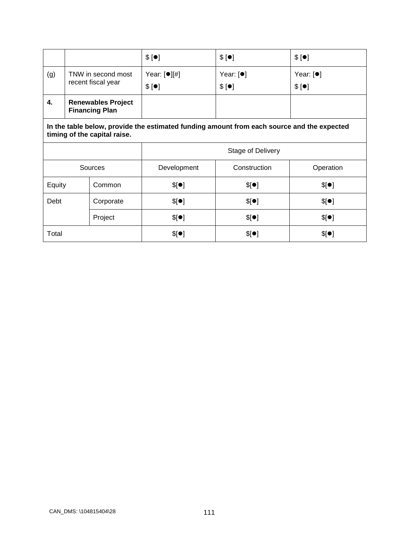|     |                                                    | \$[•]                      | \$[•]                | \$[•]                |
|-----|----------------------------------------------------|----------------------------|----------------------|----------------------|
| (g) | TNW in second most<br>recent fiscal year           | Year: $[①$ $[[#]$<br>\$[•] | Year: $[•]$<br>\$[•] | Year: $[•]$<br>\$[•] |
| 4.  | <b>Renewables Project</b><br><b>Financing Plan</b> |                            |                      |                      |

**In the table below, provide the estimated funding amount from each source and the expected timing of the capital raise.**

|         |           | <b>Stage of Delivery</b> |              |           |
|---------|-----------|--------------------------|--------------|-----------|
| Sources |           | Development              | Construction | Operation |
| Equity  | Common    | \$[•]                    | \$[•]        | \$[•]     |
| Debt    | Corporate | \$[•]                    | \$[•]        | \$[•]     |
|         | Project   | \$[•]                    | \$[•]        | \$[•]     |
| Total   |           | \$[•]                    | \$[•]        | \$[•]     |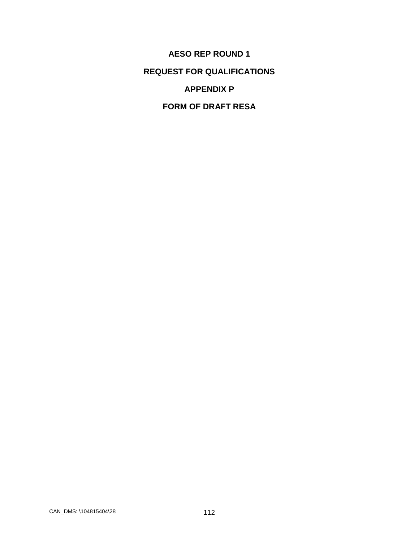**AESO REP ROUND 1 REQUEST FOR QUALIFICATIONS APPENDIX P**

**FORM OF DRAFT RESA**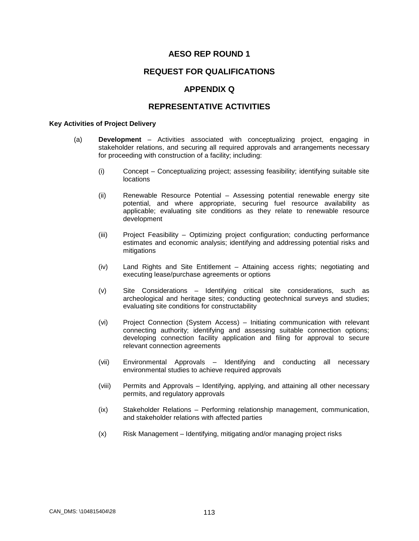## **REQUEST FOR QUALIFICATIONS**

## **APPENDIX Q**

#### **REPRESENTATIVE ACTIVITIES**

#### **Key Activities of Project Delivery**

- (a) **Development** Activities associated with conceptualizing project, engaging in stakeholder relations, and securing all required approvals and arrangements necessary for proceeding with construction of a facility; including:
	- (i) Concept Conceptualizing project; assessing feasibility; identifying suitable site locations
	- (ii) Renewable Resource Potential Assessing potential renewable energy site potential, and where appropriate, securing fuel resource availability as applicable; evaluating site conditions as they relate to renewable resource development
	- (iii) Project Feasibility Optimizing project configuration; conducting performance estimates and economic analysis; identifying and addressing potential risks and mitigations
	- (iv) Land Rights and Site Entitlement Attaining access rights; negotiating and executing lease/purchase agreements or options
	- (v) Site Considerations Identifying critical site considerations, such as archeological and heritage sites; conducting geotechnical surveys and studies; evaluating site conditions for constructability
	- (vi) Project Connection (System Access) Initiating communication with relevant connecting authority; identifying and assessing suitable connection options; developing connection facility application and filing for approval to secure relevant connection agreements
	- (vii) Environmental Approvals Identifying and conducting all necessary environmental studies to achieve required approvals
	- (viii) Permits and Approvals Identifying, applying, and attaining all other necessary permits, and regulatory approvals
	- (ix) Stakeholder Relations Performing relationship management, communication, and stakeholder relations with affected parties
	- (x) Risk Management Identifying, mitigating and/or managing project risks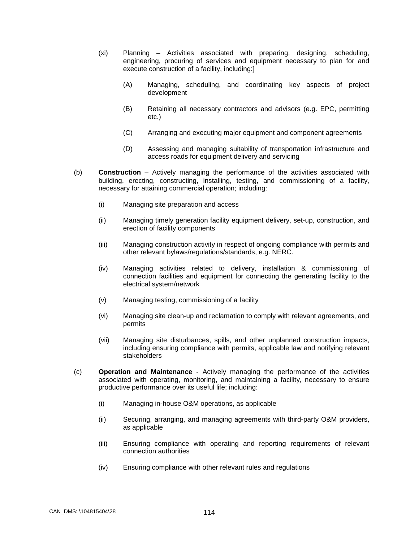- (xi) Planning Activities associated with preparing, designing, scheduling, engineering, procuring of services and equipment necessary to plan for and execute construction of a facility, including:]
	- (A) Managing, scheduling, and coordinating key aspects of project development
	- (B) Retaining all necessary contractors and advisors (e.g. EPC, permitting etc.)
	- (C) Arranging and executing major equipment and component agreements
	- (D) Assessing and managing suitability of transportation infrastructure and access roads for equipment delivery and servicing
- (b) **Construction** Actively managing the performance of the activities associated with building, erecting, constructing, installing, testing, and commissioning of a facility, necessary for attaining commercial operation; including:
	- (i) Managing site preparation and access
	- (ii) Managing timely generation facility equipment delivery, set-up, construction, and erection of facility components
	- (iii) Managing construction activity in respect of ongoing compliance with permits and other relevant bylaws/regulations/standards, e.g. NERC.
	- (iv) Managing activities related to delivery, installation & commissioning of connection facilities and equipment for connecting the generating facility to the electrical system/network
	- (v) Managing testing, commissioning of a facility
	- (vi) Managing site clean-up and reclamation to comply with relevant agreements, and permits
	- (vii) Managing site disturbances, spills, and other unplanned construction impacts, including ensuring compliance with permits, applicable law and notifying relevant stakeholders
- (c) **Operation and Maintenance** Actively managing the performance of the activities associated with operating, monitoring, and maintaining a facility, necessary to ensure productive performance over its useful life; including:
	- (i) Managing in-house O&M operations, as applicable
	- (ii) Securing, arranging, and managing agreements with third-party O&M providers, as applicable
	- (iii) Ensuring compliance with operating and reporting requirements of relevant connection authorities
	- (iv) Ensuring compliance with other relevant rules and regulations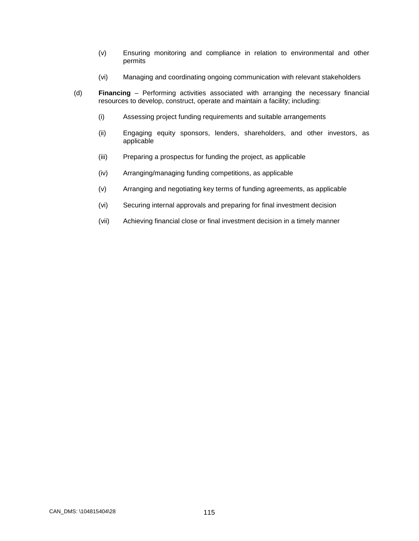- (v) Ensuring monitoring and compliance in relation to environmental and other permits
- (vi) Managing and coordinating ongoing communication with relevant stakeholders
- (d) **Financing** Performing activities associated with arranging the necessary financial resources to develop, construct, operate and maintain a facility; including:
	- (i) Assessing project funding requirements and suitable arrangements
	- (ii) Engaging equity sponsors, lenders, shareholders, and other investors, as applicable
	- (iii) Preparing a prospectus for funding the project, as applicable
	- (iv) Arranging/managing funding competitions, as applicable
	- (v) Arranging and negotiating key terms of funding agreements, as applicable
	- (vi) Securing internal approvals and preparing for final investment decision
	- (vii) Achieving financial close or final investment decision in a timely manner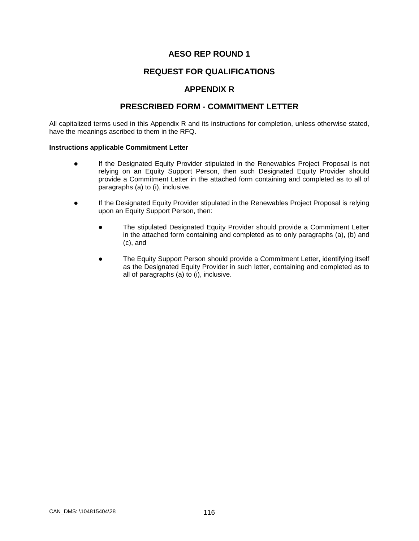# **REQUEST FOR QUALIFICATIONS**

## **APPENDIX R**

## **PRESCRIBED FORM - COMMITMENT LETTER**

All capitalized terms used in this Appendix R and its instructions for completion, unless otherwise stated, have the meanings ascribed to them in the RFQ.

#### **Instructions applicable Commitment Letter**

- If the Designated Equity Provider stipulated in the Renewables Project Proposal is not relying on an Equity Support Person, then such Designated Equity Provider should provide a Commitment Letter in the attached form containing and completed as to all of paragraphs (a) to (i), inclusive.
- If the Designated Equity Provider stipulated in the Renewables Project Proposal is relying upon an Equity Support Person, then:
	- The stipulated Designated Equity Provider should provide a Commitment Letter in the attached form containing and completed as to only paragraphs (a), (b) and (c), and
	- The Equity Support Person should provide a Commitment Letter, identifying itself as the Designated Equity Provider in such letter, containing and completed as to all of paragraphs (a) to (i), inclusive.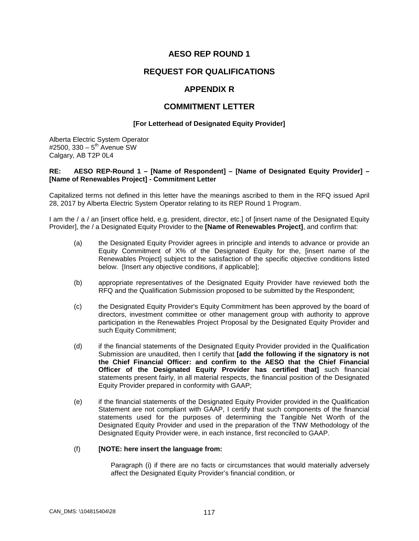## **REQUEST FOR QUALIFICATIONS**

#### **APPENDIX R**

#### **COMMITMENT LETTER**

#### **[For Letterhead of Designated Equity Provider]**

Alberta Electric System Operator #2500, 330 –  $5^{th}$  Avenue SW Calgary, AB T2P 0L4

#### **RE: AESO REP-Round 1 – [Name of Respondent] – [Name of Designated Equity Provider] – [Name of Renewables Project] - Commitment Letter**

Capitalized terms not defined in this letter have the meanings ascribed to them in the RFQ issued April 28, 2017 by Alberta Electric System Operator relating to its REP Round 1 Program.

I am the / a / an [insert office held, e.g. president, director, etc.] of [insert name of the Designated Equity Provider], the / a Designated Equity Provider to the **[Name of Renewables Project]**, and confirm that:

- (a) the Designated Equity Provider agrees in principle and intends to advance or provide an Equity Commitment of X% of the Designated Equity for the, [insert name of the Renewables Project] subject to the satisfaction of the specific objective conditions listed below. [Insert any objective conditions, if applicable];
- (b) appropriate representatives of the Designated Equity Provider have reviewed both the RFQ and the Qualification Submission proposed to be submitted by the Respondent;
- (c) the Designated Equity Provider's Equity Commitment has been approved by the board of directors, investment committee or other management group with authority to approve participation in the Renewables Project Proposal by the Designated Equity Provider and such Equity Commitment;
- (d) if the financial statements of the Designated Equity Provider provided in the Qualification Submission are unaudited, then I certify that **[add the following if the signatory is not the Chief Financial Officer: and confirm to the AESO that the Chief Financial Officer of the Designated Equity Provider has certified that]** such financial statements present fairly, in all material respects, the financial position of the Designated Equity Provider prepared in conformity with GAAP;
- (e) if the financial statements of the Designated Equity Provider provided in the Qualification Statement are not compliant with GAAP, I certify that such components of the financial statements used for the purposes of determining the Tangible Net Worth of the Designated Equity Provider and used in the preparation of the TNW Methodology of the Designated Equity Provider were, in each instance, first reconciled to GAAP.

#### (f) **[NOTE: here insert the language from:**

Paragraph (i) if there are no facts or circumstances that would materially adversely affect the Designated Equity Provider's financial condition, or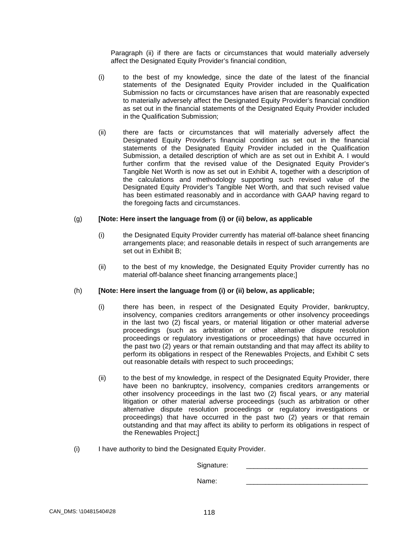Paragraph (ii) if there are facts or circumstances that would materially adversely affect the Designated Equity Provider's financial condition,

- (i) to the best of my knowledge, since the date of the latest of the financial statements of the Designated Equity Provider included in the Qualification Submission no facts or circumstances have arisen that are reasonably expected to materially adversely affect the Designated Equity Provider's financial condition as set out in the financial statements of the Designated Equity Provider included in the Qualification Submission;
- (ii) there are facts or circumstances that will materially adversely affect the Designated Equity Provider's financial condition as set out in the financial statements of the Designated Equity Provider included in the Qualification Submission, a detailed description of which are as set out in Exhibit A. I would further confirm that the revised value of the Designated Equity Provider's Tangible Net Worth is now as set out in Exhibit A, together with a description of the calculations and methodology supporting such revised value of the Designated Equity Provider's Tangible Net Worth, and that such revised value has been estimated reasonably and in accordance with GAAP having regard to the foregoing facts and circumstances.

#### (g) **[Note: Here insert the language from (i) or (ii) below, as applicable**

- (i) the Designated Equity Provider currently has material off-balance sheet financing arrangements place; and reasonable details in respect of such arrangements are set out in Exhibit B;
- (ii) to the best of my knowledge, the Designated Equity Provider currently has no material off-balance sheet financing arrangements place;]

#### (h) **[Note: Here insert the language from (i) or (ii) below, as applicable;**

- (i) there has been, in respect of the Designated Equity Provider, bankruptcy, insolvency, companies creditors arrangements or other insolvency proceedings in the last two (2) fiscal years, or material litigation or other material adverse proceedings (such as arbitration or other alternative dispute resolution proceedings or regulatory investigations or proceedings) that have occurred in the past two (2) years or that remain outstanding and that may affect its ability to perform its obligations in respect of the Renewables Projects, and Exhibit C sets out reasonable details with respect to such proceedings;
- (ii) to the best of my knowledge, in respect of the Designated Equity Provider, there have been no bankruptcy, insolvency, companies creditors arrangements or other insolvency proceedings in the last two (2) fiscal years, or any material litigation or other material adverse proceedings (such as arbitration or other alternative dispute resolution proceedings or regulatory investigations or proceedings) that have occurred in the past two (2) years or that remain outstanding and that may affect its ability to perform its obligations in respect of the Renewables Project;]
- (i) I have authority to bind the Designated Equity Provider.

Signature:

Name: \_\_\_\_\_\_\_\_\_\_\_\_\_\_\_\_\_\_\_\_\_\_\_\_\_\_\_\_\_\_\_\_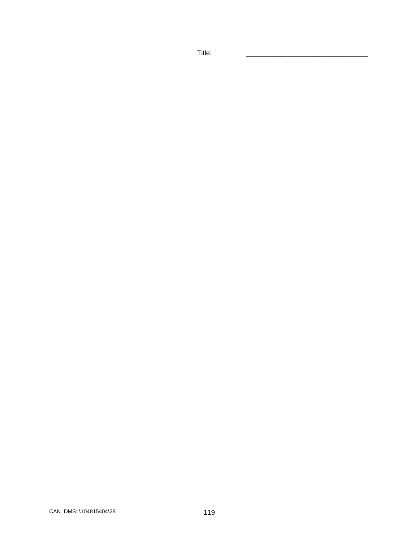Title: \_\_\_\_\_\_\_\_\_\_\_\_\_\_\_\_\_\_\_\_\_\_\_\_\_\_\_\_\_\_\_\_